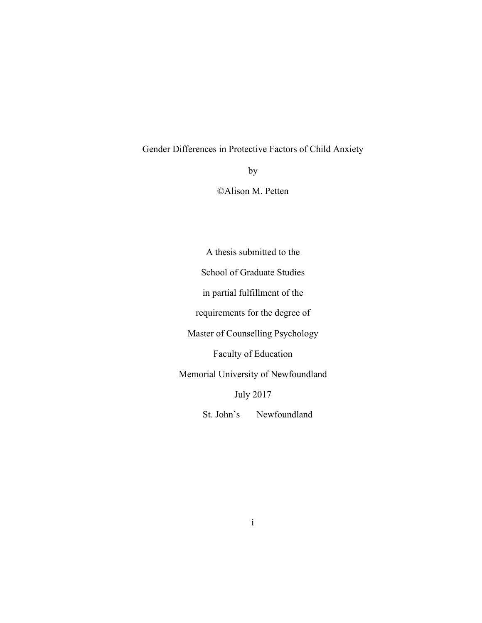# Gender Differences in Protective Factors of Child Anxiety

by

©Alison M. Petten

A thesis submitted to the School of Graduate Studies in partial fulfillment of the requirements for the degree of Master of Counselling Psychology Faculty of Education Memorial University of Newfoundland July 2017 St. John's Newfoundland

i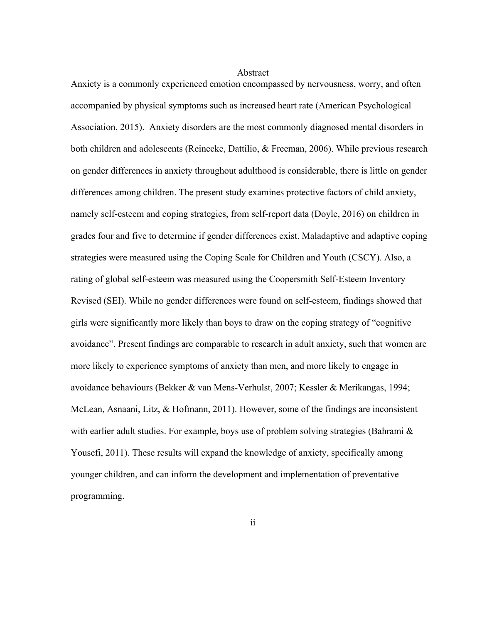#### Abstract

Anxiety is a commonly experienced emotion encompassed by nervousness, worry, and often accompanied by physical symptoms such as increased heart rate (American Psychological Association, 2015). Anxiety disorders are the most commonly diagnosed mental disorders in both children and adolescents (Reinecke, Dattilio, & Freeman, 2006). While previous research on gender differences in anxiety throughout adulthood is considerable, there is little on gender differences among children. The present study examines protective factors of child anxiety, namely self-esteem and coping strategies, from self-report data (Doyle, 2016) on children in grades four and five to determine if gender differences exist. Maladaptive and adaptive coping strategies were measured using the Coping Scale for Children and Youth (CSCY). Also, a rating of global self-esteem was measured using the Coopersmith Self-Esteem Inventory Revised (SEI). While no gender differences were found on self-esteem, findings showed that girls were significantly more likely than boys to draw on the coping strategy of "cognitive avoidance". Present findings are comparable to research in adult anxiety, such that women are more likely to experience symptoms of anxiety than men, and more likely to engage in avoidance behaviours (Bekker & van Mens-Verhulst, 2007; Kessler & Merikangas, 1994; McLean, Asnaani, Litz, & Hofmann, 2011). However, some of the findings are inconsistent with earlier adult studies. For example, boys use of problem solving strategies (Bahrami & Yousefi, 2011). These results will expand the knowledge of anxiety, specifically among younger children, and can inform the development and implementation of preventative programming.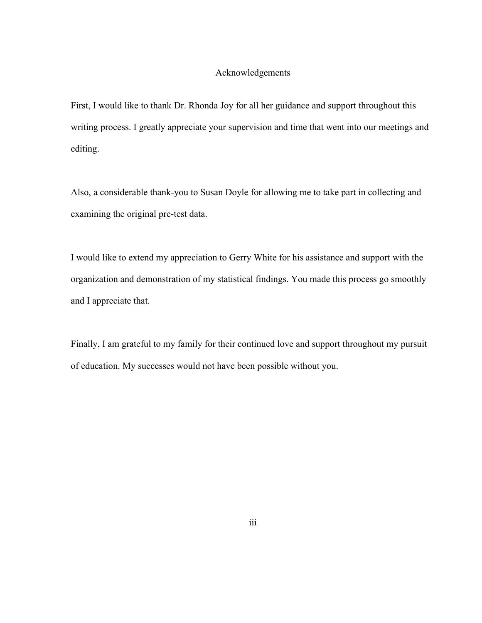### Acknowledgements

First, I would like to thank Dr. Rhonda Joy for all her guidance and support throughout this writing process. I greatly appreciate your supervision and time that went into our meetings and editing.

Also, a considerable thank-you to Susan Doyle for allowing me to take part in collecting and examining the original pre-test data.

I would like to extend my appreciation to Gerry White for his assistance and support with the organization and demonstration of my statistical findings. You made this process go smoothly and I appreciate that.

Finally, I am grateful to my family for their continued love and support throughout my pursuit of education. My successes would not have been possible without you.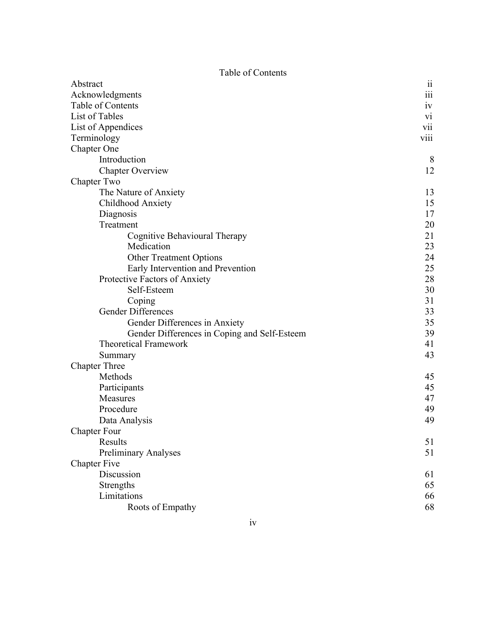Table of Contents

| Abstract                                     |                      |
|----------------------------------------------|----------------------|
| Acknowledgments                              | $\dddot{\text{iii}}$ |
| Table of Contents                            | iv                   |
| List of Tables                               | vi                   |
| List of Appendices                           | vii                  |
| Terminology                                  | viii                 |
| Chapter One                                  |                      |
| Introduction                                 | 8                    |
| <b>Chapter Overview</b>                      | 12                   |
| Chapter Two                                  |                      |
| The Nature of Anxiety                        | 13                   |
| Childhood Anxiety                            | 15                   |
| Diagnosis                                    | 17                   |
| Treatment                                    | 20                   |
| Cognitive Behavioural Therapy                | 21                   |
| Medication                                   | 23                   |
| <b>Other Treatment Options</b>               | 24                   |
| Early Intervention and Prevention            | 25                   |
| Protective Factors of Anxiety                | 28                   |
| Self-Esteem                                  | 30                   |
| Coping                                       | 31                   |
| <b>Gender Differences</b>                    | 33                   |
| Gender Differences in Anxiety                | 35                   |
| Gender Differences in Coping and Self-Esteem | 39                   |
| <b>Theoretical Framework</b>                 | 41                   |
| Summary                                      | 43                   |
| <b>Chapter Three</b>                         |                      |
| Methods                                      | 45                   |
| Participants                                 | 45                   |
| Measures                                     | 47                   |
| Procedure                                    | 49                   |
| Data Analysis                                | 49                   |
| <b>Chapter Four</b>                          |                      |
| Results                                      | 51                   |
| <b>Preliminary Analyses</b>                  | 51                   |
| <b>Chapter Five</b>                          |                      |
| Discussion                                   | 61                   |
| Strengths                                    | 65                   |
| Limitations                                  | 66                   |
| Roots of Empathy                             | 68                   |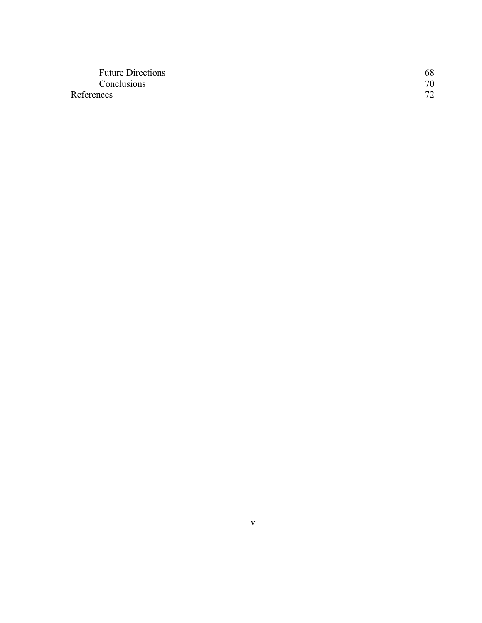| <b>Future Directions</b> | 68 |
|--------------------------|----|
| Conclusions              | 70 |
| References               | 72 |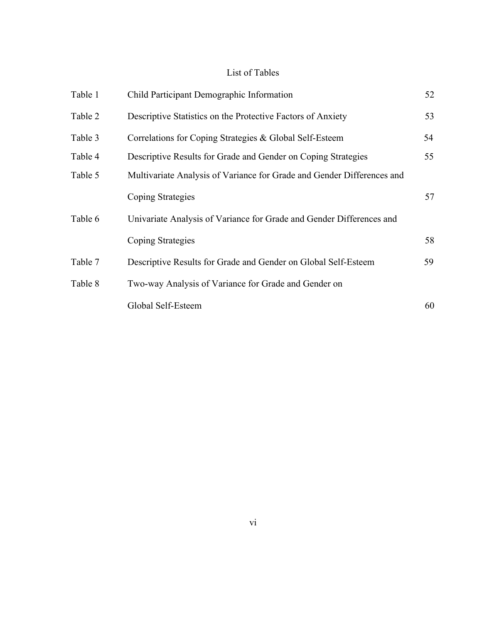# List of Tables

| Table 1 | Child Participant Demographic Information                              | 52 |
|---------|------------------------------------------------------------------------|----|
| Table 2 | Descriptive Statistics on the Protective Factors of Anxiety            | 53 |
| Table 3 | Correlations for Coping Strategies & Global Self-Esteem                | 54 |
| Table 4 | Descriptive Results for Grade and Gender on Coping Strategies          | 55 |
| Table 5 | Multivariate Analysis of Variance for Grade and Gender Differences and |    |
|         | Coping Strategies                                                      | 57 |
| Table 6 | Univariate Analysis of Variance for Grade and Gender Differences and   |    |
|         | Coping Strategies                                                      | 58 |
| Table 7 | Descriptive Results for Grade and Gender on Global Self-Esteem         | 59 |
| Table 8 | Two-way Analysis of Variance for Grade and Gender on                   |    |
|         | Global Self-Esteem                                                     | 60 |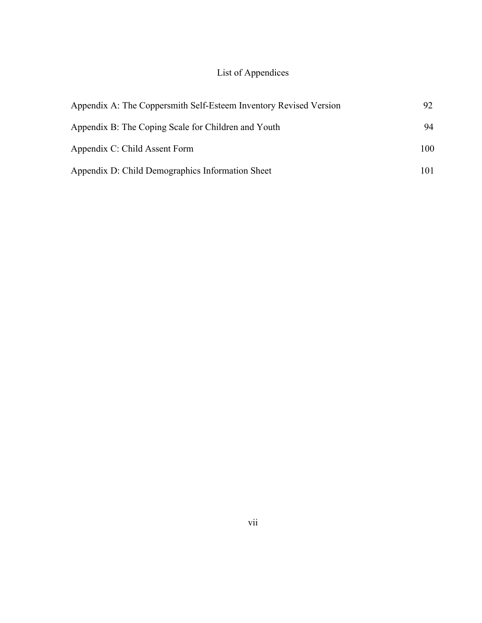# List of Appendices

| Appendix A: The Coppersmith Self-Esteem Inventory Revised Version | 92  |
|-------------------------------------------------------------------|-----|
| Appendix B: The Coping Scale for Children and Youth               | 94  |
| Appendix C: Child Assent Form                                     | 100 |
| Appendix D: Child Demographics Information Sheet                  | 101 |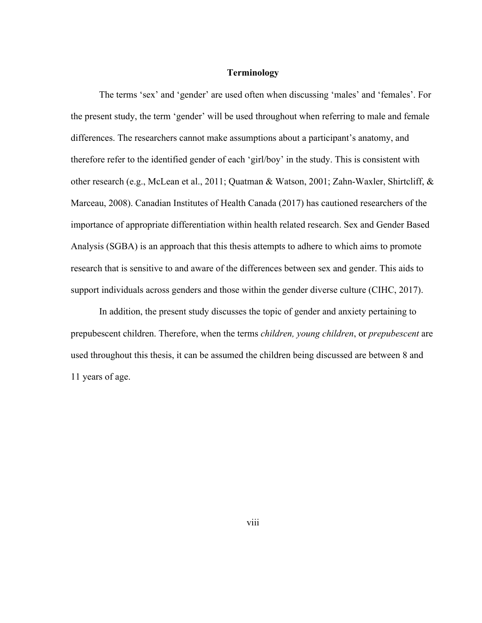### **Terminology**

The terms 'sex' and 'gender' are used often when discussing 'males' and 'females'. For the present study, the term 'gender' will be used throughout when referring to male and female differences. The researchers cannot make assumptions about a participant's anatomy, and therefore refer to the identified gender of each 'girl/boy' in the study. This is consistent with other research (e.g., McLean et al., 2011; Quatman & Watson, 2001; Zahn-Waxler, Shirtcliff, & Marceau, 2008). Canadian Institutes of Health Canada (2017) has cautioned researchers of the importance of appropriate differentiation within health related research. Sex and Gender Based Analysis (SGBA) is an approach that this thesis attempts to adhere to which aims to promote research that is sensitive to and aware of the differences between sex and gender. This aids to support individuals across genders and those within the gender diverse culture (CIHC, 2017).

In addition, the present study discusses the topic of gender and anxiety pertaining to prepubescent children. Therefore, when the terms *children, young children*, or *prepubescent* are used throughout this thesis, it can be assumed the children being discussed are between 8 and 11 years of age.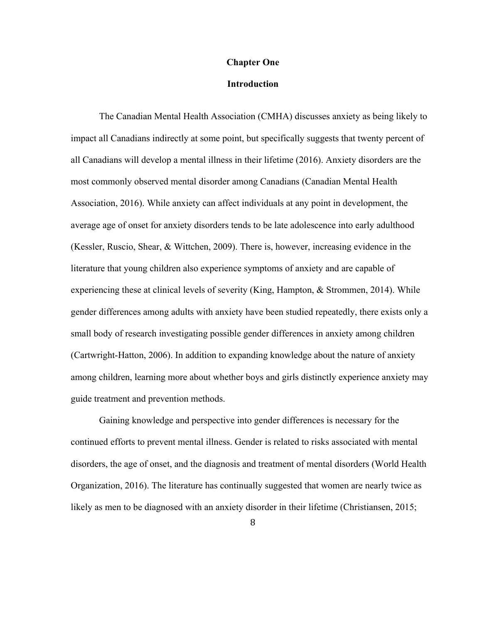#### **Chapter One**

### **Introduction**

The Canadian Mental Health Association (CMHA) discusses anxiety as being likely to impact all Canadians indirectly at some point, but specifically suggests that twenty percent of all Canadians will develop a mental illness in their lifetime (2016). Anxiety disorders are the most commonly observed mental disorder among Canadians (Canadian Mental Health Association, 2016). While anxiety can affect individuals at any point in development, the average age of onset for anxiety disorders tends to be late adolescence into early adulthood (Kessler, Ruscio, Shear, & Wittchen, 2009). There is, however, increasing evidence in the literature that young children also experience symptoms of anxiety and are capable of experiencing these at clinical levels of severity (King, Hampton, & Strommen, 2014). While gender differences among adults with anxiety have been studied repeatedly, there exists only a small body of research investigating possible gender differences in anxiety among children (Cartwright-Hatton, 2006). In addition to expanding knowledge about the nature of anxiety among children, learning more about whether boys and girls distinctly experience anxiety may guide treatment and prevention methods.

Gaining knowledge and perspective into gender differences is necessary for the continued efforts to prevent mental illness. Gender is related to risks associated with mental disorders, the age of onset, and the diagnosis and treatment of mental disorders (World Health Organization, 2016). The literature has continually suggested that women are nearly twice as likely as men to be diagnosed with an anxiety disorder in their lifetime (Christiansen, 2015;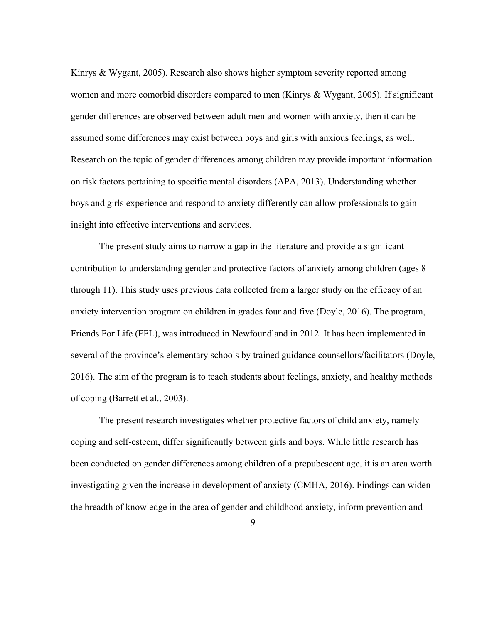Kinrys & Wygant, 2005). Research also shows higher symptom severity reported among women and more comorbid disorders compared to men (Kinrys & Wygant, 2005). If significant gender differences are observed between adult men and women with anxiety, then it can be assumed some differences may exist between boys and girls with anxious feelings, as well. Research on the topic of gender differences among children may provide important information on risk factors pertaining to specific mental disorders (APA, 2013). Understanding whether boys and girls experience and respond to anxiety differently can allow professionals to gain insight into effective interventions and services.

The present study aims to narrow a gap in the literature and provide a significant contribution to understanding gender and protective factors of anxiety among children (ages 8 through 11). This study uses previous data collected from a larger study on the efficacy of an anxiety intervention program on children in grades four and five (Doyle, 2016). The program, Friends For Life (FFL), was introduced in Newfoundland in 2012. It has been implemented in several of the province's elementary schools by trained guidance counsellors/facilitators (Doyle, 2016). The aim of the program is to teach students about feelings, anxiety, and healthy methods of coping (Barrett et al., 2003).

The present research investigates whether protective factors of child anxiety, namely coping and self-esteem, differ significantly between girls and boys. While little research has been conducted on gender differences among children of a prepubescent age, it is an area worth investigating given the increase in development of anxiety (CMHA, 2016). Findings can widen the breadth of knowledge in the area of gender and childhood anxiety, inform prevention and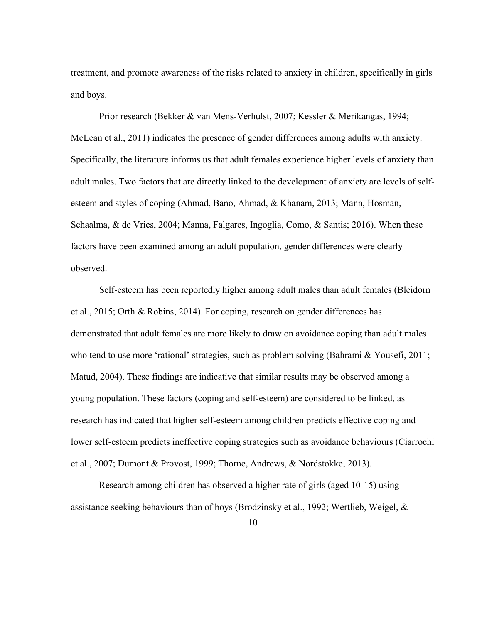treatment, and promote awareness of the risks related to anxiety in children, specifically in girls and boys.

Prior research (Bekker & van Mens-Verhulst, 2007; Kessler & Merikangas, 1994; McLean et al., 2011) indicates the presence of gender differences among adults with anxiety. Specifically, the literature informs us that adult females experience higher levels of anxiety than adult males. Two factors that are directly linked to the development of anxiety are levels of selfesteem and styles of coping (Ahmad, Bano, Ahmad, & Khanam, 2013; Mann, Hosman, Schaalma, & de Vries, 2004; Manna, Falgares, Ingoglia, Como, & Santis; 2016). When these factors have been examined among an adult population, gender differences were clearly observed.

Self-esteem has been reportedly higher among adult males than adult females (Bleidorn et al., 2015; Orth & Robins, 2014). For coping, research on gender differences has demonstrated that adult females are more likely to draw on avoidance coping than adult males who tend to use more 'rational' strategies, such as problem solving (Bahrami & Yousefi, 2011; Matud, 2004). These findings are indicative that similar results may be observed among a young population. These factors (coping and self-esteem) are considered to be linked, as research has indicated that higher self-esteem among children predicts effective coping and lower self-esteem predicts ineffective coping strategies such as avoidance behaviours (Ciarrochi et al., 2007; Dumont & Provost, 1999; Thorne, Andrews, & Nordstokke, 2013).

Research among children has observed a higher rate of girls (aged 10-15) using assistance seeking behaviours than of boys (Brodzinsky et al., 1992; Wertlieb, Weigel, &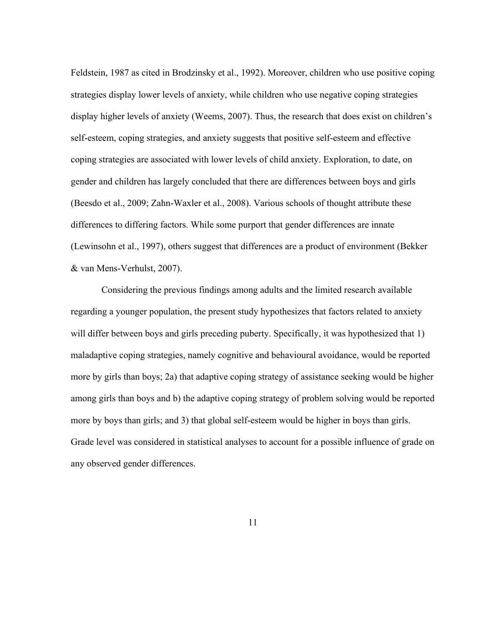Feldstein, 1987 as cited in Brodzinsky et al., 1992). Moreover, children who use positive coping strategies display lower levels of anxiety, while children who use negative coping strategies display higher levels of anxiety (Weems, 2007). Thus, the research that does exist on children's self-esteem, coping strategies, and anxiety suggests that positive self-esteem and effective coping strategies are associated with lower levels of child anxiety. Exploration, to date, on gender and children has largely concluded that there are differences between boys and girls (Beesdo et al., 2009; Zahn-Waxler et al., 2008). Various schools of thought attribute these differences to differing factors. While some purport that gender differences are innate (Lewinsohn et al., 1997), others suggest that differences are a product of environment (Bekker & van Mens-Verhulst, 2007).

Considering the previous findings among adults and the limited research available regarding a younger population, the present study hypothesizes that factors related to anxiety will differ between boys and girls preceding puberty. Specifically, it was hypothesized that 1) maladaptive coping strategies, namely cognitive and behavioural avoidance, would be reported more by girls than boys; 2a) that adaptive coping strategy of assistance seeking would be higher among girls than boys and b) the adaptive coping strategy of problem solving would be reported more by boys than girls; and 3) that global self-esteem would be higher in boys than girls. Grade level was considered in statistical analyses to account for a possible influence of grade on any observed gender differences.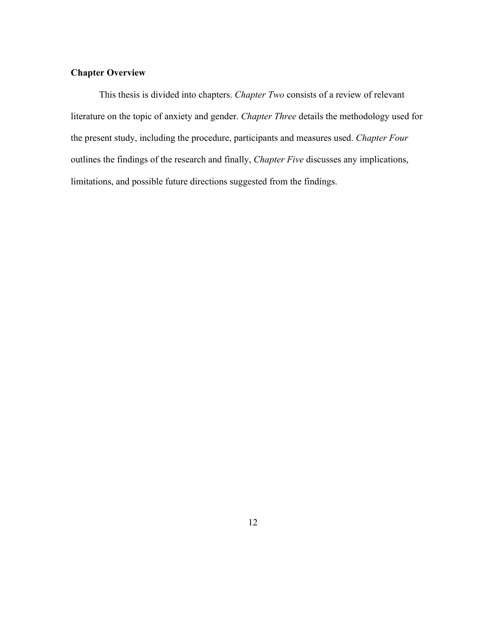# **Chapter Overview**

This thesis is divided into chapters. *Chapter Two* consists of a review of relevant literature on the topic of anxiety and gender. *Chapter Three* details the methodology used for the present study, including the procedure, participants and measures used. *Chapter Four*  outlines the findings of the research and finally, *Chapter Five* discusses any implications, limitations, and possible future directions suggested from the findings.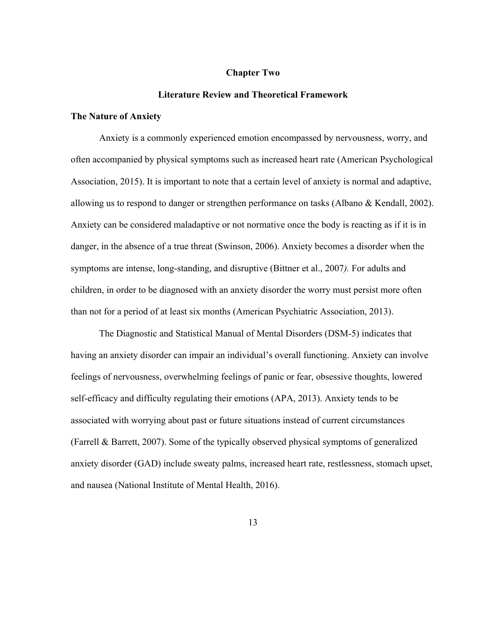### **Chapter Two**

#### **Literature Review and Theoretical Framework**

### **The Nature of Anxiety**

Anxiety is a commonly experienced emotion encompassed by nervousness, worry, and often accompanied by physical symptoms such as increased heart rate (American Psychological Association, 2015). It is important to note that a certain level of anxiety is normal and adaptive, allowing us to respond to danger or strengthen performance on tasks (Albano & Kendall, 2002). Anxiety can be considered maladaptive or not normative once the body is reacting as if it is in danger, in the absence of a true threat (Swinson, 2006). Anxiety becomes a disorder when the symptoms are intense, long-standing, and disruptive (Bittner et al., 2007*).* For adults and children, in order to be diagnosed with an anxiety disorder the worry must persist more often than not for a period of at least six months (American Psychiatric Association, 2013).

The Diagnostic and Statistical Manual of Mental Disorders (DSM-5) indicates that having an anxiety disorder can impair an individual's overall functioning. Anxiety can involve feelings of nervousness, overwhelming feelings of panic or fear, obsessive thoughts, lowered self-efficacy and difficulty regulating their emotions (APA, 2013). Anxiety tends to be associated with worrying about past or future situations instead of current circumstances (Farrell & Barrett, 2007). Some of the typically observed physical symptoms of generalized anxiety disorder (GAD) include sweaty palms, increased heart rate, restlessness, stomach upset, and nausea (National Institute of Mental Health, 2016).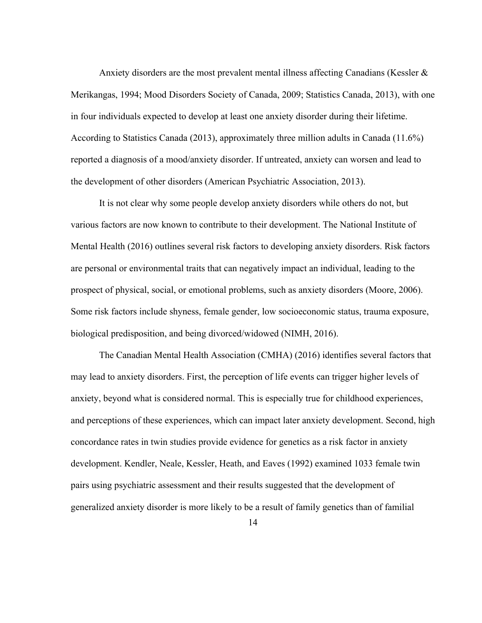Anxiety disorders are the most prevalent mental illness affecting Canadians (Kessler & Merikangas, 1994; Mood Disorders Society of Canada, 2009; Statistics Canada, 2013), with one in four individuals expected to develop at least one anxiety disorder during their lifetime. According to Statistics Canada (2013), approximately three million adults in Canada (11.6%) reported a diagnosis of a mood/anxiety disorder. If untreated, anxiety can worsen and lead to the development of other disorders (American Psychiatric Association, 2013).

It is not clear why some people develop anxiety disorders while others do not, but various factors are now known to contribute to their development. The National Institute of Mental Health (2016) outlines several risk factors to developing anxiety disorders. Risk factors are personal or environmental traits that can negatively impact an individual, leading to the prospect of physical, social, or emotional problems, such as anxiety disorders (Moore, 2006). Some risk factors include shyness, female gender, low socioeconomic status, trauma exposure, biological predisposition, and being divorced/widowed (NIMH, 2016).

The Canadian Mental Health Association (CMHA) (2016) identifies several factors that may lead to anxiety disorders. First, the perception of life events can trigger higher levels of anxiety, beyond what is considered normal. This is especially true for childhood experiences, and perceptions of these experiences, which can impact later anxiety development. Second, high concordance rates in twin studies provide evidence for genetics as a risk factor in anxiety development. Kendler, Neale, Kessler, Heath, and Eaves (1992) examined 1033 female twin pairs using psychiatric assessment and their results suggested that the development of generalized anxiety disorder is more likely to be a result of family genetics than of familial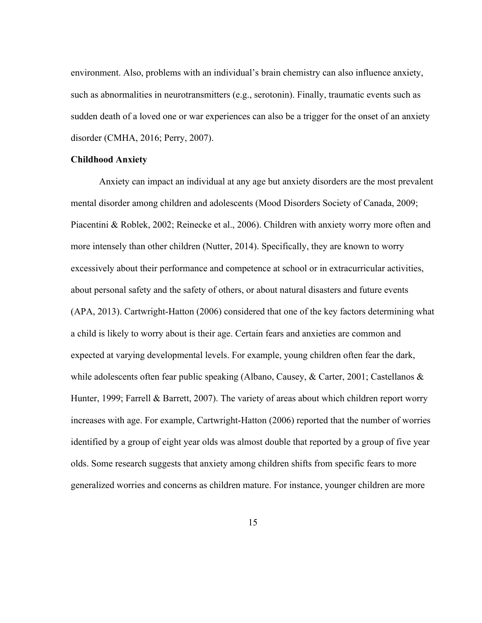environment. Also, problems with an individual's brain chemistry can also influence anxiety, such as abnormalities in neurotransmitters (e.g., serotonin). Finally, traumatic events such as sudden death of a loved one or war experiences can also be a trigger for the onset of an anxiety disorder (CMHA, 2016; Perry, 2007).

### **Childhood Anxiety**

Anxiety can impact an individual at any age but anxiety disorders are the most prevalent mental disorder among children and adolescents (Mood Disorders Society of Canada, 2009; Piacentini & Roblek, 2002; Reinecke et al., 2006). Children with anxiety worry more often and more intensely than other children (Nutter, 2014). Specifically, they are known to worry excessively about their performance and competence at school or in extracurricular activities, about personal safety and the safety of others, or about natural disasters and future events (APA, 2013). Cartwright-Hatton (2006) considered that one of the key factors determining what a child is likely to worry about is their age. Certain fears and anxieties are common and expected at varying developmental levels. For example, young children often fear the dark, while adolescents often fear public speaking (Albano, Causey, & Carter, 2001; Castellanos & Hunter, 1999; Farrell & Barrett, 2007). The variety of areas about which children report worry increases with age. For example, Cartwright-Hatton (2006) reported that the number of worries identified by a group of eight year olds was almost double that reported by a group of five year olds. Some research suggests that anxiety among children shifts from specific fears to more generalized worries and concerns as children mature. For instance, younger children are more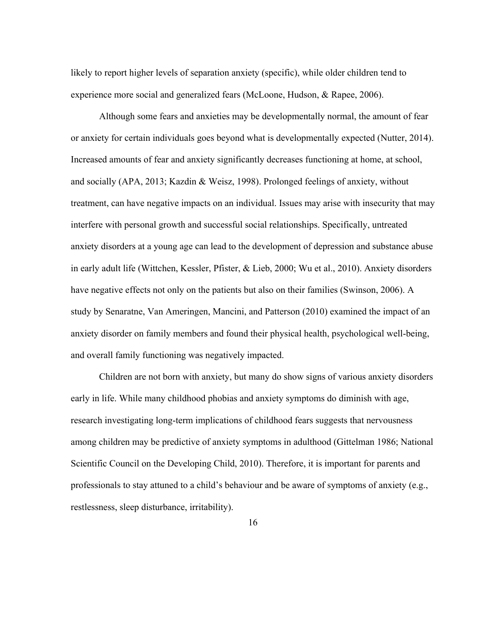likely to report higher levels of separation anxiety (specific), while older children tend to experience more social and generalized fears (McLoone, Hudson, & Rapee, 2006).

Although some fears and anxieties may be developmentally normal, the amount of fear or anxiety for certain individuals goes beyond what is developmentally expected (Nutter, 2014). Increased amounts of fear and anxiety significantly decreases functioning at home, at school, and socially (APA, 2013; Kazdin & Weisz, 1998). Prolonged feelings of anxiety, without treatment, can have negative impacts on an individual. Issues may arise with insecurity that may interfere with personal growth and successful social relationships. Specifically, untreated anxiety disorders at a young age can lead to the development of depression and substance abuse in early adult life (Wittchen, Kessler, Pfister, & Lieb, 2000; Wu et al., 2010). Anxiety disorders have negative effects not only on the patients but also on their families (Swinson, 2006). A study by Senaratne, Van Ameringen, Mancini, and Patterson (2010) examined the impact of an anxiety disorder on family members and found their physical health, psychological well-being, and overall family functioning was negatively impacted.

Children are not born with anxiety, but many do show signs of various anxiety disorders early in life. While many childhood phobias and anxiety symptoms do diminish with age, research investigating long-term implications of childhood fears suggests that nervousness among children may be predictive of anxiety symptoms in adulthood (Gittelman 1986; National Scientific Council on the Developing Child, 2010). Therefore, it is important for parents and professionals to stay attuned to a child's behaviour and be aware of symptoms of anxiety (e.g., restlessness, sleep disturbance, irritability).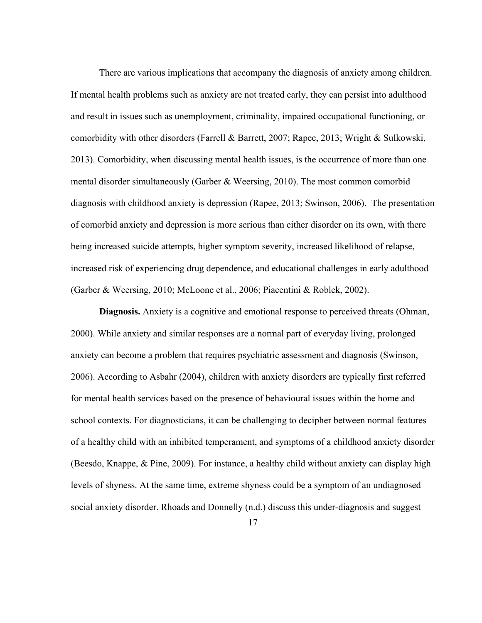There are various implications that accompany the diagnosis of anxiety among children. If mental health problems such as anxiety are not treated early, they can persist into adulthood and result in issues such as unemployment, criminality, impaired occupational functioning, or comorbidity with other disorders (Farrell & Barrett, 2007; Rapee, 2013; Wright & Sulkowski, 2013). Comorbidity, when discussing mental health issues, is the occurrence of more than one mental disorder simultaneously (Garber & Weersing, 2010). The most common comorbid diagnosis with childhood anxiety is depression (Rapee, 2013; Swinson, 2006). The presentation of comorbid anxiety and depression is more serious than either disorder on its own, with there being increased suicide attempts, higher symptom severity, increased likelihood of relapse, increased risk of experiencing drug dependence, and educational challenges in early adulthood (Garber & Weersing, 2010; McLoone et al., 2006; Piacentini & Roblek, 2002).

**Diagnosis.** Anxiety is a cognitive and emotional response to perceived threats (Ohman, 2000). While anxiety and similar responses are a normal part of everyday living, prolonged anxiety can become a problem that requires psychiatric assessment and diagnosis (Swinson, 2006). According to Asbahr (2004), children with anxiety disorders are typically first referred for mental health services based on the presence of behavioural issues within the home and school contexts. For diagnosticians, it can be challenging to decipher between normal features of a healthy child with an inhibited temperament, and symptoms of a childhood anxiety disorder (Beesdo, Knappe, & Pine, 2009). For instance, a healthy child without anxiety can display high levels of shyness. At the same time, extreme shyness could be a symptom of an undiagnosed social anxiety disorder. Rhoads and Donnelly (n.d.) discuss this under-diagnosis and suggest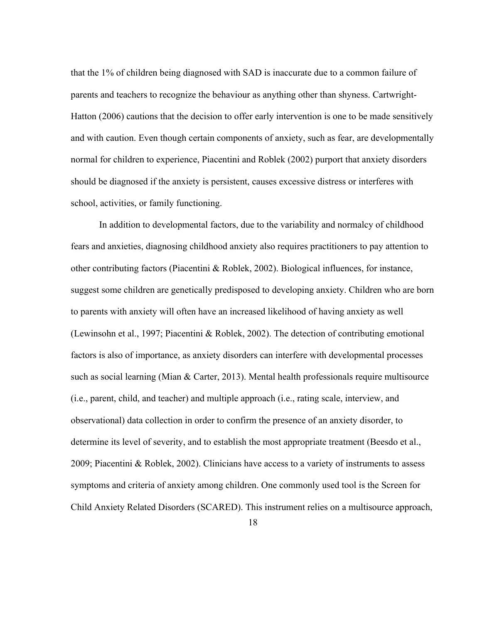that the 1% of children being diagnosed with SAD is inaccurate due to a common failure of parents and teachers to recognize the behaviour as anything other than shyness. Cartwright-Hatton (2006) cautions that the decision to offer early intervention is one to be made sensitively and with caution. Even though certain components of anxiety, such as fear, are developmentally normal for children to experience, Piacentini and Roblek (2002) purport that anxiety disorders should be diagnosed if the anxiety is persistent, causes excessive distress or interferes with school, activities, or family functioning.

In addition to developmental factors, due to the variability and normalcy of childhood fears and anxieties, diagnosing childhood anxiety also requires practitioners to pay attention to other contributing factors (Piacentini & Roblek, 2002). Biological influences, for instance, suggest some children are genetically predisposed to developing anxiety. Children who are born to parents with anxiety will often have an increased likelihood of having anxiety as well (Lewinsohn et al., 1997; Piacentini & Roblek, 2002). The detection of contributing emotional factors is also of importance, as anxiety disorders can interfere with developmental processes such as social learning (Mian & Carter, 2013). Mental health professionals require multisource (i.e., parent, child, and teacher) and multiple approach (i.e., rating scale, interview, and observational) data collection in order to confirm the presence of an anxiety disorder, to determine its level of severity, and to establish the most appropriate treatment (Beesdo et al., 2009; Piacentini & Roblek, 2002). Clinicians have access to a variety of instruments to assess symptoms and criteria of anxiety among children. One commonly used tool is the Screen for Child Anxiety Related Disorders (SCARED). This instrument relies on a multisource approach,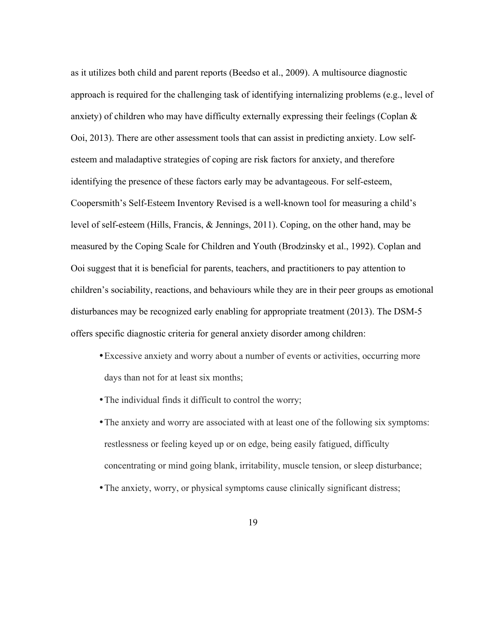as it utilizes both child and parent reports (Beedso et al., 2009). A multisource diagnostic approach is required for the challenging task of identifying internalizing problems (e.g., level of anxiety) of children who may have difficulty externally expressing their feelings (Coplan & Ooi, 2013). There are other assessment tools that can assist in predicting anxiety. Low selfesteem and maladaptive strategies of coping are risk factors for anxiety, and therefore identifying the presence of these factors early may be advantageous. For self-esteem, Coopersmith's Self-Esteem Inventory Revised is a well-known tool for measuring a child's level of self-esteem (Hills, Francis, & Jennings, 2011). Coping, on the other hand, may be measured by the Coping Scale for Children and Youth (Brodzinsky et al., 1992). Coplan and Ooi suggest that it is beneficial for parents, teachers, and practitioners to pay attention to children's sociability, reactions, and behaviours while they are in their peer groups as emotional disturbances may be recognized early enabling for appropriate treatment (2013). The DSM-5 offers specific diagnostic criteria for general anxiety disorder among children:

- •Excessive anxiety and worry about a number of events or activities, occurring more days than not for at least six months;
- •The individual finds it difficult to control the worry;
- •The anxiety and worry are associated with at least one of the following six symptoms: restlessness or feeling keyed up or on edge, being easily fatigued, difficulty concentrating or mind going blank, irritability, muscle tension, or sleep disturbance;
- •The anxiety, worry, or physical symptoms cause clinically significant distress;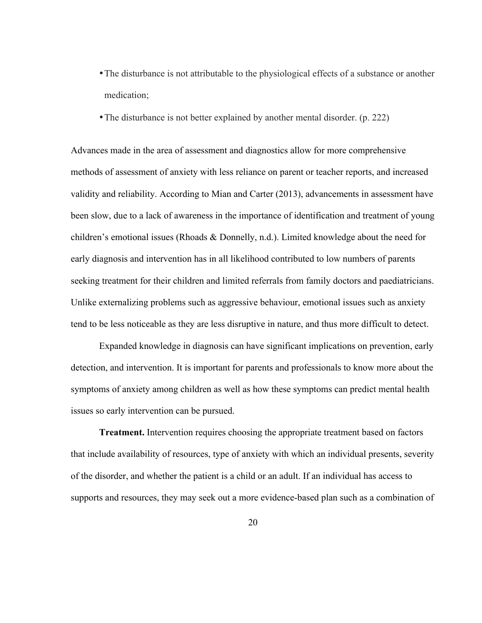- •The disturbance is not attributable to the physiological effects of a substance or another medication;
- •The disturbance is not better explained by another mental disorder. (p. 222)

Advances made in the area of assessment and diagnostics allow for more comprehensive methods of assessment of anxiety with less reliance on parent or teacher reports, and increased validity and reliability. According to Mian and Carter (2013), advancements in assessment have been slow, due to a lack of awareness in the importance of identification and treatment of young children's emotional issues (Rhoads & Donnelly, n.d.). Limited knowledge about the need for early diagnosis and intervention has in all likelihood contributed to low numbers of parents seeking treatment for their children and limited referrals from family doctors and paediatricians. Unlike externalizing problems such as aggressive behaviour, emotional issues such as anxiety tend to be less noticeable as they are less disruptive in nature, and thus more difficult to detect.

Expanded knowledge in diagnosis can have significant implications on prevention, early detection, and intervention. It is important for parents and professionals to know more about the symptoms of anxiety among children as well as how these symptoms can predict mental health issues so early intervention can be pursued.

**Treatment.** Intervention requires choosing the appropriate treatment based on factors that include availability of resources, type of anxiety with which an individual presents, severity of the disorder, and whether the patient is a child or an adult. If an individual has access to supports and resources, they may seek out a more evidence-based plan such as a combination of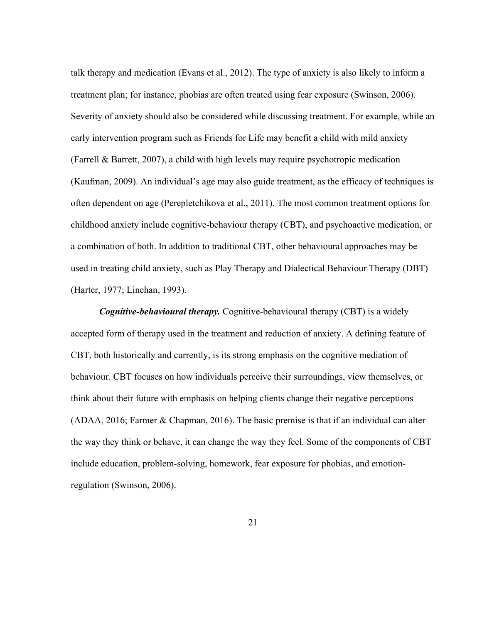talk therapy and medication (Evans et al., 2012). The type of anxiety is also likely to inform a treatment plan; for instance, phobias are often treated using fear exposure (Swinson, 2006). Severity of anxiety should also be considered while discussing treatment. For example, while an early intervention program such as Friends for Life may benefit a child with mild anxiety (Farrell & Barrett, 2007), a child with high levels may require psychotropic medication (Kaufman, 2009). An individual's age may also guide treatment, as the efficacy of techniques is often dependent on age (Perepletchikova et al., 2011). The most common treatment options for childhood anxiety include cognitive-behaviour therapy (CBT), and psychoactive medication, or a combination of both. In addition to traditional CBT, other behavioural approaches may be used in treating child anxiety, such as Play Therapy and Dialectical Behaviour Therapy (DBT) (Harter, 1977; Linehan, 1993).

*Cognitive-behavioural therapy.* Cognitive-behavioural therapy (CBT) is a widely accepted form of therapy used in the treatment and reduction of anxiety. A defining feature of CBT, both historically and currently, is its strong emphasis on the cognitive mediation of behaviour. CBT focuses on how individuals perceive their surroundings, view themselves, or think about their future with emphasis on helping clients change their negative perceptions (ADAA, 2016; Farmer & Chapman, 2016). The basic premise is that if an individual can alter the way they think or behave, it can change the way they feel. Some of the components of CBT include education, problem-solving, homework, fear exposure for phobias, and emotionregulation (Swinson, 2006).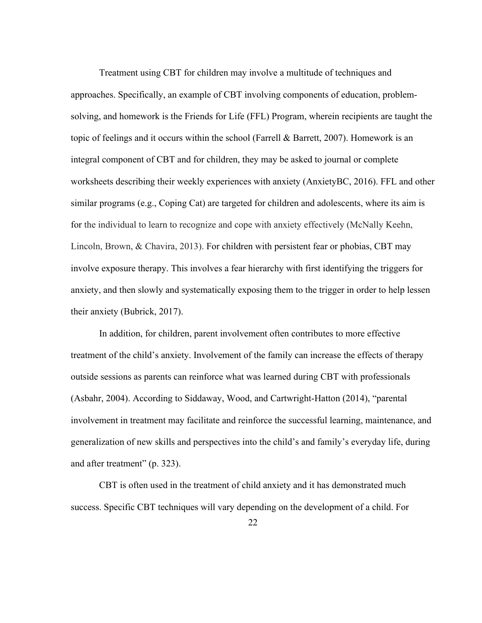Treatment using CBT for children may involve a multitude of techniques and approaches. Specifically, an example of CBT involving components of education, problemsolving, and homework is the Friends for Life (FFL) Program, wherein recipients are taught the topic of feelings and it occurs within the school (Farrell & Barrett, 2007). Homework is an integral component of CBT and for children, they may be asked to journal or complete worksheets describing their weekly experiences with anxiety (AnxietyBC, 2016). FFL and other similar programs (e.g., Coping Cat) are targeted for children and adolescents, where its aim is for the individual to learn to recognize and cope with anxiety effectively (McNally Keehn, Lincoln, Brown, & Chavira, 2013). For children with persistent fear or phobias, CBT may involve exposure therapy. This involves a fear hierarchy with first identifying the triggers for anxiety, and then slowly and systematically exposing them to the trigger in order to help lessen their anxiety (Bubrick, 2017).

In addition, for children, parent involvement often contributes to more effective treatment of the child's anxiety. Involvement of the family can increase the effects of therapy outside sessions as parents can reinforce what was learned during CBT with professionals (Asbahr, 2004). According to Siddaway, Wood, and Cartwright-Hatton (2014), "parental involvement in treatment may facilitate and reinforce the successful learning, maintenance, and generalization of new skills and perspectives into the child's and family's everyday life, during and after treatment" (p. 323).

CBT is often used in the treatment of child anxiety and it has demonstrated much success. Specific CBT techniques will vary depending on the development of a child. For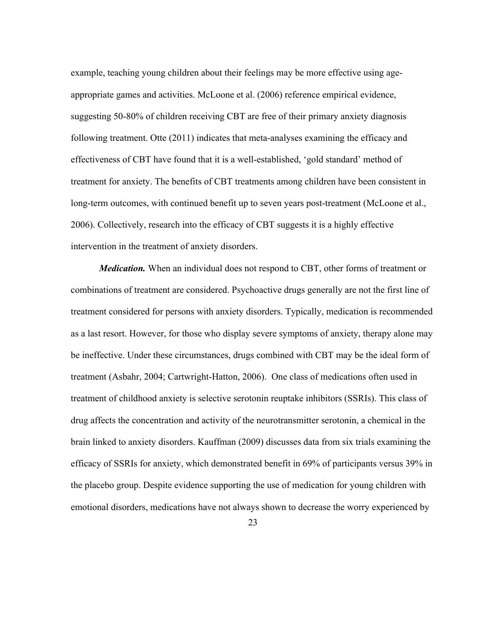example, teaching young children about their feelings may be more effective using ageappropriate games and activities. McLoone et al. (2006) reference empirical evidence, suggesting 50-80% of children receiving CBT are free of their primary anxiety diagnosis following treatment. Otte (2011) indicates that meta-analyses examining the efficacy and effectiveness of CBT have found that it is a well-established, 'gold standard' method of treatment for anxiety. The benefits of CBT treatments among children have been consistent in long-term outcomes, with continued benefit up to seven years post-treatment (McLoone et al., 2006). Collectively, research into the efficacy of CBT suggests it is a highly effective intervention in the treatment of anxiety disorders.

*Medication.* When an individual does not respond to CBT, other forms of treatment or combinations of treatment are considered. Psychoactive drugs generally are not the first line of treatment considered for persons with anxiety disorders. Typically, medication is recommended as a last resort. However, for those who display severe symptoms of anxiety, therapy alone may be ineffective. Under these circumstances, drugs combined with CBT may be the ideal form of treatment (Asbahr, 2004; Cartwright-Hatton, 2006). One class of medications often used in treatment of childhood anxiety is selective serotonin reuptake inhibitors (SSRIs). This class of drug affects the concentration and activity of the neurotransmitter serotonin, a chemical in the brain linked to anxiety disorders. Kauffman (2009) discusses data from six trials examining the efficacy of SSRIs for anxiety, which demonstrated benefit in 69% of participants versus 39% in the placebo group. Despite evidence supporting the use of medication for young children with emotional disorders, medications have not always shown to decrease the worry experienced by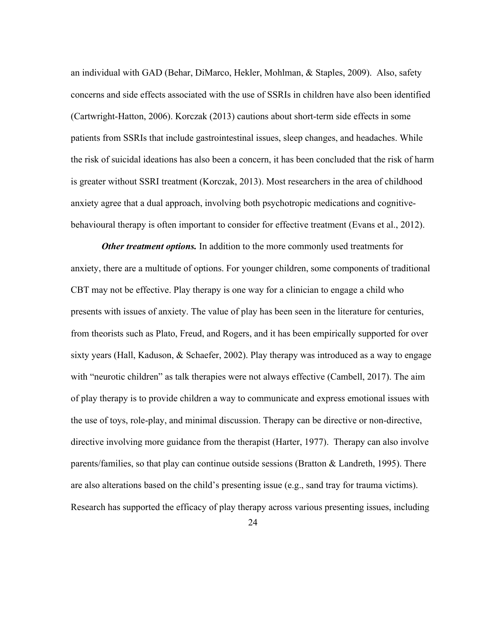an individual with GAD (Behar, DiMarco, Hekler, Mohlman, & Staples, 2009). Also, safety concerns and side effects associated with the use of SSRIs in children have also been identified (Cartwright-Hatton, 2006). Korczak (2013) cautions about short-term side effects in some patients from SSRIs that include gastrointestinal issues, sleep changes, and headaches. While the risk of suicidal ideations has also been a concern, it has been concluded that the risk of harm is greater without SSRI treatment (Korczak, 2013). Most researchers in the area of childhood anxiety agree that a dual approach, involving both psychotropic medications and cognitivebehavioural therapy is often important to consider for effective treatment (Evans et al., 2012).

*Other treatment options.* In addition to the more commonly used treatments for anxiety, there are a multitude of options. For younger children, some components of traditional CBT may not be effective. Play therapy is one way for a clinician to engage a child who presents with issues of anxiety. The value of play has been seen in the literature for centuries, from theorists such as Plato, Freud, and Rogers, and it has been empirically supported for over sixty years (Hall, Kaduson, & Schaefer, 2002). Play therapy was introduced as a way to engage with "neurotic children" as talk therapies were not always effective (Cambell, 2017). The aim of play therapy is to provide children a way to communicate and express emotional issues with the use of toys, role-play, and minimal discussion. Therapy can be directive or non-directive, directive involving more guidance from the therapist (Harter, 1977). Therapy can also involve parents/families, so that play can continue outside sessions (Bratton  $\&$  Landreth, 1995). There are also alterations based on the child's presenting issue (e.g., sand tray for trauma victims). Research has supported the efficacy of play therapy across various presenting issues, including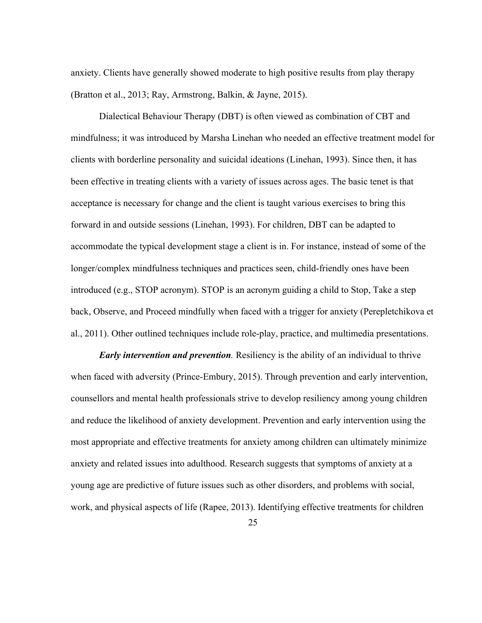anxiety. Clients have generally showed moderate to high positive results from play therapy (Bratton et al., 2013; Ray, Armstrong, Balkin, & Jayne, 2015).

Dialectical Behaviour Therapy (DBT) is often viewed as combination of CBT and mindfulness; it was introduced by Marsha Linehan who needed an effective treatment model for clients with borderline personality and suicidal ideations (Linehan, 1993). Since then, it has been effective in treating clients with a variety of issues across ages. The basic tenet is that acceptance is necessary for change and the client is taught various exercises to bring this forward in and outside sessions (Linehan, 1993). For children, DBT can be adapted to accommodate the typical development stage a client is in. For instance, instead of some of the longer/complex mindfulness techniques and practices seen, child-friendly ones have been introduced (e.g., STOP acronym). STOP is an acronym guiding a child to Stop, Take a step back, Observe, and Proceed mindfully when faced with a trigger for anxiety (Perepletchikova et al., 2011). Other outlined techniques include role-play, practice, and multimedia presentations.

*Early intervention and prevention.* Resiliency is the ability of an individual to thrive when faced with adversity (Prince-Embury, 2015). Through prevention and early intervention, counsellors and mental health professionals strive to develop resiliency among young children and reduce the likelihood of anxiety development. Prevention and early intervention using the most appropriate and effective treatments for anxiety among children can ultimately minimize anxiety and related issues into adulthood. Research suggests that symptoms of anxiety at a young age are predictive of future issues such as other disorders, and problems with social, work, and physical aspects of life (Rapee, 2013). Identifying effective treatments for children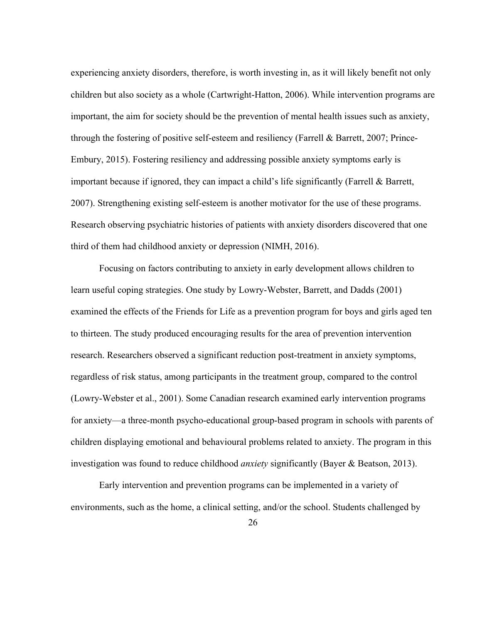experiencing anxiety disorders, therefore, is worth investing in, as it will likely benefit not only children but also society as a whole (Cartwright-Hatton, 2006). While intervention programs are important, the aim for society should be the prevention of mental health issues such as anxiety, through the fostering of positive self-esteem and resiliency (Farrell & Barrett, 2007; Prince-Embury, 2015). Fostering resiliency and addressing possible anxiety symptoms early is important because if ignored, they can impact a child's life significantly (Farrell & Barrett, 2007). Strengthening existing self-esteem is another motivator for the use of these programs. Research observing psychiatric histories of patients with anxiety disorders discovered that one third of them had childhood anxiety or depression (NIMH, 2016).

Focusing on factors contributing to anxiety in early development allows children to learn useful coping strategies. One study by Lowry-Webster, Barrett, and Dadds (2001) examined the effects of the Friends for Life as a prevention program for boys and girls aged ten to thirteen. The study produced encouraging results for the area of prevention intervention research. Researchers observed a significant reduction post-treatment in anxiety symptoms, regardless of risk status, among participants in the treatment group, compared to the control (Lowry-Webster et al., 2001). Some Canadian research examined early intervention programs for anxiety—a three-month psycho-educational group-based program in schools with parents of children displaying emotional and behavioural problems related to anxiety. The program in this investigation was found to reduce childhood *anxiety* significantly (Bayer & Beatson, 2013).

Early intervention and prevention programs can be implemented in a variety of environments, such as the home, a clinical setting, and/or the school. Students challenged by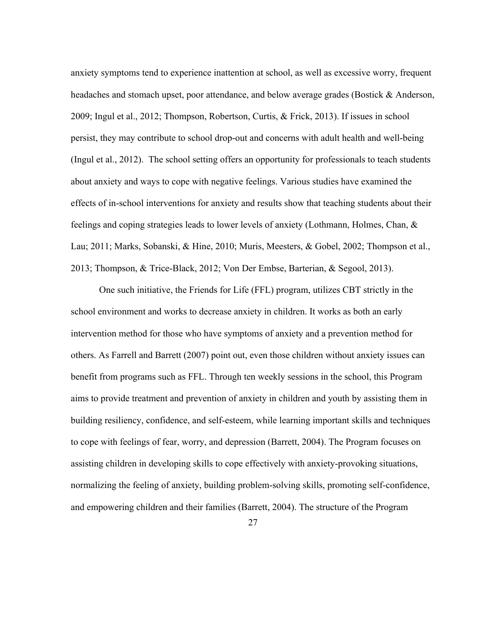anxiety symptoms tend to experience inattention at school, as well as excessive worry, frequent headaches and stomach upset, poor attendance, and below average grades (Bostick & Anderson, 2009; Ingul et al., 2012; Thompson, Robertson, Curtis, & Frick, 2013). If issues in school persist, they may contribute to school drop-out and concerns with adult health and well-being (Ingul et al., 2012). The school setting offers an opportunity for professionals to teach students about anxiety and ways to cope with negative feelings. Various studies have examined the effects of in-school interventions for anxiety and results show that teaching students about their feelings and coping strategies leads to lower levels of anxiety (Lothmann, Holmes, Chan, & Lau; 2011; Marks, Sobanski, & Hine, 2010; Muris, Meesters, & Gobel, 2002; Thompson et al., 2013; Thompson, & Trice-Black, 2012; Von Der Embse, Barterian, & Segool, 2013).

One such initiative, the Friends for Life (FFL) program, utilizes CBT strictly in the school environment and works to decrease anxiety in children. It works as both an early intervention method for those who have symptoms of anxiety and a prevention method for others. As Farrell and Barrett (2007) point out, even those children without anxiety issues can benefit from programs such as FFL. Through ten weekly sessions in the school, this Program aims to provide treatment and prevention of anxiety in children and youth by assisting them in building resiliency, confidence, and self-esteem, while learning important skills and techniques to cope with feelings of fear, worry, and depression (Barrett, 2004). The Program focuses on assisting children in developing skills to cope effectively with anxiety-provoking situations, normalizing the feeling of anxiety, building problem-solving skills, promoting self-confidence, and empowering children and their families (Barrett, 2004). The structure of the Program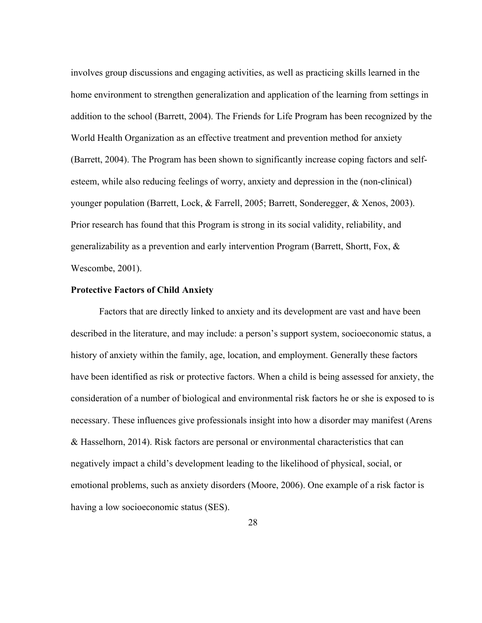involves group discussions and engaging activities, as well as practicing skills learned in the home environment to strengthen generalization and application of the learning from settings in addition to the school (Barrett, 2004). The Friends for Life Program has been recognized by the World Health Organization as an effective treatment and prevention method for anxiety (Barrett, 2004). The Program has been shown to significantly increase coping factors and selfesteem, while also reducing feelings of worry, anxiety and depression in the (non-clinical) younger population (Barrett, Lock, & Farrell, 2005; Barrett, Sonderegger, & Xenos, 2003). Prior research has found that this Program is strong in its social validity, reliability, and generalizability as a prevention and early intervention Program (Barrett, Shortt, Fox, & Wescombe, 2001).

### **Protective Factors of Child Anxiety**

Factors that are directly linked to anxiety and its development are vast and have been described in the literature, and may include: a person's support system, socioeconomic status, a history of anxiety within the family, age, location, and employment. Generally these factors have been identified as risk or protective factors. When a child is being assessed for anxiety, the consideration of a number of biological and environmental risk factors he or she is exposed to is necessary. These influences give professionals insight into how a disorder may manifest (Arens & Hasselhorn, 2014). Risk factors are personal or environmental characteristics that can negatively impact a child's development leading to the likelihood of physical, social, or emotional problems, such as anxiety disorders (Moore, 2006). One example of a risk factor is having a low socioeconomic status (SES).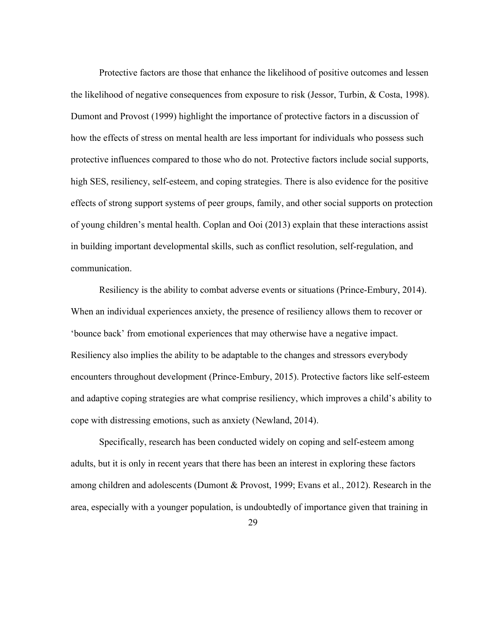Protective factors are those that enhance the likelihood of positive outcomes and lessen the likelihood of negative consequences from exposure to risk (Jessor, Turbin, & Costa, 1998). Dumont and Provost (1999) highlight the importance of protective factors in a discussion of how the effects of stress on mental health are less important for individuals who possess such protective influences compared to those who do not. Protective factors include social supports, high SES, resiliency, self-esteem, and coping strategies. There is also evidence for the positive effects of strong support systems of peer groups, family, and other social supports on protection of young children's mental health. Coplan and Ooi (2013) explain that these interactions assist in building important developmental skills, such as conflict resolution, self-regulation, and communication.

Resiliency is the ability to combat adverse events or situations (Prince-Embury, 2014). When an individual experiences anxiety, the presence of resiliency allows them to recover or 'bounce back' from emotional experiences that may otherwise have a negative impact. Resiliency also implies the ability to be adaptable to the changes and stressors everybody encounters throughout development (Prince-Embury, 2015). Protective factors like self-esteem and adaptive coping strategies are what comprise resiliency, which improves a child's ability to cope with distressing emotions, such as anxiety (Newland, 2014).

Specifically, research has been conducted widely on coping and self-esteem among adults, but it is only in recent years that there has been an interest in exploring these factors among children and adolescents (Dumont & Provost, 1999; Evans et al., 2012). Research in the area, especially with a younger population, is undoubtedly of importance given that training in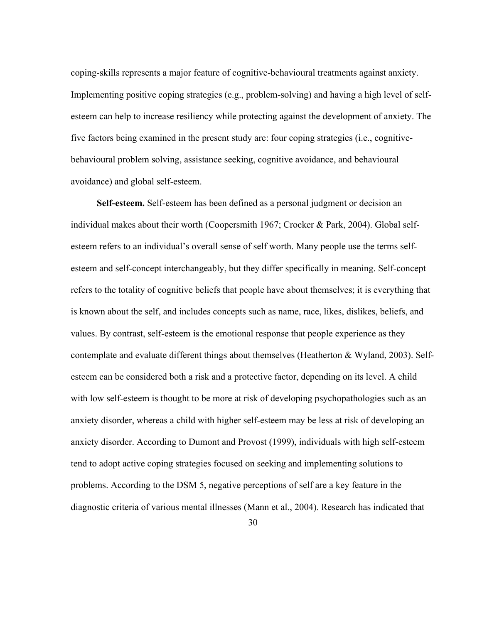coping-skills represents a major feature of cognitive-behavioural treatments against anxiety. Implementing positive coping strategies (e.g., problem-solving) and having a high level of selfesteem can help to increase resiliency while protecting against the development of anxiety. The five factors being examined in the present study are: four coping strategies (i.e., cognitivebehavioural problem solving, assistance seeking, cognitive avoidance, and behavioural avoidance) and global self-esteem.

 **Self-esteem.** Self-esteem has been defined as a personal judgment or decision an individual makes about their worth (Coopersmith 1967; Crocker & Park, 2004). Global selfesteem refers to an individual's overall sense of self worth. Many people use the terms selfesteem and self-concept interchangeably, but they differ specifically in meaning. Self-concept refers to the totality of cognitive beliefs that people have about themselves; it is everything that is known about the self, and includes concepts such as name, race, likes, dislikes, beliefs, and values. By contrast, self-esteem is the emotional response that people experience as they contemplate and evaluate different things about themselves (Heatherton & Wyland, 2003). Selfesteem can be considered both a risk and a protective factor, depending on its level. A child with low self-esteem is thought to be more at risk of developing psychopathologies such as an anxiety disorder, whereas a child with higher self-esteem may be less at risk of developing an anxiety disorder. According to Dumont and Provost (1999), individuals with high self-esteem tend to adopt active coping strategies focused on seeking and implementing solutions to problems. According to the DSM 5, negative perceptions of self are a key feature in the diagnostic criteria of various mental illnesses (Mann et al., 2004). Research has indicated that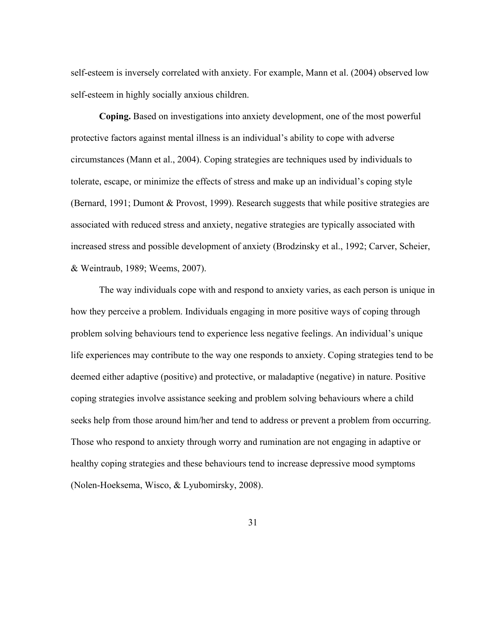self-esteem is inversely correlated with anxiety. For example, Mann et al. (2004) observed low self-esteem in highly socially anxious children.

**Coping.** Based on investigations into anxiety development, one of the most powerful protective factors against mental illness is an individual's ability to cope with adverse circumstances (Mann et al., 2004). Coping strategies are techniques used by individuals to tolerate, escape, or minimize the effects of stress and make up an individual's coping style (Bernard, 1991; Dumont & Provost, 1999). Research suggests that while positive strategies are associated with reduced stress and anxiety, negative strategies are typically associated with increased stress and possible development of anxiety (Brodzinsky et al., 1992; Carver, Scheier, & Weintraub, 1989; Weems, 2007).

The way individuals cope with and respond to anxiety varies, as each person is unique in how they perceive a problem. Individuals engaging in more positive ways of coping through problem solving behaviours tend to experience less negative feelings. An individual's unique life experiences may contribute to the way one responds to anxiety. Coping strategies tend to be deemed either adaptive (positive) and protective, or maladaptive (negative) in nature. Positive coping strategies involve assistance seeking and problem solving behaviours where a child seeks help from those around him/her and tend to address or prevent a problem from occurring. Those who respond to anxiety through worry and rumination are not engaging in adaptive or healthy coping strategies and these behaviours tend to increase depressive mood symptoms (Nolen-Hoeksema, Wisco, & Lyubomirsky, 2008).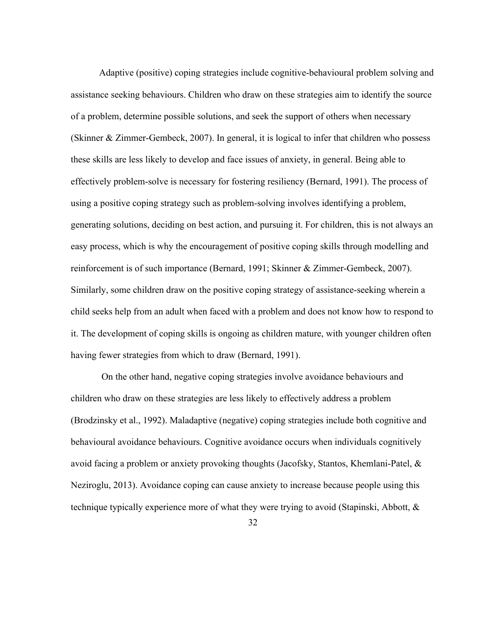Adaptive (positive) coping strategies include cognitive-behavioural problem solving and assistance seeking behaviours. Children who draw on these strategies aim to identify the source of a problem, determine possible solutions, and seek the support of others when necessary (Skinner & Zimmer-Gembeck, 2007). In general, it is logical to infer that children who possess these skills are less likely to develop and face issues of anxiety, in general. Being able to effectively problem-solve is necessary for fostering resiliency (Bernard, 1991). The process of using a positive coping strategy such as problem-solving involves identifying a problem, generating solutions, deciding on best action, and pursuing it. For children, this is not always an easy process, which is why the encouragement of positive coping skills through modelling and reinforcement is of such importance (Bernard, 1991; Skinner & Zimmer-Gembeck, 2007). Similarly, some children draw on the positive coping strategy of assistance-seeking wherein a child seeks help from an adult when faced with a problem and does not know how to respond to it. The development of coping skills is ongoing as children mature, with younger children often having fewer strategies from which to draw (Bernard, 1991).

On the other hand, negative coping strategies involve avoidance behaviours and children who draw on these strategies are less likely to effectively address a problem (Brodzinsky et al., 1992). Maladaptive (negative) coping strategies include both cognitive and behavioural avoidance behaviours. Cognitive avoidance occurs when individuals cognitively avoid facing a problem or anxiety provoking thoughts (Jacofsky, Stantos, Khemlani-Patel, & Neziroglu, 2013). Avoidance coping can cause anxiety to increase because people using this technique typically experience more of what they were trying to avoid (Stapinski, Abbott, &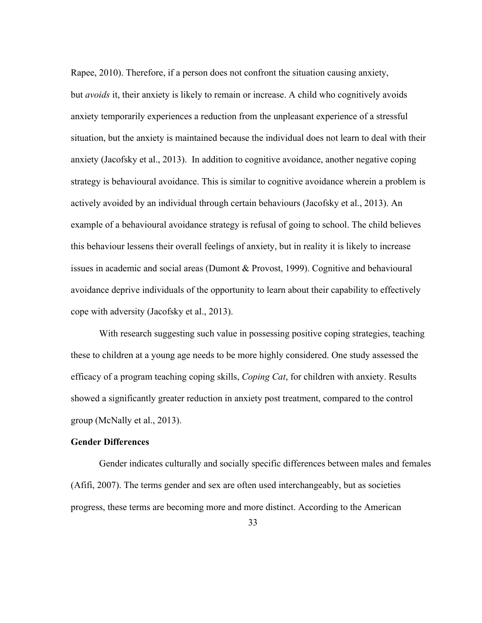Rapee, 2010). Therefore, if a person does not confront the situation causing anxiety, but *avoids* it, their anxiety is likely to remain or increase. A child who cognitively avoids anxiety temporarily experiences a reduction from the unpleasant experience of a stressful situation, but the anxiety is maintained because the individual does not learn to deal with their anxiety (Jacofsky et al., 2013). In addition to cognitive avoidance, another negative coping strategy is behavioural avoidance. This is similar to cognitive avoidance wherein a problem is actively avoided by an individual through certain behaviours (Jacofsky et al., 2013). An example of a behavioural avoidance strategy is refusal of going to school. The child believes this behaviour lessens their overall feelings of anxiety, but in reality it is likely to increase issues in academic and social areas (Dumont & Provost, 1999). Cognitive and behavioural avoidance deprive individuals of the opportunity to learn about their capability to effectively cope with adversity (Jacofsky et al., 2013).

With research suggesting such value in possessing positive coping strategies, teaching these to children at a young age needs to be more highly considered. One study assessed the efficacy of a program teaching coping skills, *Coping Cat*, for children with anxiety. Results showed a significantly greater reduction in anxiety post treatment, compared to the control group (McNally et al., 2013).

### **Gender Differences**

Gender indicates culturally and socially specific differences between males and females (Afifi, 2007). The terms gender and sex are often used interchangeably, but as societies progress, these terms are becoming more and more distinct. According to the American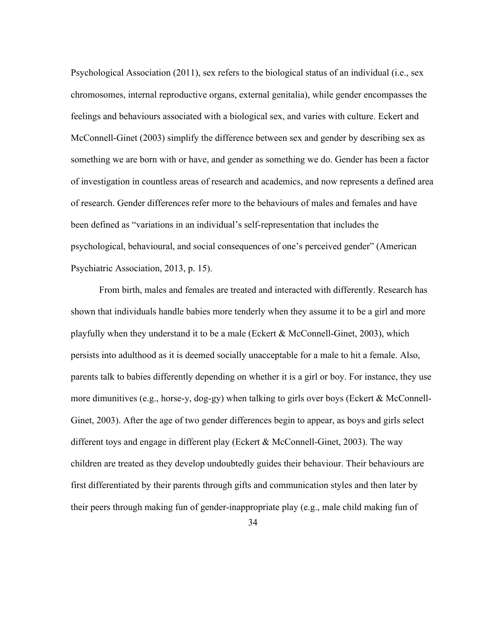Psychological Association (2011), sex refers to the biological status of an individual (i.e., sex chromosomes, internal reproductive organs, external genitalia), while gender encompasses the feelings and behaviours associated with a biological sex, and varies with culture. Eckert and McConnell-Ginet (2003) simplify the difference between sex and gender by describing sex as something we are born with or have, and gender as something we do. Gender has been a factor of investigation in countless areas of research and academics, and now represents a defined area of research. Gender differences refer more to the behaviours of males and females and have been defined as "variations in an individual's self-representation that includes the psychological, behavioural, and social consequences of one's perceived gender" (American Psychiatric Association, 2013, p. 15).

From birth, males and females are treated and interacted with differently. Research has shown that individuals handle babies more tenderly when they assume it to be a girl and more playfully when they understand it to be a male (Eckert & McConnell-Ginet, 2003), which persists into adulthood as it is deemed socially unacceptable for a male to hit a female. Also, parents talk to babies differently depending on whether it is a girl or boy. For instance, they use more dimunitives (e.g., horse-y, dog-gy) when talking to girls over boys (Eckert & McConnell-Ginet, 2003). After the age of two gender differences begin to appear, as boys and girls select different toys and engage in different play (Eckert & McConnell-Ginet, 2003). The way children are treated as they develop undoubtedly guides their behaviour. Their behaviours are first differentiated by their parents through gifts and communication styles and then later by their peers through making fun of gender-inappropriate play (e.g., male child making fun of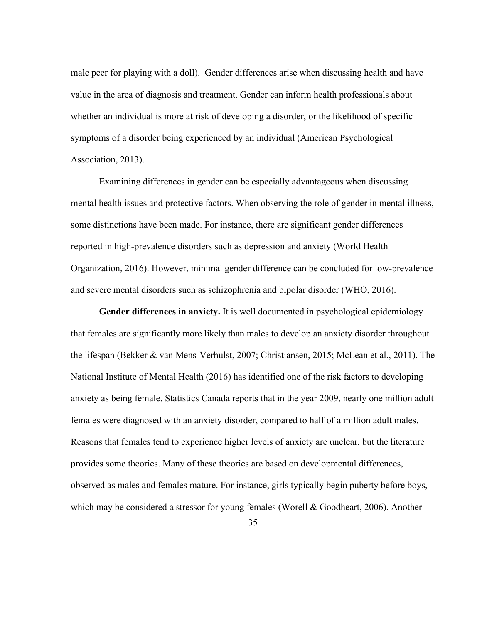male peer for playing with a doll). Gender differences arise when discussing health and have value in the area of diagnosis and treatment. Gender can inform health professionals about whether an individual is more at risk of developing a disorder, or the likelihood of specific symptoms of a disorder being experienced by an individual (American Psychological Association, 2013).

Examining differences in gender can be especially advantageous when discussing mental health issues and protective factors. When observing the role of gender in mental illness, some distinctions have been made. For instance, there are significant gender differences reported in high-prevalence disorders such as depression and anxiety (World Health Organization, 2016). However, minimal gender difference can be concluded for low-prevalence and severe mental disorders such as schizophrenia and bipolar disorder (WHO, 2016).

**Gender differences in anxiety.** It is well documented in psychological epidemiology that females are significantly more likely than males to develop an anxiety disorder throughout the lifespan (Bekker & van Mens-Verhulst, 2007; Christiansen, 2015; McLean et al., 2011). The National Institute of Mental Health (2016) has identified one of the risk factors to developing anxiety as being female. Statistics Canada reports that in the year 2009, nearly one million adult females were diagnosed with an anxiety disorder, compared to half of a million adult males. Reasons that females tend to experience higher levels of anxiety are unclear, but the literature provides some theories. Many of these theories are based on developmental differences, observed as males and females mature. For instance, girls typically begin puberty before boys, which may be considered a stressor for young females (Worell & Goodheart, 2006). Another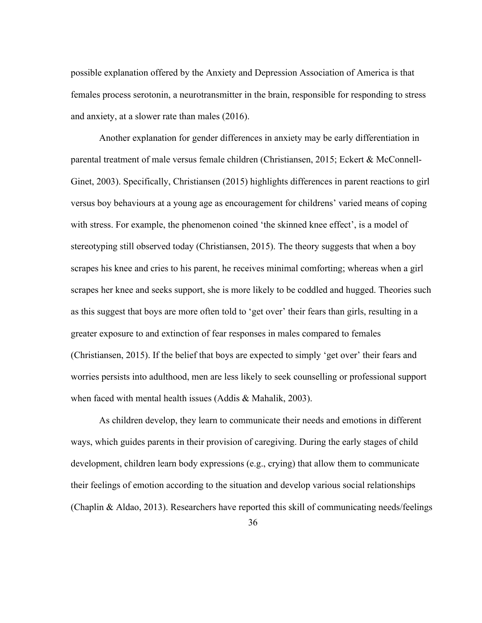possible explanation offered by the Anxiety and Depression Association of America is that females process serotonin, a neurotransmitter in the brain, responsible for responding to stress and anxiety, at a slower rate than males (2016).

Another explanation for gender differences in anxiety may be early differentiation in parental treatment of male versus female children (Christiansen, 2015; Eckert & McConnell-Ginet, 2003). Specifically, Christiansen (2015) highlights differences in parent reactions to girl versus boy behaviours at a young age as encouragement for childrens' varied means of coping with stress. For example, the phenomenon coined 'the skinned knee effect', is a model of stereotyping still observed today (Christiansen, 2015). The theory suggests that when a boy scrapes his knee and cries to his parent, he receives minimal comforting; whereas when a girl scrapes her knee and seeks support, she is more likely to be coddled and hugged. Theories such as this suggest that boys are more often told to 'get over' their fears than girls, resulting in a greater exposure to and extinction of fear responses in males compared to females (Christiansen, 2015). If the belief that boys are expected to simply 'get over' their fears and worries persists into adulthood, men are less likely to seek counselling or professional support when faced with mental health issues (Addis & Mahalik, 2003).

As children develop, they learn to communicate their needs and emotions in different ways, which guides parents in their provision of caregiving. During the early stages of child development, children learn body expressions (e.g., crying) that allow them to communicate their feelings of emotion according to the situation and develop various social relationships (Chaplin & Aldao, 2013). Researchers have reported this skill of communicating needs/feelings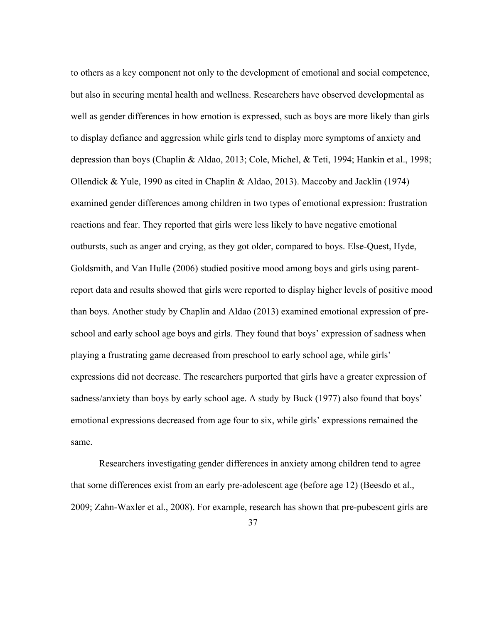to others as a key component not only to the development of emotional and social competence, but also in securing mental health and wellness. Researchers have observed developmental as well as gender differences in how emotion is expressed, such as boys are more likely than girls to display defiance and aggression while girls tend to display more symptoms of anxiety and depression than boys (Chaplin & Aldao, 2013; Cole, Michel, & Teti, 1994; Hankin et al., 1998; Ollendick & Yule, 1990 as cited in Chaplin & Aldao, 2013). Maccoby and Jacklin (1974) examined gender differences among children in two types of emotional expression: frustration reactions and fear. They reported that girls were less likely to have negative emotional outbursts, such as anger and crying, as they got older, compared to boys. Else-Quest, Hyde, Goldsmith, and Van Hulle (2006) studied positive mood among boys and girls using parentreport data and results showed that girls were reported to display higher levels of positive mood than boys. Another study by Chaplin and Aldao (2013) examined emotional expression of preschool and early school age boys and girls. They found that boys' expression of sadness when playing a frustrating game decreased from preschool to early school age, while girls' expressions did not decrease. The researchers purported that girls have a greater expression of sadness/anxiety than boys by early school age. A study by Buck (1977) also found that boys' emotional expressions decreased from age four to six, while girls' expressions remained the same.

Researchers investigating gender differences in anxiety among children tend to agree that some differences exist from an early pre-adolescent age (before age 12) (Beesdo et al., 2009; Zahn-Waxler et al., 2008). For example, research has shown that pre-pubescent girls are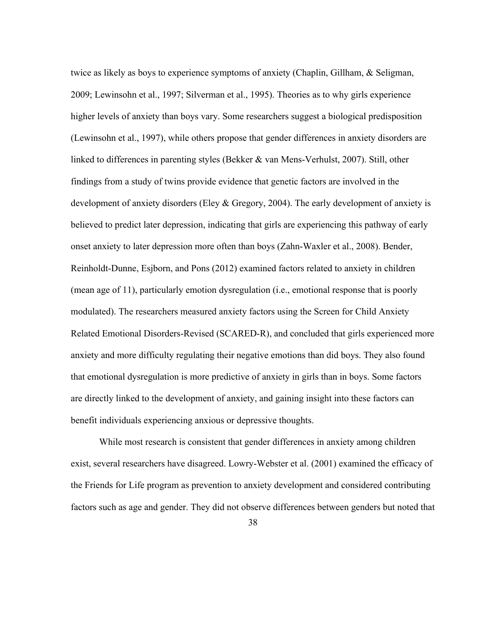twice as likely as boys to experience symptoms of anxiety (Chaplin, Gillham, & Seligman, 2009; Lewinsohn et al., 1997; Silverman et al., 1995). Theories as to why girls experience higher levels of anxiety than boys vary. Some researchers suggest a biological predisposition (Lewinsohn et al., 1997), while others propose that gender differences in anxiety disorders are linked to differences in parenting styles (Bekker & van Mens-Verhulst, 2007). Still, other findings from a study of twins provide evidence that genetic factors are involved in the development of anxiety disorders (Eley & Gregory, 2004). The early development of anxiety is believed to predict later depression, indicating that girls are experiencing this pathway of early onset anxiety to later depression more often than boys (Zahn-Waxler et al., 2008). Bender, Reinholdt-Dunne, Esjborn, and Pons (2012) examined factors related to anxiety in children (mean age of 11), particularly emotion dysregulation (i.e., emotional response that is poorly modulated). The researchers measured anxiety factors using the Screen for Child Anxiety Related Emotional Disorders-Revised (SCARED-R), and concluded that girls experienced more anxiety and more difficulty regulating their negative emotions than did boys. They also found that emotional dysregulation is more predictive of anxiety in girls than in boys. Some factors are directly linked to the development of anxiety, and gaining insight into these factors can benefit individuals experiencing anxious or depressive thoughts.

While most research is consistent that gender differences in anxiety among children exist, several researchers have disagreed. Lowry-Webster et al. (2001) examined the efficacy of the Friends for Life program as prevention to anxiety development and considered contributing factors such as age and gender. They did not observe differences between genders but noted that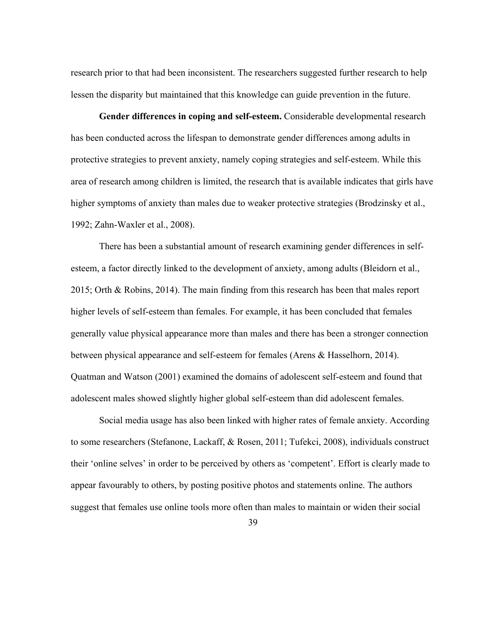research prior to that had been inconsistent. The researchers suggested further research to help lessen the disparity but maintained that this knowledge can guide prevention in the future.

**Gender differences in coping and self-esteem.** Considerable developmental research has been conducted across the lifespan to demonstrate gender differences among adults in protective strategies to prevent anxiety, namely coping strategies and self-esteem. While this area of research among children is limited, the research that is available indicates that girls have higher symptoms of anxiety than males due to weaker protective strategies (Brodzinsky et al., 1992; Zahn-Waxler et al., 2008).

There has been a substantial amount of research examining gender differences in selfesteem, a factor directly linked to the development of anxiety, among adults (Bleidorn et al., 2015; Orth & Robins, 2014). The main finding from this research has been that males report higher levels of self-esteem than females. For example, it has been concluded that females generally value physical appearance more than males and there has been a stronger connection between physical appearance and self-esteem for females (Arens & Hasselhorn, 2014). Quatman and Watson (2001) examined the domains of adolescent self-esteem and found that adolescent males showed slightly higher global self-esteem than did adolescent females.

Social media usage has also been linked with higher rates of female anxiety. According to some researchers (Stefanone, Lackaff, & Rosen, 2011; Tufekci, 2008), individuals construct their 'online selves' in order to be perceived by others as 'competent'. Effort is clearly made to appear favourably to others, by posting positive photos and statements online. The authors suggest that females use online tools more often than males to maintain or widen their social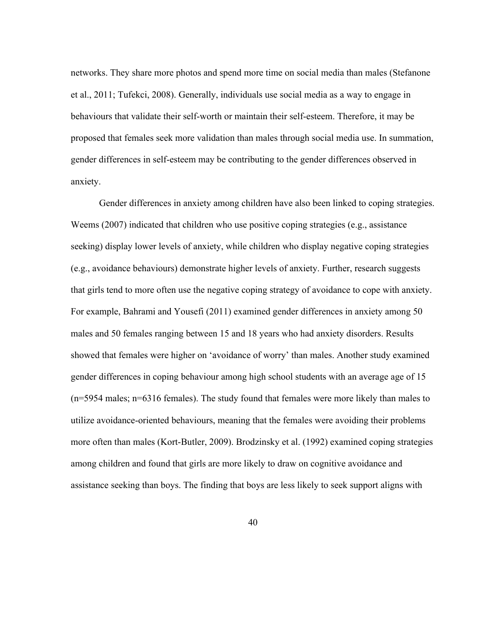networks. They share more photos and spend more time on social media than males (Stefanone et al., 2011; Tufekci, 2008). Generally, individuals use social media as a way to engage in behaviours that validate their self-worth or maintain their self-esteem. Therefore, it may be proposed that females seek more validation than males through social media use. In summation, gender differences in self-esteem may be contributing to the gender differences observed in anxiety.

Gender differences in anxiety among children have also been linked to coping strategies. Weems (2007) indicated that children who use positive coping strategies (e.g., assistance seeking) display lower levels of anxiety, while children who display negative coping strategies (e.g., avoidance behaviours) demonstrate higher levels of anxiety. Further, research suggests that girls tend to more often use the negative coping strategy of avoidance to cope with anxiety. For example, Bahrami and Yousefi (2011) examined gender differences in anxiety among 50 males and 50 females ranging between 15 and 18 years who had anxiety disorders. Results showed that females were higher on 'avoidance of worry' than males. Another study examined gender differences in coping behaviour among high school students with an average age of 15 (n=5954 males; n=6316 females). The study found that females were more likely than males to utilize avoidance-oriented behaviours, meaning that the females were avoiding their problems more often than males (Kort-Butler, 2009). Brodzinsky et al. (1992) examined coping strategies among children and found that girls are more likely to draw on cognitive avoidance and assistance seeking than boys. The finding that boys are less likely to seek support aligns with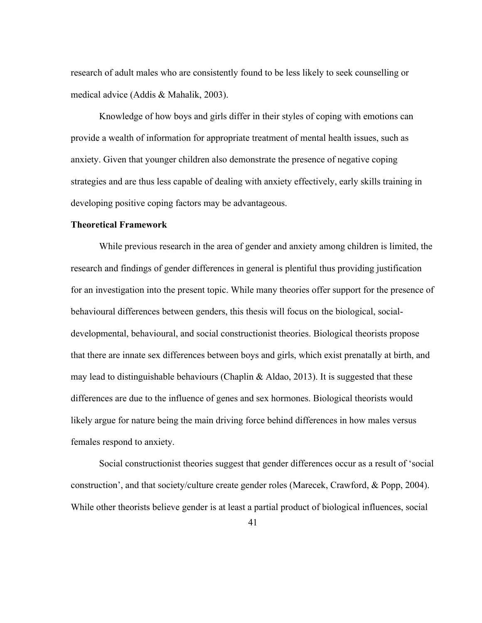research of adult males who are consistently found to be less likely to seek counselling or medical advice (Addis & Mahalik, 2003).

Knowledge of how boys and girls differ in their styles of coping with emotions can provide a wealth of information for appropriate treatment of mental health issues, such as anxiety. Given that younger children also demonstrate the presence of negative coping strategies and are thus less capable of dealing with anxiety effectively, early skills training in developing positive coping factors may be advantageous.

#### **Theoretical Framework**

While previous research in the area of gender and anxiety among children is limited, the research and findings of gender differences in general is plentiful thus providing justification for an investigation into the present topic. While many theories offer support for the presence of behavioural differences between genders, this thesis will focus on the biological, socialdevelopmental, behavioural, and social constructionist theories. Biological theorists propose that there are innate sex differences between boys and girls, which exist prenatally at birth, and may lead to distinguishable behaviours (Chaplin  $\&$  Aldao, 2013). It is suggested that these differences are due to the influence of genes and sex hormones. Biological theorists would likely argue for nature being the main driving force behind differences in how males versus females respond to anxiety.

Social constructionist theories suggest that gender differences occur as a result of 'social construction', and that society/culture create gender roles (Marecek, Crawford, & Popp, 2004). While other theorists believe gender is at least a partial product of biological influences, social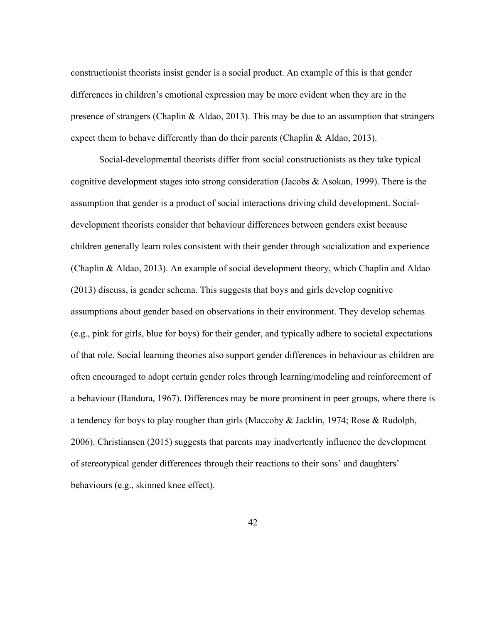constructionist theorists insist gender is a social product. An example of this is that gender differences in children's emotional expression may be more evident when they are in the presence of strangers (Chaplin & Aldao, 2013). This may be due to an assumption that strangers expect them to behave differently than do their parents (Chaplin & Aldao, 2013).

Social-developmental theorists differ from social constructionists as they take typical cognitive development stages into strong consideration (Jacobs & Asokan, 1999). There is the assumption that gender is a product of social interactions driving child development. Socialdevelopment theorists consider that behaviour differences between genders exist because children generally learn roles consistent with their gender through socialization and experience (Chaplin & Aldao, 2013). An example of social development theory, which Chaplin and Aldao (2013) discuss, is gender schema. This suggests that boys and girls develop cognitive assumptions about gender based on observations in their environment. They develop schemas (e.g., pink for girls, blue for boys) for their gender, and typically adhere to societal expectations of that role. Social learning theories also support gender differences in behaviour as children are often encouraged to adopt certain gender roles through learning/modeling and reinforcement of a behaviour (Bandura, 1967). Differences may be more prominent in peer groups, where there is a tendency for boys to play rougher than girls (Maccoby & Jacklin, 1974; Rose & Rudolph, 2006). Christiansen (2015) suggests that parents may inadvertently influence the development of stereotypical gender differences through their reactions to their sons' and daughters' behaviours (e.g., skinned knee effect).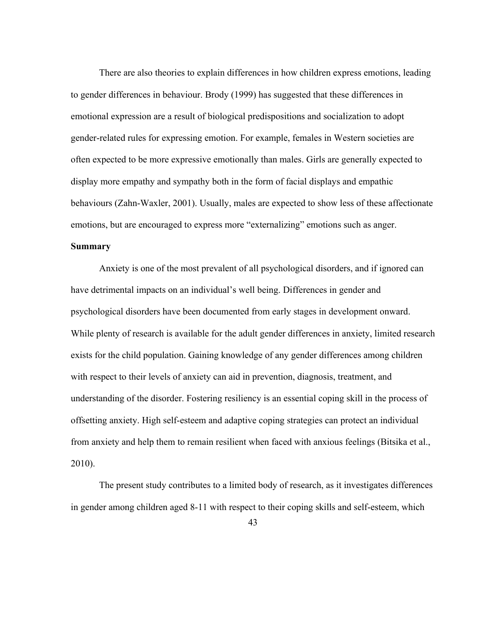There are also theories to explain differences in how children express emotions, leading to gender differences in behaviour. Brody (1999) has suggested that these differences in emotional expression are a result of biological predispositions and socialization to adopt gender-related rules for expressing emotion. For example, females in Western societies are often expected to be more expressive emotionally than males. Girls are generally expected to display more empathy and sympathy both in the form of facial displays and empathic behaviours (Zahn-Waxler, 2001). Usually, males are expected to show less of these affectionate emotions, but are encouraged to express more "externalizing" emotions such as anger.

## **Summary**

Anxiety is one of the most prevalent of all psychological disorders, and if ignored can have detrimental impacts on an individual's well being. Differences in gender and psychological disorders have been documented from early stages in development onward. While plenty of research is available for the adult gender differences in anxiety, limited research exists for the child population. Gaining knowledge of any gender differences among children with respect to their levels of anxiety can aid in prevention, diagnosis, treatment, and understanding of the disorder. Fostering resiliency is an essential coping skill in the process of offsetting anxiety. High self-esteem and adaptive coping strategies can protect an individual from anxiety and help them to remain resilient when faced with anxious feelings (Bitsika et al., 2010).

The present study contributes to a limited body of research, as it investigates differences in gender among children aged 8-11 with respect to their coping skills and self-esteem, which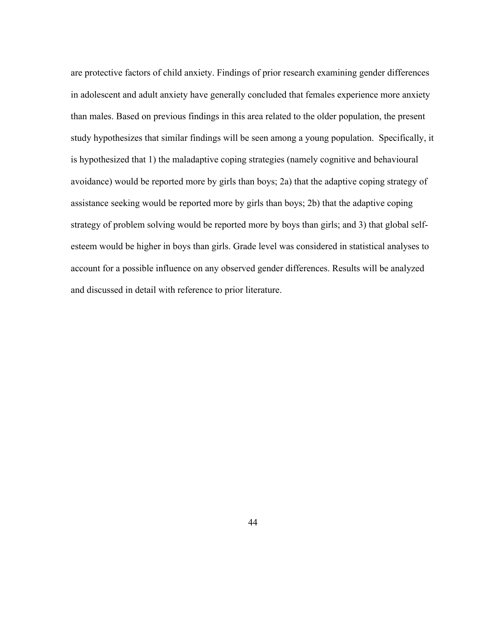are protective factors of child anxiety. Findings of prior research examining gender differences in adolescent and adult anxiety have generally concluded that females experience more anxiety than males. Based on previous findings in this area related to the older population, the present study hypothesizes that similar findings will be seen among a young population. Specifically, it is hypothesized that 1) the maladaptive coping strategies (namely cognitive and behavioural avoidance) would be reported more by girls than boys; 2a) that the adaptive coping strategy of assistance seeking would be reported more by girls than boys; 2b) that the adaptive coping strategy of problem solving would be reported more by boys than girls; and 3) that global selfesteem would be higher in boys than girls. Grade level was considered in statistical analyses to account for a possible influence on any observed gender differences. Results will be analyzed and discussed in detail with reference to prior literature.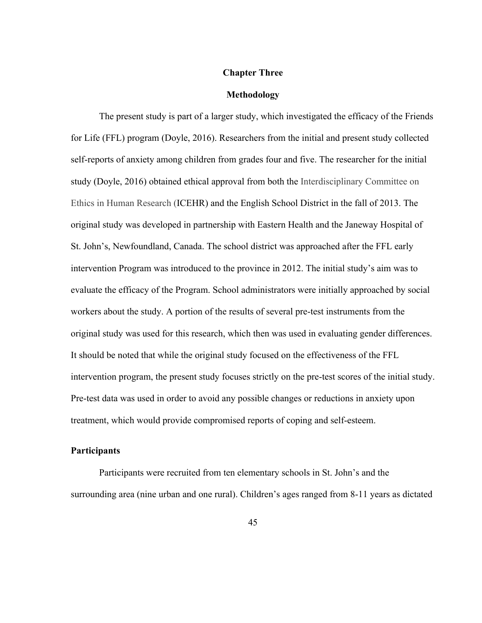## **Chapter Three**

## **Methodology**

The present study is part of a larger study, which investigated the efficacy of the Friends for Life (FFL) program (Doyle, 2016). Researchers from the initial and present study collected self-reports of anxiety among children from grades four and five. The researcher for the initial study (Doyle, 2016) obtained ethical approval from both the Interdisciplinary Committee on Ethics in Human Research (ICEHR) and the English School District in the fall of 2013. The original study was developed in partnership with Eastern Health and the Janeway Hospital of St. John's, Newfoundland, Canada. The school district was approached after the FFL early intervention Program was introduced to the province in 2012. The initial study's aim was to evaluate the efficacy of the Program. School administrators were initially approached by social workers about the study. A portion of the results of several pre-test instruments from the original study was used for this research, which then was used in evaluating gender differences. It should be noted that while the original study focused on the effectiveness of the FFL intervention program, the present study focuses strictly on the pre-test scores of the initial study. Pre-test data was used in order to avoid any possible changes or reductions in anxiety upon treatment, which would provide compromised reports of coping and self-esteem.

#### **Participants**

Participants were recruited from ten elementary schools in St. John's and the surrounding area (nine urban and one rural). Children's ages ranged from 8-11 years as dictated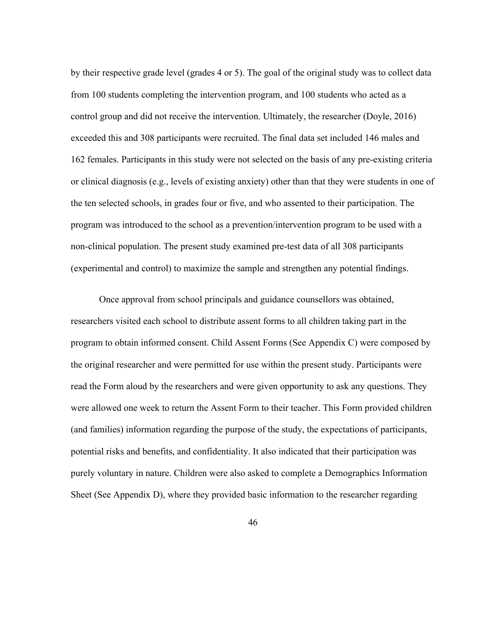by their respective grade level (grades 4 or 5). The goal of the original study was to collect data from 100 students completing the intervention program, and 100 students who acted as a control group and did not receive the intervention. Ultimately, the researcher (Doyle, 2016) exceeded this and 308 participants were recruited. The final data set included 146 males and 162 females. Participants in this study were not selected on the basis of any pre-existing criteria or clinical diagnosis (e.g., levels of existing anxiety) other than that they were students in one of the ten selected schools, in grades four or five, and who assented to their participation. The program was introduced to the school as a prevention/intervention program to be used with a non-clinical population. The present study examined pre-test data of all 308 participants (experimental and control) to maximize the sample and strengthen any potential findings.

Once approval from school principals and guidance counsellors was obtained, researchers visited each school to distribute assent forms to all children taking part in the program to obtain informed consent. Child Assent Forms (See Appendix C) were composed by the original researcher and were permitted for use within the present study. Participants were read the Form aloud by the researchers and were given opportunity to ask any questions. They were allowed one week to return the Assent Form to their teacher. This Form provided children (and families) information regarding the purpose of the study, the expectations of participants, potential risks and benefits, and confidentiality. It also indicated that their participation was purely voluntary in nature. Children were also asked to complete a Demographics Information Sheet (See Appendix D), where they provided basic information to the researcher regarding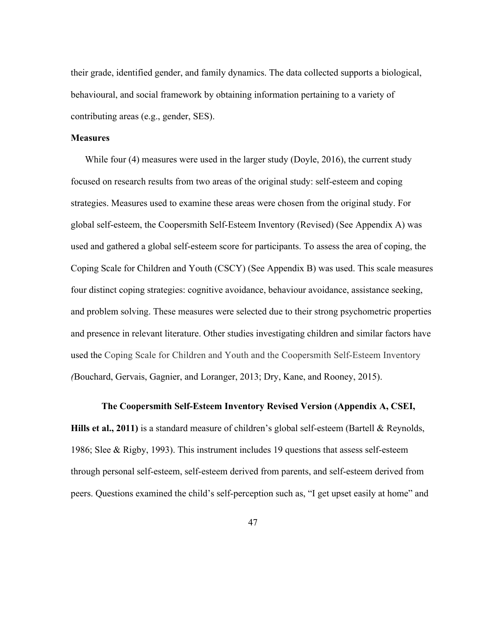their grade, identified gender, and family dynamics. The data collected supports a biological, behavioural, and social framework by obtaining information pertaining to a variety of contributing areas (e.g., gender, SES).

## **Measures**

While four (4) measures were used in the larger study (Doyle, 2016), the current study focused on research results from two areas of the original study: self-esteem and coping strategies. Measures used to examine these areas were chosen from the original study. For global self-esteem, the Coopersmith Self-Esteem Inventory (Revised) (See Appendix A) was used and gathered a global self-esteem score for participants. To assess the area of coping, the Coping Scale for Children and Youth (CSCY) (See Appendix B) was used. This scale measures four distinct coping strategies: cognitive avoidance, behaviour avoidance, assistance seeking, and problem solving. These measures were selected due to their strong psychometric properties and presence in relevant literature. Other studies investigating children and similar factors have used the Coping Scale for Children and Youth and the Coopersmith Self-Esteem Inventory *(*Bouchard, Gervais, Gagnier, and Loranger, 2013; Dry, Kane, and Rooney, 2015).

## **The Coopersmith Self-Esteem Inventory Revised Version (Appendix A, CSEI,**

**Hills et al., 2011)** is a standard measure of children's global self-esteem (Bartell & Reynolds, 1986; Slee & Rigby, 1993). This instrument includes 19 questions that assess self-esteem through personal self-esteem, self-esteem derived from parents, and self-esteem derived from peers. Questions examined the child's self-perception such as, "I get upset easily at home" and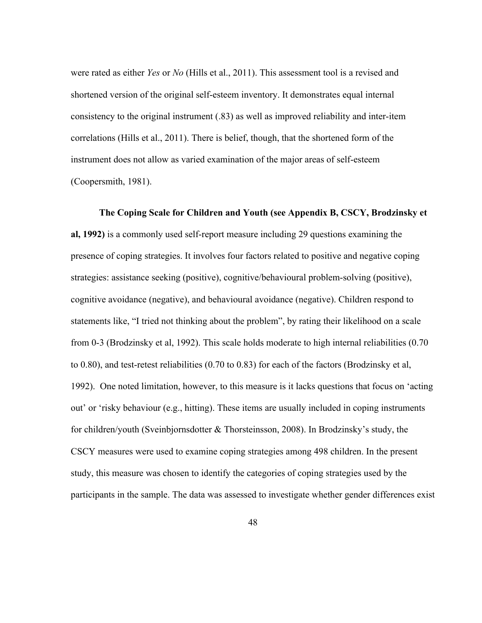were rated as either *Yes* or *No* (Hills et al., 2011). This assessment tool is a revised and shortened version of the original self-esteem inventory. It demonstrates equal internal consistency to the original instrument (.83) as well as improved reliability and inter-item correlations (Hills et al., 2011). There is belief, though, that the shortened form of the instrument does not allow as varied examination of the major areas of self-esteem (Coopersmith, 1981).

**The Coping Scale for Children and Youth (see Appendix B, CSCY, Brodzinsky et al, 1992)** is a commonly used self-report measure including 29 questions examining the presence of coping strategies. It involves four factors related to positive and negative coping strategies: assistance seeking (positive), cognitive/behavioural problem-solving (positive), cognitive avoidance (negative), and behavioural avoidance (negative). Children respond to statements like, "I tried not thinking about the problem", by rating their likelihood on a scale from 0-3 (Brodzinsky et al, 1992). This scale holds moderate to high internal reliabilities (0.70 to 0.80), and test-retest reliabilities (0.70 to 0.83) for each of the factors (Brodzinsky et al, 1992). One noted limitation, however, to this measure is it lacks questions that focus on 'acting out' or 'risky behaviour (e.g., hitting). These items are usually included in coping instruments for children/youth (Sveinbjornsdotter & Thorsteinsson, 2008). In Brodzinsky's study, the CSCY measures were used to examine coping strategies among 498 children. In the present study, this measure was chosen to identify the categories of coping strategies used by the participants in the sample. The data was assessed to investigate whether gender differences exist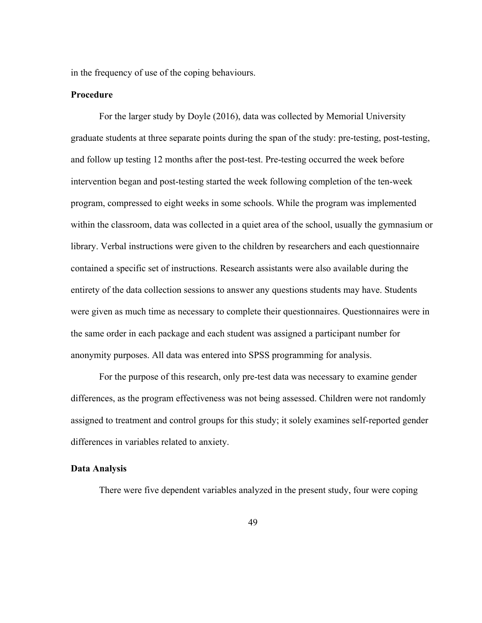in the frequency of use of the coping behaviours.

## **Procedure**

For the larger study by Doyle (2016), data was collected by Memorial University graduate students at three separate points during the span of the study: pre-testing, post-testing, and follow up testing 12 months after the post-test. Pre-testing occurred the week before intervention began and post-testing started the week following completion of the ten-week program, compressed to eight weeks in some schools. While the program was implemented within the classroom, data was collected in a quiet area of the school, usually the gymnasium or library. Verbal instructions were given to the children by researchers and each questionnaire contained a specific set of instructions. Research assistants were also available during the entirety of the data collection sessions to answer any questions students may have. Students were given as much time as necessary to complete their questionnaires. Questionnaires were in the same order in each package and each student was assigned a participant number for anonymity purposes. All data was entered into SPSS programming for analysis.

For the purpose of this research, only pre-test data was necessary to examine gender differences, as the program effectiveness was not being assessed. Children were not randomly assigned to treatment and control groups for this study; it solely examines self-reported gender differences in variables related to anxiety.

## **Data Analysis**

There were five dependent variables analyzed in the present study, four were coping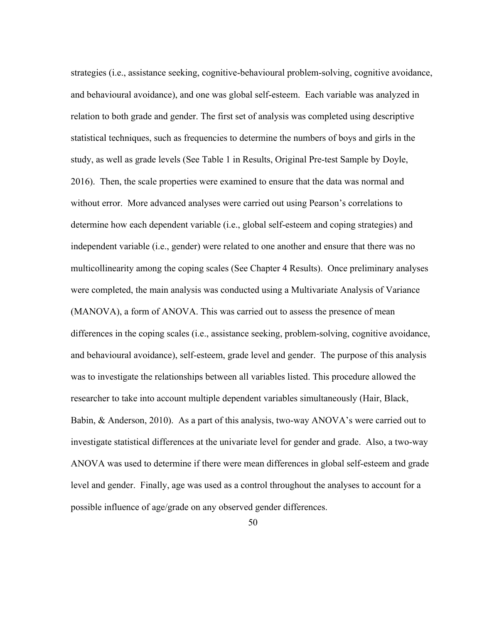strategies (i.e., assistance seeking, cognitive-behavioural problem-solving, cognitive avoidance, and behavioural avoidance), and one was global self-esteem. Each variable was analyzed in relation to both grade and gender. The first set of analysis was completed using descriptive statistical techniques, such as frequencies to determine the numbers of boys and girls in the study, as well as grade levels (See Table 1 in Results, Original Pre-test Sample by Doyle, 2016). Then, the scale properties were examined to ensure that the data was normal and without error. More advanced analyses were carried out using Pearson's correlations to determine how each dependent variable (i.e., global self-esteem and coping strategies) and independent variable (i.e., gender) were related to one another and ensure that there was no multicollinearity among the coping scales (See Chapter 4 Results). Once preliminary analyses were completed, the main analysis was conducted using a Multivariate Analysis of Variance (MANOVA), a form of ANOVA. This was carried out to assess the presence of mean differences in the coping scales (i.e., assistance seeking, problem-solving, cognitive avoidance, and behavioural avoidance), self-esteem, grade level and gender. The purpose of this analysis was to investigate the relationships between all variables listed. This procedure allowed the researcher to take into account multiple dependent variables simultaneously (Hair, Black, Babin, & Anderson, 2010). As a part of this analysis, two-way ANOVA's were carried out to investigate statistical differences at the univariate level for gender and grade. Also, a two-way ANOVA was used to determine if there were mean differences in global self-esteem and grade level and gender. Finally, age was used as a control throughout the analyses to account for a possible influence of age/grade on any observed gender differences.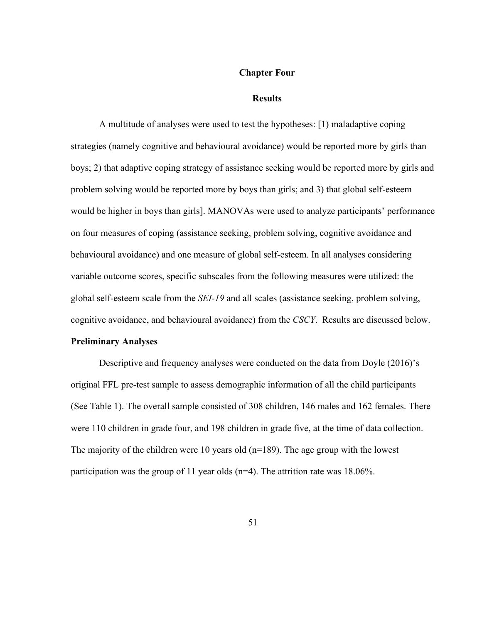#### **Chapter Four**

#### **Results**

A multitude of analyses were used to test the hypotheses: [1) maladaptive coping strategies (namely cognitive and behavioural avoidance) would be reported more by girls than boys; 2) that adaptive coping strategy of assistance seeking would be reported more by girls and problem solving would be reported more by boys than girls; and 3) that global self-esteem would be higher in boys than girls]. MANOVAs were used to analyze participants' performance on four measures of coping (assistance seeking, problem solving, cognitive avoidance and behavioural avoidance) and one measure of global self-esteem. In all analyses considering variable outcome scores, specific subscales from the following measures were utilized: the global self-esteem scale from the *SEI-19* and all scales (assistance seeking, problem solving, cognitive avoidance, and behavioural avoidance) from the *CSCY*. Results are discussed below.

## **Preliminary Analyses**

Descriptive and frequency analyses were conducted on the data from Doyle (2016)'s original FFL pre-test sample to assess demographic information of all the child participants (See Table 1). The overall sample consisted of 308 children, 146 males and 162 females. There were 110 children in grade four, and 198 children in grade five, at the time of data collection. The majority of the children were 10 years old (n=189). The age group with the lowest participation was the group of 11 year olds (n=4). The attrition rate was 18.06%.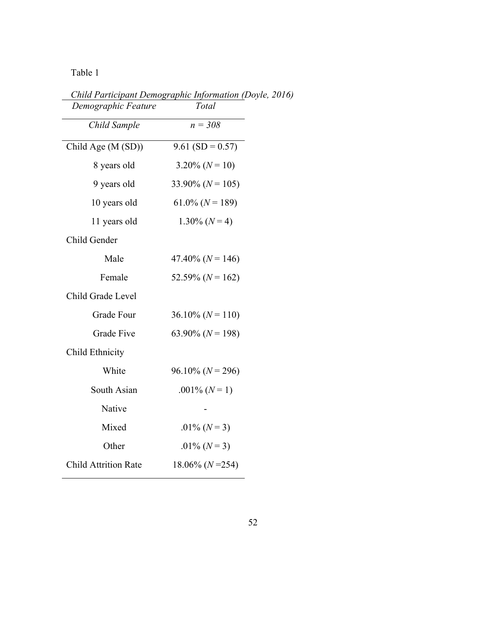Table 1

| Demographic Feature         | Total                   |
|-----------------------------|-------------------------|
| Child Sample                | $n = 308$               |
| Child Age (M (SD))          | $9.61$ (SD = 0.57)      |
| 8 years old                 | $3.20\%$ (N = 10)       |
| 9 years old                 | 33.90% ( $N = 105$ )    |
| 10 years old                | $61.0\%$ ( $N = 189$ )  |
| 11 years old                | $1.30\%$ (N = 4)        |
| Child Gender                |                         |
| Male                        | $47.40\%$ ( $N = 146$ ) |
| Female                      | 52.59% ( $N = 162$ )    |
| Child Grade Level           |                         |
| Grade Four                  | $36.10\%$ (N = 110)     |
| <b>Grade Five</b>           | 63.90% ( $N = 198$ )    |
| Child Ethnicity             |                         |
| White                       | $96.10\%$ ( $N = 296$ ) |
| South Asian                 | .001\% $(N=1)$          |
| Native                      |                         |
| Mixed                       | .01% $(N=3)$            |
| Other                       | .01% $(N=3)$            |
| <b>Child Attrition Rate</b> | $18.06\%$ (N = 254)     |
|                             |                         |

*Child Participant Demographic Information (Doyle, 2016)*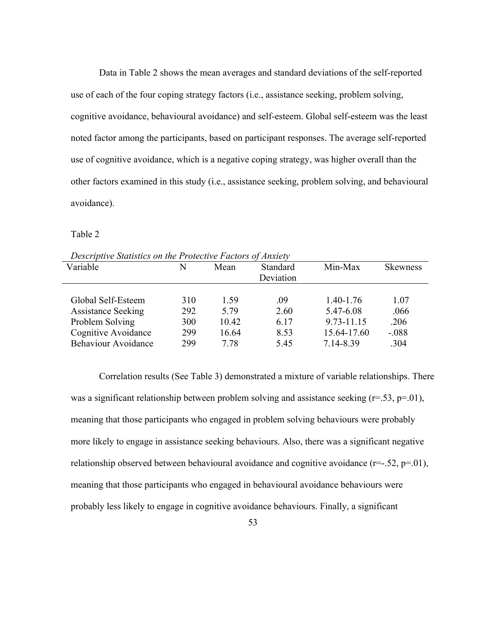Data in Table 2 shows the mean averages and standard deviations of the self-reported use of each of the four coping strategy factors (i.e., assistance seeking, problem solving, cognitive avoidance, behavioural avoidance) and self-esteem. Global self-esteem was the least noted factor among the participants, based on participant responses. The average self-reported use of cognitive avoidance, which is a negative coping strategy, was higher overall than the other factors examined in this study (i.e., assistance seeking, problem solving, and behavioural avoidance).

Table 2

| Descriptive Statistics on the Protective Factors of Anxiety |     |       |           |             |                 |  |  |
|-------------------------------------------------------------|-----|-------|-----------|-------------|-----------------|--|--|
| Variable                                                    | N   | Mean  | Standard  | Min-Max     | <b>Skewness</b> |  |  |
|                                                             |     |       | Deviation |             |                 |  |  |
|                                                             |     |       |           |             |                 |  |  |
| Global Self-Esteem                                          | 310 | 1.59  | .09       | 1.40-1.76   | 1.07            |  |  |
| <b>Assistance Seeking</b>                                   | 292 | 5.79  | 2.60      | 5.47-6.08   | .066            |  |  |
| Problem Solving                                             | 300 | 10.42 | 6.17      | 9.73-11.15  | .206            |  |  |
| Cognitive Avoidance                                         | 299 | 16.64 | 8.53      | 15.64-17.60 | $-.088$         |  |  |
| <b>Behaviour Avoidance</b>                                  | 299 | 7.78  | 5.45      | 7.14-8.39   | .304            |  |  |

*Descriptive Statistics on the Protective Factors of Anxiety*

Correlation results (See Table 3) demonstrated a mixture of variable relationships. There was a significant relationship between problem solving and assistance seeking  $(r=.53, p=.01)$ , meaning that those participants who engaged in problem solving behaviours were probably more likely to engage in assistance seeking behaviours. Also, there was a significant negative relationship observed between behavioural avoidance and cognitive avoidance  $(r=-.52, p=.01)$ , meaning that those participants who engaged in behavioural avoidance behaviours were probably less likely to engage in cognitive avoidance behaviours. Finally, a significant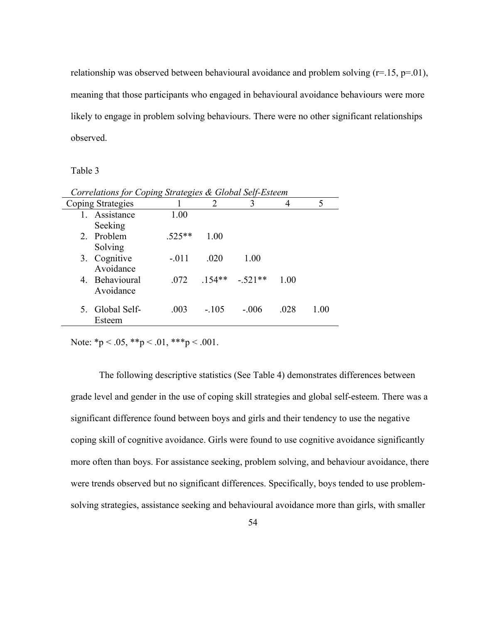relationship was observed between behavioural avoidance and problem solving  $(r=15, p=01)$ , meaning that those participants who engaged in behavioural avoidance behaviours were more likely to engage in problem solving behaviours. There were no other significant relationships observed.

Table 3

|       | Corretations for Coping Strategies & Gibbal Self-Esteem |          |         |                 |      |      |  |  |
|-------|---------------------------------------------------------|----------|---------|-----------------|------|------|--|--|
|       | Coping Strategies                                       |          | 2       | 3               |      | 5    |  |  |
|       | 1. Assistance                                           | 1.00     |         |                 |      |      |  |  |
|       | Seeking                                                 |          |         |                 |      |      |  |  |
|       | 2. Problem                                              | $.525**$ | 1.00    |                 |      |      |  |  |
|       | Solving                                                 |          |         |                 |      |      |  |  |
|       | 3. Cognitive                                            | $-.011$  | .020    | 1.00            |      |      |  |  |
|       | Avoidance                                               |          |         |                 |      |      |  |  |
|       | 4. Behavioural                                          | .072     |         | $154** - 521**$ | 1.00 |      |  |  |
|       | Avoidance                                               |          |         |                 |      |      |  |  |
|       |                                                         |          |         |                 |      |      |  |  |
| $5 -$ | Global Self-                                            | .003     | $-.105$ | $-.006$         | .028 | 1.00 |  |  |
|       | Esteem                                                  |          |         |                 |      |      |  |  |

*Correlations for Coping Strategies & Global Self-Esteem*

Note: \*p < .05, \*\*p < .01, \*\*\*p < .001.

The following descriptive statistics (See Table 4) demonstrates differences between grade level and gender in the use of coping skill strategies and global self-esteem. There was a significant difference found between boys and girls and their tendency to use the negative coping skill of cognitive avoidance. Girls were found to use cognitive avoidance significantly more often than boys. For assistance seeking, problem solving, and behaviour avoidance, there were trends observed but no significant differences. Specifically, boys tended to use problemsolving strategies, assistance seeking and behavioural avoidance more than girls, with smaller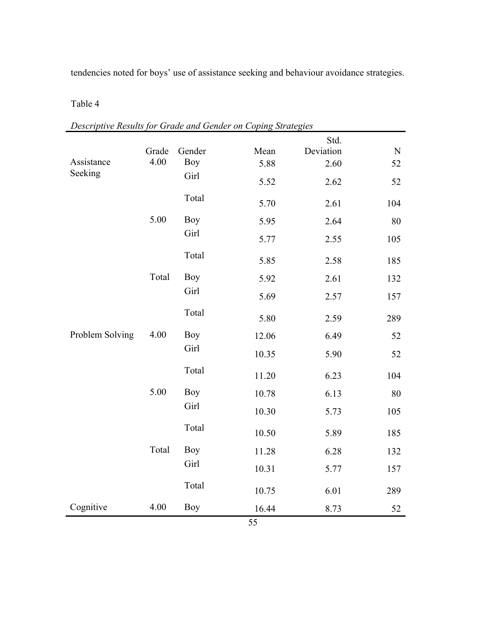tendencies noted for boys' use of assistance seeking and behaviour avoidance strategies.

# Table 4

|                 |              |            |       | $\sim \cdots \sim \sim$<br>Std. |           |
|-----------------|--------------|------------|-------|---------------------------------|-----------|
|                 | Grade        | Gender     | Mean  | Deviation                       | ${\bf N}$ |
| Assistance      | 4.00         | <b>Boy</b> | 5.88  | 2.60                            | 52        |
| Seeking         |              | Girl       | 5.52  | 2.62                            | 52        |
|                 |              | Total      | 5.70  | 2.61                            | 104       |
|                 | 5.00         | <b>Boy</b> | 5.95  | 2.64                            | 80        |
|                 |              | Girl       | 5.77  | 2.55                            | 105       |
|                 |              | Total      | 5.85  | 2.58                            | 185       |
|                 | Total        | <b>Boy</b> | 5.92  | 2.61                            | 132       |
|                 |              | Girl       | 5.69  | 2.57                            | 157       |
|                 | 4.00<br>5.00 | Total      | 5.80  | 2.59                            | 289       |
| Problem Solving |              | <b>Boy</b> | 12.06 | 6.49                            | 52        |
|                 |              | Girl       | 10.35 | 5.90                            | 52        |
|                 |              | Total      | 11.20 | 6.23                            | 104       |
|                 |              | <b>Boy</b> | 10.78 | 6.13                            | 80        |
|                 |              | Girl       | 10.30 | 5.73                            | 105       |
|                 |              | Total      | 10.50 | 5.89                            | 185       |
|                 | Total        | <b>Boy</b> | 11.28 | 6.28                            | 132       |
|                 |              | Girl       | 10.31 | 5.77                            | 157       |
|                 |              | Total      | 10.75 | 6.01                            | 289       |
| Cognitive       | 4.00         | Boy        | 16.44 | 8.73                            | 52        |

*Descriptive Results for Grade and Gender on Coping Strategies*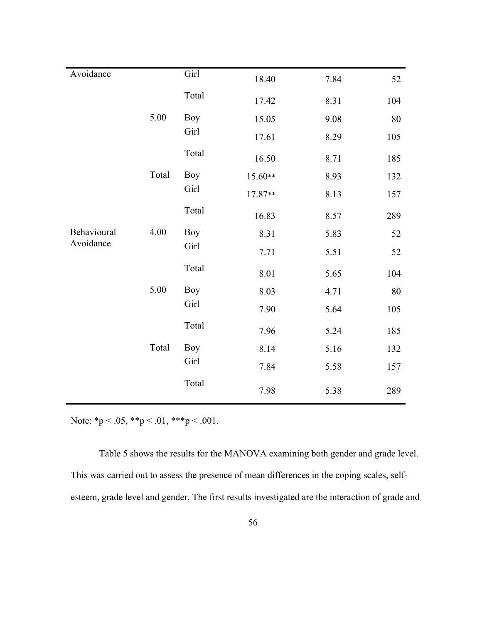| Avoidance   |       | Girl       | 18.40   | 7.84 | 52     |
|-------------|-------|------------|---------|------|--------|
|             |       | Total      | 17.42   | 8.31 | 104    |
|             | 5.00  | <b>Boy</b> | 15.05   | 9.08 | $80\,$ |
|             |       | Girl       | 17.61   | 8.29 | 105    |
|             |       | Total      | 16.50   | 8.71 | 185    |
|             | Total | Boy        | 15.60** | 8.93 | 132    |
|             |       | Girl       | 17.87** | 8.13 | 157    |
|             |       | Total      | 16.83   | 8.57 | 289    |
| Behavioural | 4.00  | <b>Boy</b> | 8.31    | 5.83 | 52     |
| Avoidance   |       | Girl       | 7.71    | 5.51 | 52     |
|             |       | Total      | 8.01    | 5.65 | 104    |
|             | 5.00  | <b>Boy</b> | 8.03    | 4.71 | 80     |
|             |       | Girl       | 7.90    | 5.64 | 105    |
|             |       | Total      | 7.96    | 5.24 | 185    |
|             | Total | Boy        | 8.14    | 5.16 | 132    |
|             |       | Girl       | 7.84    | 5.58 | 157    |
|             |       | Total      | 7.98    | 5.38 | 289    |

Note:  $*p < .05, **p < .01, ***p < .001.$ 

Table 5 shows the results for the MANOVA examining both gender and grade level. This was carried out to assess the presence of mean differences in the coping scales, selfesteem, grade level and gender. The first results investigated are the interaction of grade and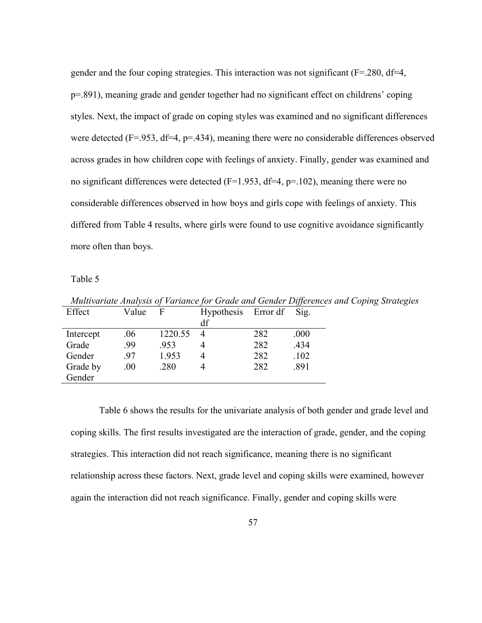gender and the four coping strategies. This interaction was not significant (F=.280, df=4, p=.891), meaning grade and gender together had no significant effect on childrens' coping styles. Next, the impact of grade on coping styles was examined and no significant differences were detected ( $F = 953$ ,  $df = 4$ ,  $p = 434$ ), meaning there were no considerable differences observed across grades in how children cope with feelings of anxiety. Finally, gender was examined and no significant differences were detected ( $F=1.953$ , df=4,  $p=.102$ ), meaning there were no considerable differences observed in how boys and girls cope with feelings of anxiety. This differed from Table 4 results, where girls were found to use cognitive avoidance significantly more often than boys.

Table 5

|           | munivariale Analysis of Variance for Grade and Gender Differences and Coping Su |         |                          |     |      |  |  |  |  |
|-----------|---------------------------------------------------------------------------------|---------|--------------------------|-----|------|--|--|--|--|
| Effect    | Value                                                                           | - F     | Hypothesis Error df Sig. |     |      |  |  |  |  |
|           |                                                                                 |         | df                       |     |      |  |  |  |  |
| Intercept | .06                                                                             | 1220.55 | $\overline{4}$           | 282 | .000 |  |  |  |  |
| Grade     | .99                                                                             | .953    |                          | 282 | .434 |  |  |  |  |
| Gender    | -97                                                                             | 1.953   | 4                        | 282 | .102 |  |  |  |  |
| Grade by  | .00.                                                                            | .280    | 4                        | 282 | .891 |  |  |  |  |
| Gender    |                                                                                 |         |                          |     |      |  |  |  |  |

*Multivariate Analysis of Variance for Grade and Gender Differences and Coping Strategies*

Table 6 shows the results for the univariate analysis of both gender and grade level and coping skills. The first results investigated are the interaction of grade, gender, and the coping strategies. This interaction did not reach significance, meaning there is no significant relationship across these factors. Next, grade level and coping skills were examined, however again the interaction did not reach significance. Finally, gender and coping skills were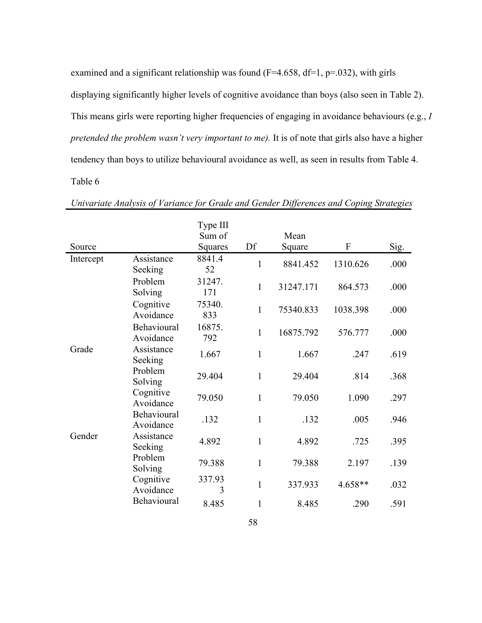examined and a significant relationship was found  $(F=4.658, df=1, p=.032)$ , with girls displaying significantly higher levels of cognitive avoidance than boys (also seen in Table 2). This means girls were reporting higher frequencies of engaging in avoidance behaviours (e.g., *I pretended the problem wasn't very important to me).* It is of note that girls also have a higher tendency than boys to utilize behavioural avoidance as well, as seen in results from Table 4. Table 6

|           |                          | Type III      |              |           |           |      |
|-----------|--------------------------|---------------|--------------|-----------|-----------|------|
|           |                          | Sum of        |              | Mean      |           |      |
| Source    |                          | Squares       | Df           | Square    | ${\bf F}$ | Sig. |
| Intercept | Assistance<br>Seeking    | 8841.4<br>52  | $\mathbf{1}$ | 8841.452  | 1310.626  | .000 |
|           | Problem<br>Solving       | 31247.<br>171 | $\mathbf{1}$ | 31247.171 | 864.573   | .000 |
|           | Cognitive<br>Avoidance   | 75340.<br>833 | $\mathbf{1}$ | 75340.833 | 1038.398  | .000 |
|           | Behavioural<br>Avoidance | 16875.<br>792 | $\mathbf{1}$ | 16875.792 | 576.777   | .000 |
| Grade     | Assistance<br>Seeking    | 1.667         | $\mathbf{1}$ | 1.667     | .247      | .619 |
|           | Problem<br>Solving       | 29.404        | $\mathbf{1}$ | 29.404    | .814      | .368 |
|           | Cognitive<br>Avoidance   | 79.050        | $\mathbf{1}$ | 79.050    | 1.090     | .297 |
|           | Behavioural<br>Avoidance | .132          | $\mathbf{1}$ | .132      | .005      | .946 |
| Gender    | Assistance<br>Seeking    | 4.892         | $\mathbf{1}$ | 4.892     | .725      | .395 |
|           | Problem<br>Solving       | 79.388        | $\mathbf{1}$ | 79.388    | 2.197     | .139 |
|           | Cognitive<br>Avoidance   | 337.93<br>3   | $\mathbf{1}$ | 337.933   | 4.658**   | .032 |
|           | Behavioural              | 8.485         | 1            | 8.485     | .290      | .591 |

*Univariate Analysis of Variance for Grade and Gender Differences and Coping Strategies*

58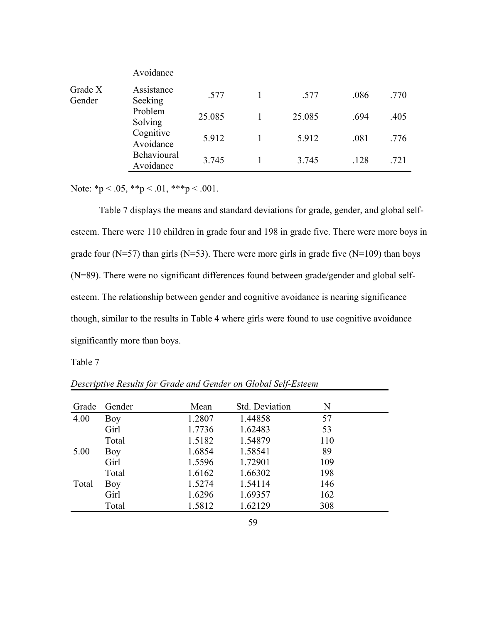|                   | Avoidance                |        |        |      |      |
|-------------------|--------------------------|--------|--------|------|------|
| Grade X<br>Gender | Assistance<br>Seeking    | .577   | .577   | .086 | .770 |
|                   | Problem<br>Solving       | 25.085 | 25.085 | .694 | .405 |
|                   | Cognitive<br>Avoidance   | 5.912  | 5.912  | .081 | .776 |
|                   | Behavioural<br>Avoidance | 3.745  | 3.745  | .128 | .721 |

Note: \*p < .05, \*\*p < .01, \*\*\*p < .001.

Table 7 displays the means and standard deviations for grade, gender, and global selfesteem. There were 110 children in grade four and 198 in grade five. There were more boys in grade four ( $N=57$ ) than girls ( $N=53$ ). There were more girls in grade five ( $N=109$ ) than boys (N=89). There were no significant differences found between grade/gender and global selfesteem. The relationship between gender and cognitive avoidance is nearing significance though, similar to the results in Table 4 where girls were found to use cognitive avoidance significantly more than boys.

Table 7

| Grade | Gender | Mean   | Std. Deviation | N   |
|-------|--------|--------|----------------|-----|
| 4.00  | Boy    | 1.2807 | 1.44858        | 57  |
|       | Girl   | 1.7736 | 1.62483        | 53  |
|       | Total  | 1.5182 | 1.54879        | 110 |
| 5.00  | Boy    | 1.6854 | 1.58541        | 89  |
|       | Girl   | 1.5596 | 1.72901        | 109 |
|       | Total  | 1.6162 | 1.66302        | 198 |
| Total | Boy    | 1.5274 | 1.54114        | 146 |
|       | Girl   | 1.6296 | 1.69357        | 162 |
|       | Total  | 1.5812 | 1.62129        | 308 |

*Descriptive Results for Grade and Gender on Global Self-Esteem*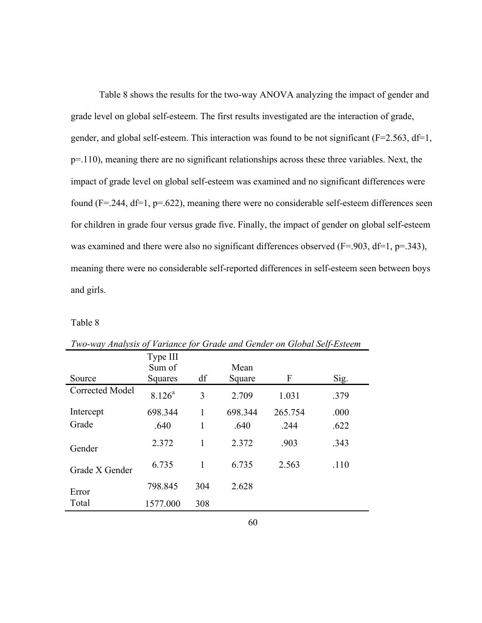Table 8 shows the results for the two-way ANOVA analyzing the impact of gender and grade level on global self-esteem. The first results investigated are the interaction of grade, gender, and global self-esteem. This interaction was found to be not significant ( $F=2.563$ ,  $df=1$ , p=.110), meaning there are no significant relationships across these three variables. Next, the impact of grade level on global self-esteem was examined and no significant differences were found (F=.244, df=1, p=.622), meaning there were no considerable self-esteem differences seen for children in grade four versus grade five. Finally, the impact of gender on global self-esteem was examined and there were also no significant differences observed ( $F = .903$ ,  $df = 1$ ,  $p = .343$ ), meaning there were no considerable self-reported differences in self-esteem seen between boys and girls.

Table 8

|                 | Type III<br>Sum of |     | Mean    |         |      |
|-----------------|--------------------|-----|---------|---------|------|
| Source          | Squares            | df  | Square  | F       | Sig. |
| Corrected Model | $8.126^a$          | 3   | 2.709   | 1.031   | .379 |
| Intercept       | 698.344            | 1   | 698.344 | 265.754 | .000 |
| Grade           | .640               | 1   | .640    | .244    | .622 |
| Gender          | 2.372              | 1   | 2.372   | .903    | .343 |
| Grade X Gender  | 6.735              | 1   | 6.735   | 2.563   | .110 |
| Error           | 798.845            | 304 | 2.628   |         |      |
| Total           | 1577.000           | 308 |         |         |      |

*Two-way Analysis of Variance for Grade and Gender on Global Self-Esteem*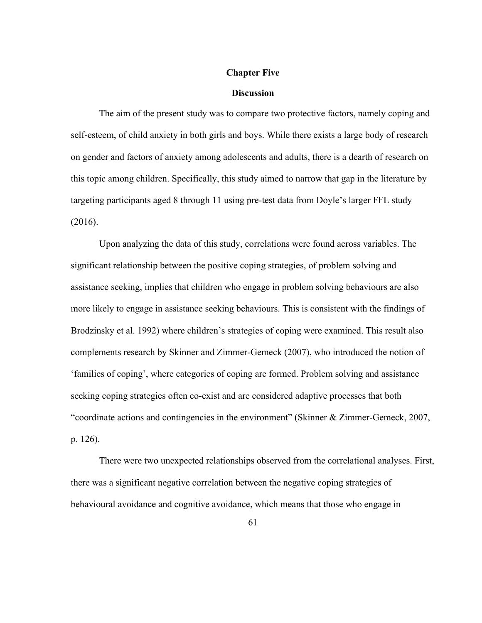#### **Chapter Five**

### **Discussion**

The aim of the present study was to compare two protective factors, namely coping and self-esteem, of child anxiety in both girls and boys. While there exists a large body of research on gender and factors of anxiety among adolescents and adults, there is a dearth of research on this topic among children. Specifically, this study aimed to narrow that gap in the literature by targeting participants aged 8 through 11 using pre-test data from Doyle's larger FFL study (2016).

Upon analyzing the data of this study, correlations were found across variables. The significant relationship between the positive coping strategies, of problem solving and assistance seeking, implies that children who engage in problem solving behaviours are also more likely to engage in assistance seeking behaviours. This is consistent with the findings of Brodzinsky et al. 1992) where children's strategies of coping were examined. This result also complements research by Skinner and Zimmer-Gemeck (2007), who introduced the notion of 'families of coping', where categories of coping are formed. Problem solving and assistance seeking coping strategies often co-exist and are considered adaptive processes that both "coordinate actions and contingencies in the environment" (Skinner & Zimmer-Gemeck, 2007, p. 126).

There were two unexpected relationships observed from the correlational analyses. First, there was a significant negative correlation between the negative coping strategies of behavioural avoidance and cognitive avoidance, which means that those who engage in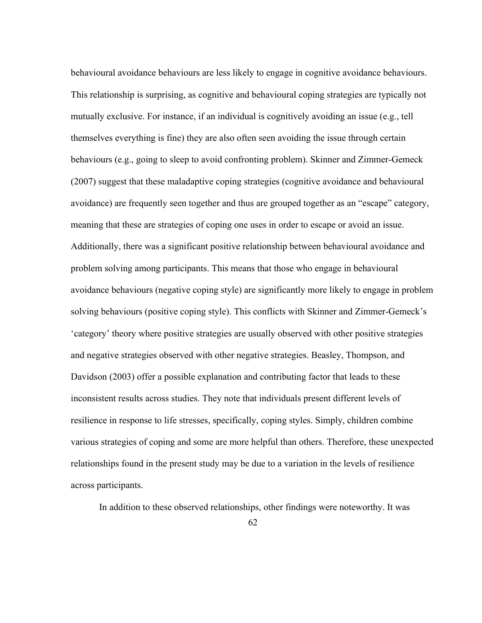behavioural avoidance behaviours are less likely to engage in cognitive avoidance behaviours. This relationship is surprising, as cognitive and behavioural coping strategies are typically not mutually exclusive. For instance, if an individual is cognitively avoiding an issue (e.g., tell themselves everything is fine) they are also often seen avoiding the issue through certain behaviours (e.g., going to sleep to avoid confronting problem). Skinner and Zimmer-Gemeck (2007) suggest that these maladaptive coping strategies (cognitive avoidance and behavioural avoidance) are frequently seen together and thus are grouped together as an "escape" category, meaning that these are strategies of coping one uses in order to escape or avoid an issue. Additionally, there was a significant positive relationship between behavioural avoidance and problem solving among participants. This means that those who engage in behavioural avoidance behaviours (negative coping style) are significantly more likely to engage in problem solving behaviours (positive coping style). This conflicts with Skinner and Zimmer-Gemeck's 'category' theory where positive strategies are usually observed with other positive strategies and negative strategies observed with other negative strategies. Beasley, Thompson, and Davidson (2003) offer a possible explanation and contributing factor that leads to these inconsistent results across studies. They note that individuals present different levels of resilience in response to life stresses, specifically, coping styles. Simply, children combine various strategies of coping and some are more helpful than others. Therefore, these unexpected relationships found in the present study may be due to a variation in the levels of resilience across participants.

In addition to these observed relationships, other findings were noteworthy. It was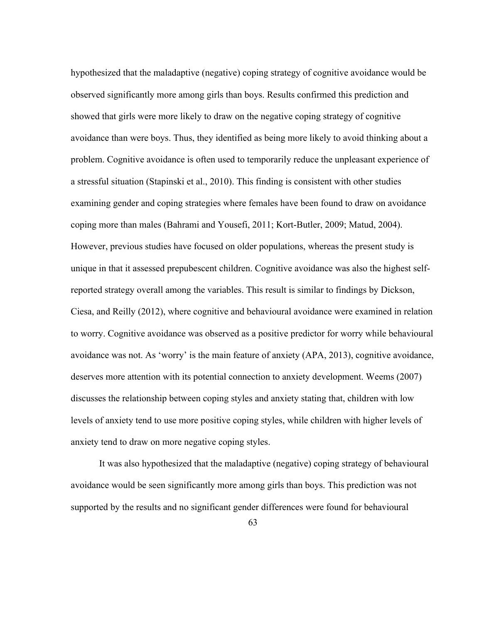hypothesized that the maladaptive (negative) coping strategy of cognitive avoidance would be observed significantly more among girls than boys. Results confirmed this prediction and showed that girls were more likely to draw on the negative coping strategy of cognitive avoidance than were boys. Thus, they identified as being more likely to avoid thinking about a problem. Cognitive avoidance is often used to temporarily reduce the unpleasant experience of a stressful situation (Stapinski et al., 2010). This finding is consistent with other studies examining gender and coping strategies where females have been found to draw on avoidance coping more than males (Bahrami and Yousefi, 2011; Kort-Butler, 2009; Matud, 2004). However, previous studies have focused on older populations, whereas the present study is unique in that it assessed prepubescent children. Cognitive avoidance was also the highest selfreported strategy overall among the variables. This result is similar to findings by Dickson, Ciesa, and Reilly (2012), where cognitive and behavioural avoidance were examined in relation to worry. Cognitive avoidance was observed as a positive predictor for worry while behavioural avoidance was not. As 'worry' is the main feature of anxiety (APA, 2013), cognitive avoidance, deserves more attention with its potential connection to anxiety development. Weems (2007) discusses the relationship between coping styles and anxiety stating that, children with low levels of anxiety tend to use more positive coping styles, while children with higher levels of anxiety tend to draw on more negative coping styles.

It was also hypothesized that the maladaptive (negative) coping strategy of behavioural avoidance would be seen significantly more among girls than boys. This prediction was not supported by the results and no significant gender differences were found for behavioural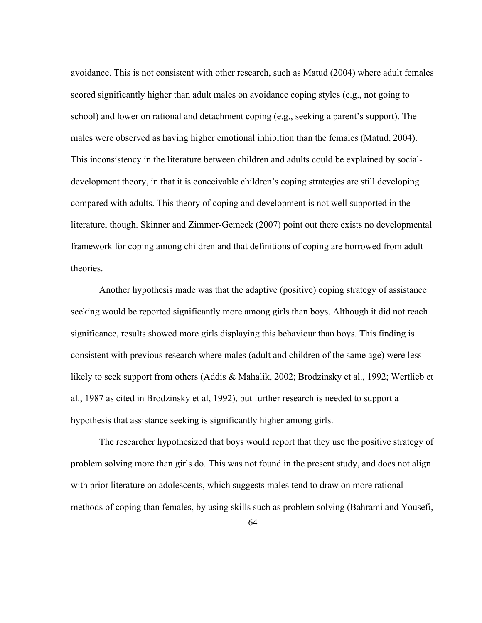avoidance. This is not consistent with other research, such as Matud (2004) where adult females scored significantly higher than adult males on avoidance coping styles (e.g., not going to school) and lower on rational and detachment coping (e.g., seeking a parent's support). The males were observed as having higher emotional inhibition than the females (Matud, 2004). This inconsistency in the literature between children and adults could be explained by socialdevelopment theory, in that it is conceivable children's coping strategies are still developing compared with adults. This theory of coping and development is not well supported in the literature, though. Skinner and Zimmer-Gemeck (2007) point out there exists no developmental framework for coping among children and that definitions of coping are borrowed from adult theories.

Another hypothesis made was that the adaptive (positive) coping strategy of assistance seeking would be reported significantly more among girls than boys. Although it did not reach significance, results showed more girls displaying this behaviour than boys. This finding is consistent with previous research where males (adult and children of the same age) were less likely to seek support from others (Addis & Mahalik, 2002; Brodzinsky et al., 1992; Wertlieb et al., 1987 as cited in Brodzinsky et al, 1992), but further research is needed to support a hypothesis that assistance seeking is significantly higher among girls.

The researcher hypothesized that boys would report that they use the positive strategy of problem solving more than girls do. This was not found in the present study, and does not align with prior literature on adolescents, which suggests males tend to draw on more rational methods of coping than females, by using skills such as problem solving (Bahrami and Yousefi,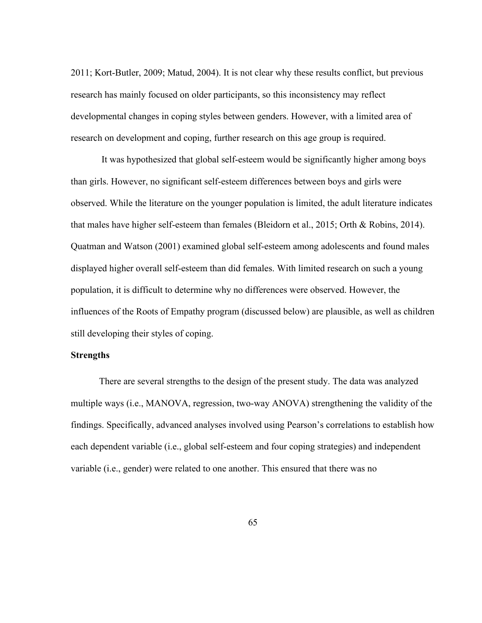2011; Kort-Butler, 2009; Matud, 2004). It is not clear why these results conflict, but previous research has mainly focused on older participants, so this inconsistency may reflect developmental changes in coping styles between genders. However, with a limited area of research on development and coping, further research on this age group is required.

It was hypothesized that global self-esteem would be significantly higher among boys than girls. However, no significant self-esteem differences between boys and girls were observed. While the literature on the younger population is limited, the adult literature indicates that males have higher self-esteem than females (Bleidorn et al., 2015; Orth & Robins, 2014). Quatman and Watson (2001) examined global self-esteem among adolescents and found males displayed higher overall self-esteem than did females. With limited research on such a young population, it is difficult to determine why no differences were observed. However, the influences of the Roots of Empathy program (discussed below) are plausible, as well as children still developing their styles of coping.

## **Strengths**

There are several strengths to the design of the present study. The data was analyzed multiple ways (i.e., MANOVA, regression, two-way ANOVA) strengthening the validity of the findings. Specifically, advanced analyses involved using Pearson's correlations to establish how each dependent variable (i.e., global self-esteem and four coping strategies) and independent variable (i.e., gender) were related to one another. This ensured that there was no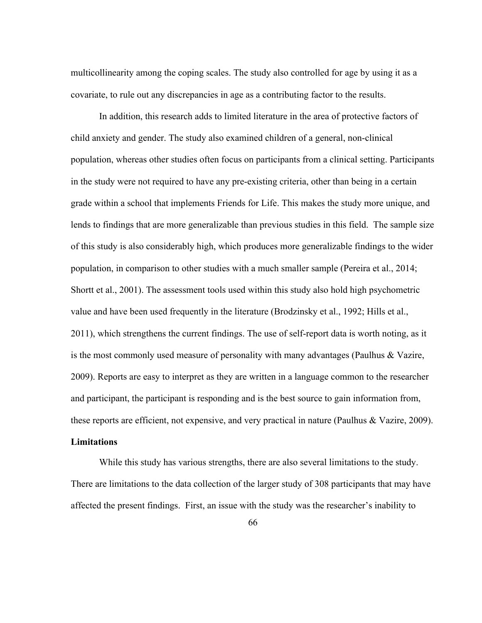multicollinearity among the coping scales. The study also controlled for age by using it as a covariate, to rule out any discrepancies in age as a contributing factor to the results.

In addition, this research adds to limited literature in the area of protective factors of child anxiety and gender. The study also examined children of a general, non-clinical population, whereas other studies often focus on participants from a clinical setting. Participants in the study were not required to have any pre-existing criteria, other than being in a certain grade within a school that implements Friends for Life. This makes the study more unique, and lends to findings that are more generalizable than previous studies in this field. The sample size of this study is also considerably high, which produces more generalizable findings to the wider population, in comparison to other studies with a much smaller sample (Pereira et al., 2014; Shortt et al., 2001). The assessment tools used within this study also hold high psychometric value and have been used frequently in the literature (Brodzinsky et al., 1992; Hills et al., 2011), which strengthens the current findings. The use of self-report data is worth noting, as it is the most commonly used measure of personality with many advantages (Paulhus & Vazire, 2009). Reports are easy to interpret as they are written in a language common to the researcher and participant, the participant is responding and is the best source to gain information from, these reports are efficient, not expensive, and very practical in nature (Paulhus & Vazire, 2009).

## **Limitations**

While this study has various strengths, there are also several limitations to the study. There are limitations to the data collection of the larger study of 308 participants that may have affected the present findings. First, an issue with the study was the researcher's inability to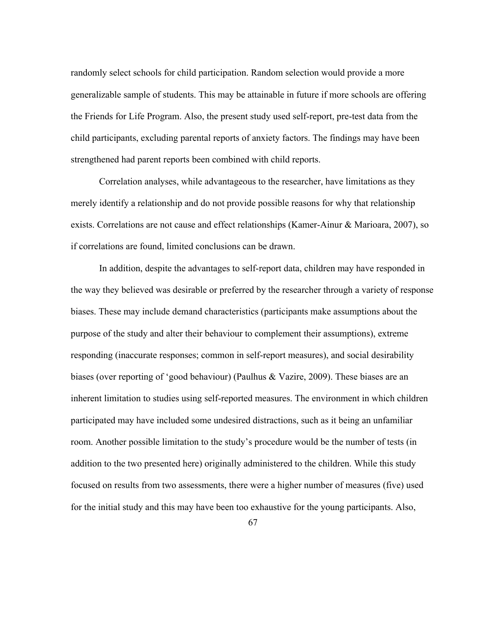randomly select schools for child participation. Random selection would provide a more generalizable sample of students. This may be attainable in future if more schools are offering the Friends for Life Program. Also, the present study used self-report, pre-test data from the child participants, excluding parental reports of anxiety factors. The findings may have been strengthened had parent reports been combined with child reports.

Correlation analyses, while advantageous to the researcher, have limitations as they merely identify a relationship and do not provide possible reasons for why that relationship exists. Correlations are not cause and effect relationships (Kamer-Ainur & Marioara, 2007), so if correlations are found, limited conclusions can be drawn.

In addition, despite the advantages to self-report data, children may have responded in the way they believed was desirable or preferred by the researcher through a variety of response biases. These may include demand characteristics (participants make assumptions about the purpose of the study and alter their behaviour to complement their assumptions), extreme responding (inaccurate responses; common in self-report measures), and social desirability biases (over reporting of 'good behaviour) (Paulhus & Vazire, 2009). These biases are an inherent limitation to studies using self-reported measures. The environment in which children participated may have included some undesired distractions, such as it being an unfamiliar room. Another possible limitation to the study's procedure would be the number of tests (in addition to the two presented here) originally administered to the children. While this study focused on results from two assessments, there were a higher number of measures (five) used for the initial study and this may have been too exhaustive for the young participants. Also,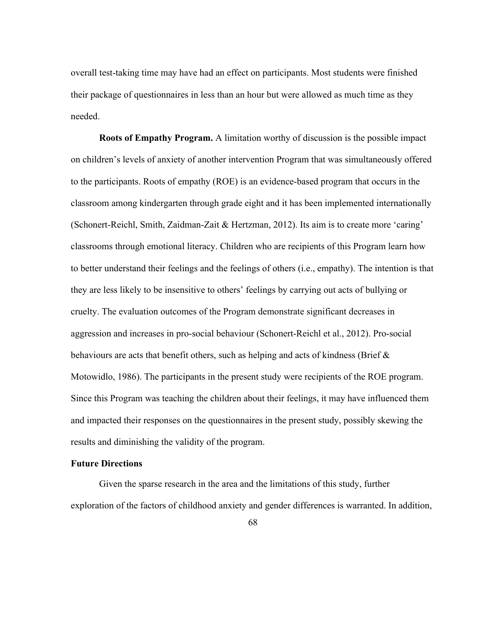overall test-taking time may have had an effect on participants. Most students were finished their package of questionnaires in less than an hour but were allowed as much time as they needed.

**Roots of Empathy Program.** A limitation worthy of discussion is the possible impact on children's levels of anxiety of another intervention Program that was simultaneously offered to the participants. Roots of empathy (ROE) is an evidence-based program that occurs in the classroom among kindergarten through grade eight and it has been implemented internationally (Schonert-Reichl, Smith, Zaidman-Zait & Hertzman, 2012). Its aim is to create more 'caring' classrooms through emotional literacy. Children who are recipients of this Program learn how to better understand their feelings and the feelings of others (i.e., empathy). The intention is that they are less likely to be insensitive to others' feelings by carrying out acts of bullying or cruelty. The evaluation outcomes of the Program demonstrate significant decreases in aggression and increases in pro-social behaviour (Schonert-Reichl et al., 2012). Pro-social behaviours are acts that benefit others, such as helping and acts of kindness (Brief  $\&$ Motowidlo, 1986). The participants in the present study were recipients of the ROE program. Since this Program was teaching the children about their feelings, it may have influenced them and impacted their responses on the questionnaires in the present study, possibly skewing the results and diminishing the validity of the program.

## **Future Directions**

Given the sparse research in the area and the limitations of this study, further exploration of the factors of childhood anxiety and gender differences is warranted. In addition,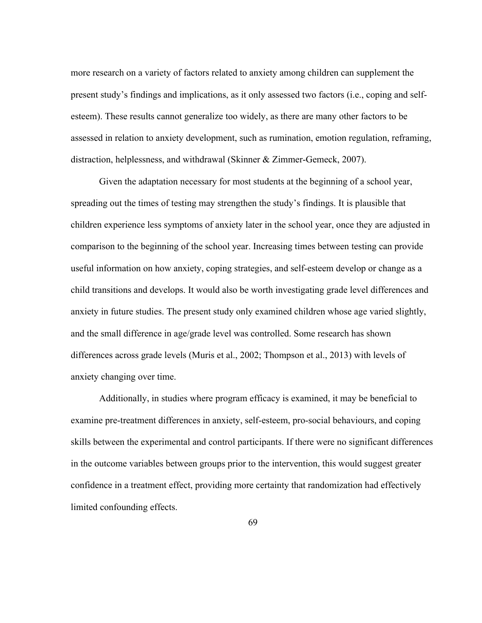more research on a variety of factors related to anxiety among children can supplement the present study's findings and implications, as it only assessed two factors (i.e., coping and selfesteem). These results cannot generalize too widely, as there are many other factors to be assessed in relation to anxiety development, such as rumination, emotion regulation, reframing, distraction, helplessness, and withdrawal (Skinner & Zimmer-Gemeck, 2007).

Given the adaptation necessary for most students at the beginning of a school year, spreading out the times of testing may strengthen the study's findings. It is plausible that children experience less symptoms of anxiety later in the school year, once they are adjusted in comparison to the beginning of the school year. Increasing times between testing can provide useful information on how anxiety, coping strategies, and self-esteem develop or change as a child transitions and develops. It would also be worth investigating grade level differences and anxiety in future studies. The present study only examined children whose age varied slightly, and the small difference in age/grade level was controlled. Some research has shown differences across grade levels (Muris et al., 2002; Thompson et al., 2013) with levels of anxiety changing over time.

Additionally, in studies where program efficacy is examined, it may be beneficial to examine pre-treatment differences in anxiety, self-esteem, pro-social behaviours, and coping skills between the experimental and control participants. If there were no significant differences in the outcome variables between groups prior to the intervention, this would suggest greater confidence in a treatment effect, providing more certainty that randomization had effectively limited confounding effects.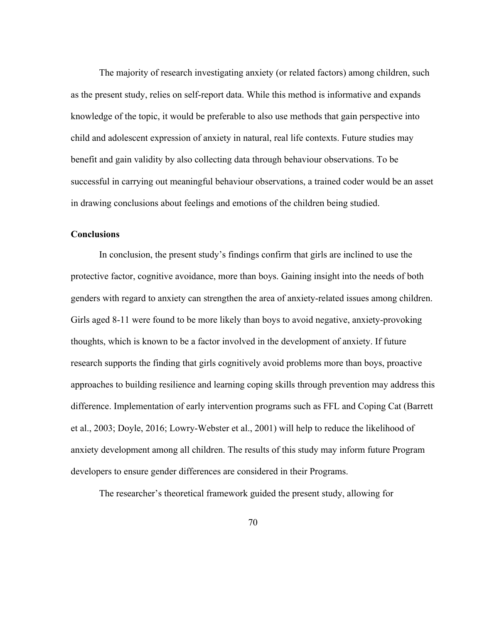The majority of research investigating anxiety (or related factors) among children, such as the present study, relies on self-report data. While this method is informative and expands knowledge of the topic, it would be preferable to also use methods that gain perspective into child and adolescent expression of anxiety in natural, real life contexts. Future studies may benefit and gain validity by also collecting data through behaviour observations. To be successful in carrying out meaningful behaviour observations, a trained coder would be an asset in drawing conclusions about feelings and emotions of the children being studied.

## **Conclusions**

In conclusion, the present study's findings confirm that girls are inclined to use the protective factor, cognitive avoidance, more than boys. Gaining insight into the needs of both genders with regard to anxiety can strengthen the area of anxiety-related issues among children. Girls aged 8-11 were found to be more likely than boys to avoid negative, anxiety-provoking thoughts, which is known to be a factor involved in the development of anxiety. If future research supports the finding that girls cognitively avoid problems more than boys, proactive approaches to building resilience and learning coping skills through prevention may address this difference. Implementation of early intervention programs such as FFL and Coping Cat (Barrett et al., 2003; Doyle, 2016; Lowry-Webster et al., 2001) will help to reduce the likelihood of anxiety development among all children. The results of this study may inform future Program developers to ensure gender differences are considered in their Programs.

The researcher's theoretical framework guided the present study, allowing for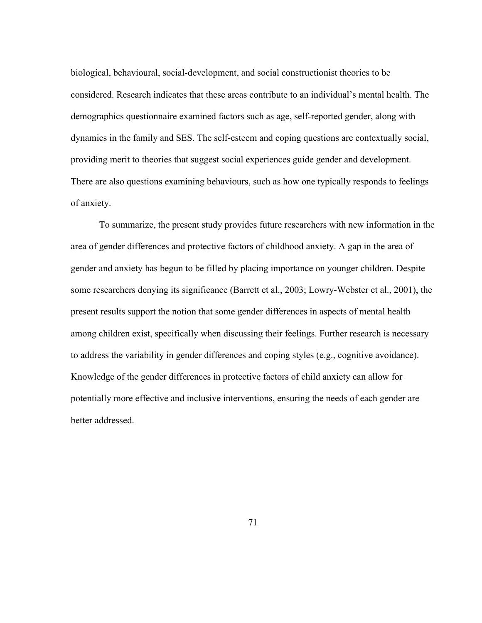biological, behavioural, social-development, and social constructionist theories to be considered. Research indicates that these areas contribute to an individual's mental health. The demographics questionnaire examined factors such as age, self-reported gender, along with dynamics in the family and SES. The self-esteem and coping questions are contextually social, providing merit to theories that suggest social experiences guide gender and development. There are also questions examining behaviours, such as how one typically responds to feelings of anxiety.

To summarize, the present study provides future researchers with new information in the area of gender differences and protective factors of childhood anxiety. A gap in the area of gender and anxiety has begun to be filled by placing importance on younger children. Despite some researchers denying its significance (Barrett et al., 2003; Lowry-Webster et al., 2001), the present results support the notion that some gender differences in aspects of mental health among children exist, specifically when discussing their feelings. Further research is necessary to address the variability in gender differences and coping styles (e.g., cognitive avoidance). Knowledge of the gender differences in protective factors of child anxiety can allow for potentially more effective and inclusive interventions, ensuring the needs of each gender are better addressed.

71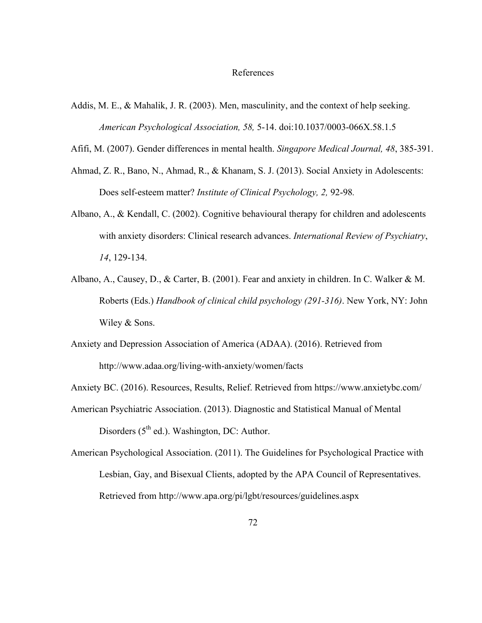#### References

Addis, M. E., & Mahalik, J. R. (2003). Men, masculinity, and the context of help seeking. *American Psychological Association, 58,* 5-14. doi:10.1037/0003-066X.58.1.5

Afifi, M. (2007). Gender differences in mental health. *Singapore Medical Journal, 48*, 385-391.

- Ahmad, Z. R., Bano, N., Ahmad, R., & Khanam, S. J. (2013). Social Anxiety in Adolescents: Does self-esteem matter? *Institute of Clinical Psychology, 2,* 92-98*.*
- Albano, A., & Kendall, C. (2002). Cognitive behavioural therapy for children and adolescents with anxiety disorders: Clinical research advances. *International Review of Psychiatry*, *14*, 129-134.
- Albano, A., Causey, D., & Carter, B. (2001). Fear and anxiety in children. In C. Walker & M. Roberts (Eds.) *Handbook of clinical child psychology (291-316)*. New York, NY: John Wiley & Sons.
- Anxiety and Depression Association of America (ADAA). (2016). Retrieved from http://www.adaa.org/living-with-anxiety/women/facts
- Anxiety BC. (2016). Resources, Results, Relief. Retrieved from https://www.anxietybc.com/
- American Psychiatric Association. (2013). Diagnostic and Statistical Manual of Mental Disorders  $(5<sup>th</sup>$  ed.). Washington, DC: Author.
- American Psychological Association. (2011). The Guidelines for Psychological Practice with Lesbian, Gay, and Bisexual Clients, adopted by the APA Council of Representatives. Retrieved from http://www.apa.org/pi/lgbt/resources/guidelines.aspx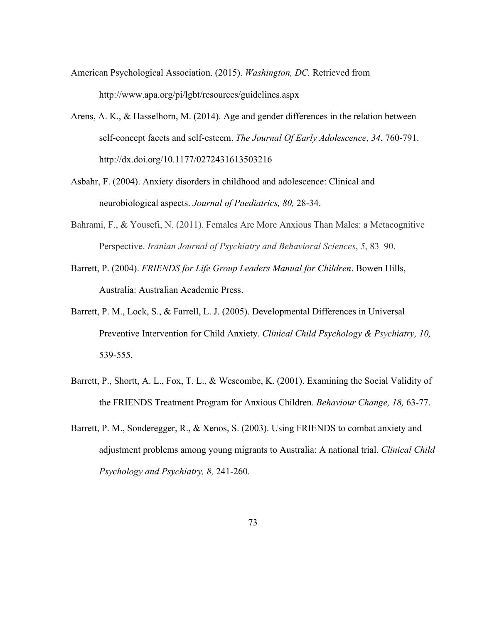- American Psychological Association. (2015). *Washington, DC.* Retrieved from http://www.apa.org/pi/lgbt/resources/guidelines.aspx
- Arens, A. K., & Hasselhorn, M. (2014). Age and gender differences in the relation between self-concept facets and self-esteem. *The Journal Of Early Adolescence*, *34*, 760-791. http://dx.doi.org/10.1177/0272431613503216
- Asbahr, F. (2004). Anxiety disorders in childhood and adolescence: Clinical and neurobiological aspects. *Journal of Paediatrics, 80,* 28-34.
- Bahrami, F., & Yousefi, N. (2011). Females Are More Anxious Than Males: a Metacognitive Perspective. *Iranian Journal of Psychiatry and Behavioral Sciences*, *5*, 83–90.
- Barrett, P. (2004). *FRIENDS for Life Group Leaders Manual for Children*. Bowen Hills, Australia: Australian Academic Press.
- Barrett, P. M., Lock, S., & Farrell, L. J. (2005). Developmental Differences in Universal Preventive Intervention for Child Anxiety. *Clinical Child Psychology & Psychiatry, 10,*  539-555.
- Barrett, P., Shortt, A. L., Fox, T. L., & Wescombe, K. (2001). Examining the Social Validity of the FRIENDS Treatment Program for Anxious Children. *Behaviour Change, 18,* 63-77.
- Barrett, P. M., Sonderegger, R., & Xenos, S. (2003). Using FRIENDS to combat anxiety and adjustment problems among young migrants to Australia: A national trial. *Clinical Child Psychology and Psychiatry, 8,* 241-260.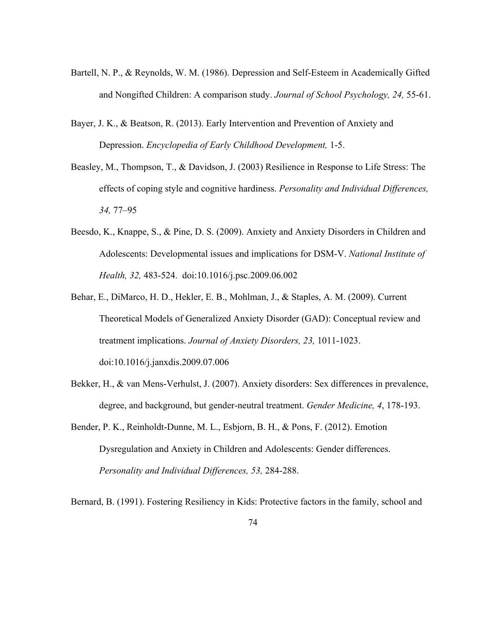- Bartell, N. P., & Reynolds, W. M. (1986). Depression and Self-Esteem in Academically Gifted and Nongifted Children: A comparison study. *Journal of School Psychology, 24,* 55-61.
- Bayer, J. K., & Beatson, R. (2013). Early Intervention and Prevention of Anxiety and Depression. *Encyclopedia of Early Childhood Development,* 1-5.
- Beasley, M., Thompson, T., & Davidson, J. (2003) Resilience in Response to Life Stress: The effects of coping style and cognitive hardiness. *Personality and Individual Differences, 34,* 77–95
- Beesdo, K., Knappe, S., & Pine, D. S. (2009). Anxiety and Anxiety Disorders in Children and Adolescents: Developmental issues and implications for DSM-V. *National Institute of Health, 32,* 483-524. doi:10.1016/j.psc.2009.06.002
- Behar, E., DiMarco, H. D., Hekler, E. B., Mohlman, J., & Staples, A. M. (2009). Current Theoretical Models of Generalized Anxiety Disorder (GAD): Conceptual review and treatment implications. *Journal of Anxiety Disorders, 23,* 1011-1023. doi:10.1016/j.janxdis.2009.07.006
- Bekker, H., & van Mens-Verhulst, J. (2007). Anxiety disorders: Sex differences in prevalence, degree, and background, but gender-neutral treatment. *Gender Medicine, 4*, 178-193.
- Bender, P. K., Reinholdt-Dunne, M. L., Esbjorn, B. H., & Pons, F. (2012). Emotion Dysregulation and Anxiety in Children and Adolescents: Gender differences. *Personality and Individual Differences, 53,* 284-288.

Bernard, B. (1991). Fostering Resiliency in Kids: Protective factors in the family, school and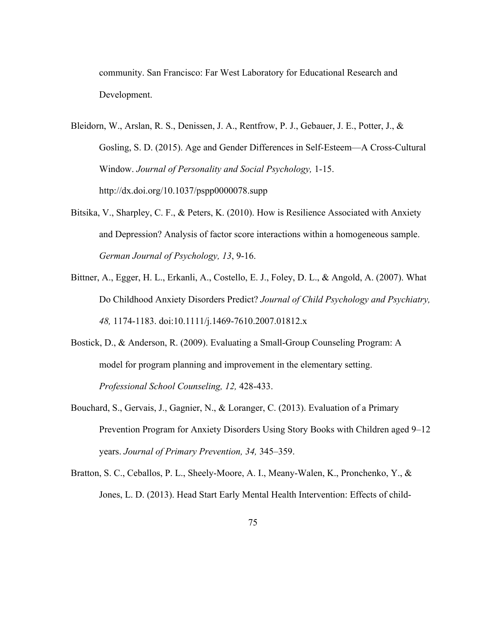community. San Francisco: Far West Laboratory for Educational Research and Development.

- Bleidorn, W., Arslan, R. S., Denissen, J. A., Rentfrow, P. J., Gebauer, J. E., Potter, J., & Gosling, S. D. (2015). Age and Gender Differences in Self-Esteem—A Cross-Cultural Window. *Journal of Personality and Social Psychology,* 1-15. http://dx.doi.org/10.1037/pspp0000078.supp
- Bitsika, V., Sharpley, C. F., & Peters, K. (2010). How is Resilience Associated with Anxiety and Depression? Analysis of factor score interactions within a homogeneous sample. *German Journal of Psychology, 13*, 9-16.
- Bittner, A., Egger, H. L., Erkanli, A., Costello, E. J., Foley, D. L., & Angold, A. (2007). What Do Childhood Anxiety Disorders Predict? *Journal of Child Psychology and Psychiatry, 48,* 1174-1183. doi:10.1111/j.1469-7610.2007.01812.x
- Bostick, D., & Anderson, R. (2009). Evaluating a Small-Group Counseling Program: A model for program planning and improvement in the elementary setting. *Professional School Counseling, 12,* 428-433.
- Bouchard, S., Gervais, J., Gagnier, N., & Loranger, C. (2013). Evaluation of a Primary Prevention Program for Anxiety Disorders Using Story Books with Children aged 9–12 years. *Journal of Primary Prevention, 34,* 345–359.
- Bratton, S. C., Ceballos, P. L., Sheely-Moore, A. I., Meany-Walen, K., Pronchenko, Y., & Jones, L. D. (2013). Head Start Early Mental Health Intervention: Effects of child-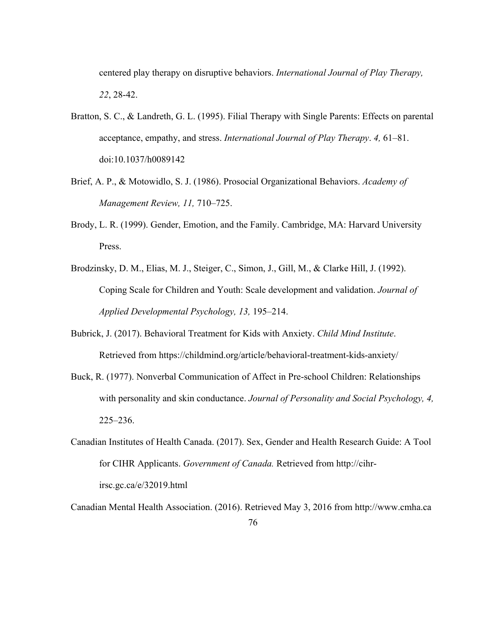centered play therapy on disruptive behaviors. *International Journal of Play Therapy, 22*, 28-42.

- Bratton, S. C., & Landreth, G. L. (1995). Filial Therapy with Single Parents: Effects on parental acceptance, empathy, and stress. *International Journal of Play Therapy*. *4,* 61–81. doi:10.1037/h0089142
- Brief, A. P., & Motowidlo, S. J. (1986). Prosocial Organizational Behaviors. *Academy of Management Review, 11,* 710–725.
- Brody, L. R. (1999). Gender, Emotion, and the Family. Cambridge, MA: Harvard University Press.
- Brodzinsky, D. M., Elias, M. J., Steiger, C., Simon, J., Gill, M., & Clarke Hill, J. (1992). Coping Scale for Children and Youth: Scale development and validation. *Journal of Applied Developmental Psychology, 13,* 195–214.
- Bubrick, J. (2017). Behavioral Treatment for Kids with Anxiety. *Child Mind Institute*. Retrieved from https://childmind.org/article/behavioral-treatment-kids-anxiety/
- Buck, R. (1977). Nonverbal Communication of Affect in Pre-school Children: Relationships with personality and skin conductance. *Journal of Personality and Social Psychology, 4,*  225–236.
- Canadian Institutes of Health Canada. (2017). Sex, Gender and Health Research Guide: A Tool for CIHR Applicants. *Government of Canada.* Retrieved from http://cihrirsc.gc.ca/e/32019.html

Canadian Mental Health Association. (2016). Retrieved May 3, 2016 from http://www.cmha.ca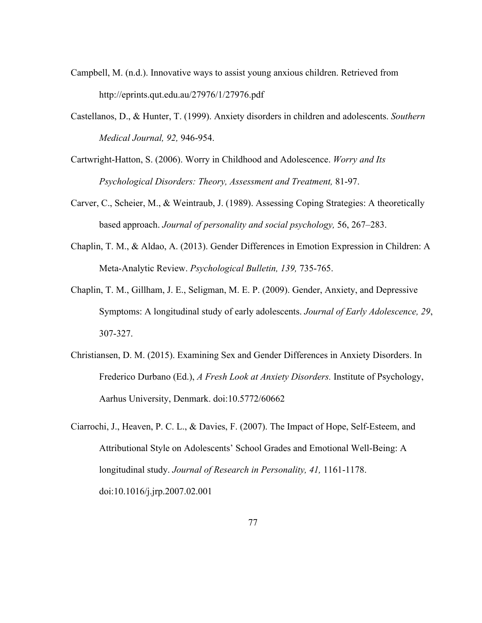- Campbell, M. (n.d.). Innovative ways to assist young anxious children. Retrieved from http://eprints.qut.edu.au/27976/1/27976.pdf
- Castellanos, D., & Hunter, T. (1999). Anxiety disorders in children and adolescents. *Southern Medical Journal, 92,* 946-954.
- Cartwright-Hatton, S. (2006). Worry in Childhood and Adolescence. *Worry and Its Psychological Disorders: Theory, Assessment and Treatment,* 81-97.
- Carver, C., Scheier, M., & Weintraub, J. (1989). Assessing Coping Strategies: A theoretically based approach. *Journal of personality and social psychology,* 56, 267–283.
- Chaplin, T. M., & Aldao, A. (2013). Gender Differences in Emotion Expression in Children: A Meta-Analytic Review. *Psychological Bulletin, 139,* 735-765.
- Chaplin, T. M., Gillham, J. E., Seligman, M. E. P. (2009). Gender, Anxiety, and Depressive Symptoms: A longitudinal study of early adolescents. *Journal of Early Adolescence, 29*, 307-327.
- Christiansen, D. M. (2015). Examining Sex and Gender Differences in Anxiety Disorders. In Frederico Durbano (Ed.), *A Fresh Look at Anxiety Disorders.* Institute of Psychology, Aarhus University, Denmark. doi:10.5772/60662
- Ciarrochi, J., Heaven, P. C. L., & Davies, F. (2007). The Impact of Hope, Self-Esteem, and Attributional Style on Adolescents' School Grades and Emotional Well-Being: A longitudinal study. *Journal of Research in Personality, 41,* 1161-1178. doi:10.1016/j.jrp.2007.02.001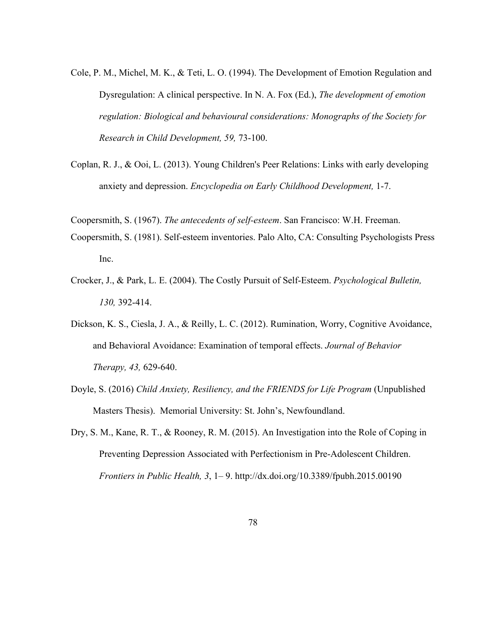- Cole, P. M., Michel, M. K., & Teti, L. O. (1994). The Development of Emotion Regulation and Dysregulation: A clinical perspective. In N. A. Fox (Ed.), *The development of emotion regulation: Biological and behavioural considerations: Monographs of the Society for Research in Child Development, 59,* 73-100.
- Coplan, R. J., & Ooi, L. (2013). Young Children's Peer Relations: Links with early developing anxiety and depression. *Encyclopedia on Early Childhood Development,* 1-7.
- Coopersmith, S. (1967). *The antecedents of self-esteem*. San Francisco: W.H. Freeman.
- Coopersmith, S. (1981). Self-esteem inventories. Palo Alto, CA: Consulting Psychologists Press Inc.
- Crocker, J., & Park, L. E. (2004). The Costly Pursuit of Self-Esteem. *Psychological Bulletin, 130,* 392-414.
- Dickson, K. S., Ciesla, J. A., & Reilly, L. C. (2012). Rumination, Worry, Cognitive Avoidance, and Behavioral Avoidance: Examination of temporal effects. *Journal of Behavior Therapy, 43,* 629-640.
- Doyle, S. (2016) *Child Anxiety, Resiliency, and the FRIENDS for Life Program* (Unpublished Masters Thesis). Memorial University: St. John's, Newfoundland.
- Dry, S. M., Kane, R. T., & Rooney, R. M. (2015). An Investigation into the Role of Coping in Preventing Depression Associated with Perfectionism in Pre-Adolescent Children. *Frontiers in Public Health, 3*, 1– 9. http://dx.doi.org/10.3389/fpubh.2015.00190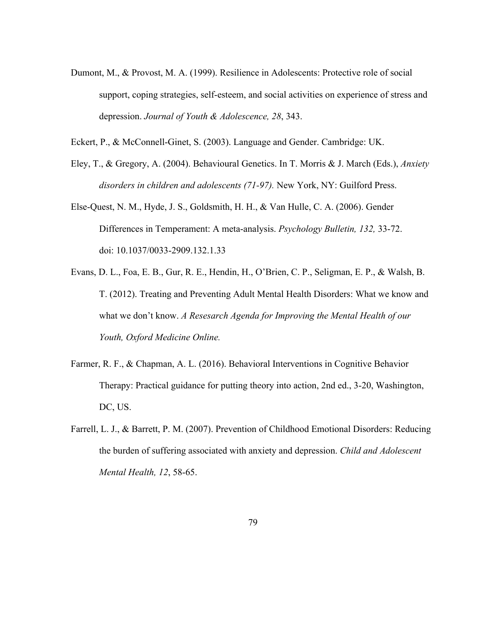- Dumont, M., & Provost, M. A. (1999). Resilience in Adolescents: Protective role of social support, coping strategies, self-esteem, and social activities on experience of stress and depression. *Journal of Youth & Adolescence, 28*, 343.
- Eckert, P., & McConnell-Ginet, S. (2003). Language and Gender. Cambridge: UK.
- Eley, T., & Gregory, A. (2004). Behavioural Genetics. In T. Morris & J. March (Eds.), *Anxiety disorders in children and adolescents (71-97).* New York, NY: Guilford Press.
- Else-Quest, N. M., Hyde, J. S., Goldsmith, H. H., & Van Hulle, C. A. (2006). Gender Differences in Temperament: A meta-analysis. *Psychology Bulletin, 132,* 33-72. doi: 10.1037/0033-2909.132.1.33
- Evans, D. L., Foa, E. B., Gur, R. E., Hendin, H., O'Brien, C. P., Seligman, E. P., & Walsh, B. T. (2012). Treating and Preventing Adult Mental Health Disorders: What we know and what we don't know. *A Resesarch Agenda for Improving the Mental Health of our Youth, Oxford Medicine Online.*
- Farmer, R. F., & Chapman, A. L. (2016). Behavioral Interventions in Cognitive Behavior Therapy: Practical guidance for putting theory into action, 2nd ed., 3-20, Washington, DC, US.
- Farrell, L. J., & Barrett, P. M. (2007). Prevention of Childhood Emotional Disorders: Reducing the burden of suffering associated with anxiety and depression. *Child and Adolescent Mental Health, 12*, 58-65.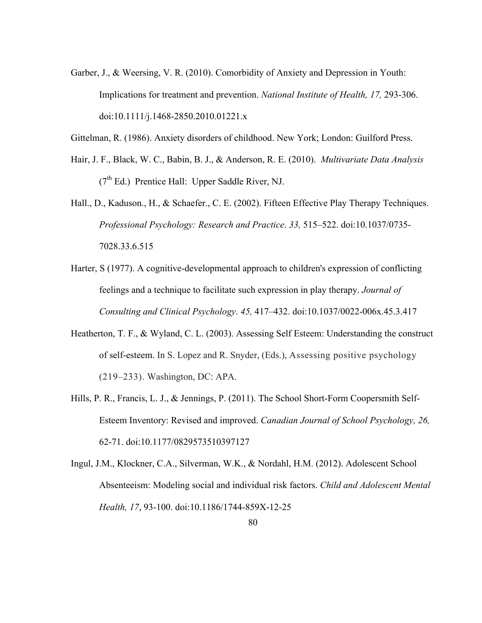- Garber, J., & Weersing, V. R. (2010). Comorbidity of Anxiety and Depression in Youth: Implications for treatment and prevention. *National Institute of Health, 17,* 293-306. doi:10.1111/j.1468-2850.2010.01221.x
- Gittelman, R. (1986). Anxiety disorders of childhood. New York; London: Guilford Press.
- Hair, J. F., Black, W. C., Babin, B. J., & Anderson, R. E. (2010). *Multivariate Data Analysis*  $(7<sup>th</sup> Ed.)$  Prentice Hall: Upper Saddle River, NJ.
- Hall., D., Kaduson., H., & Schaefer., C. E. (2002). Fifteen Effective Play Therapy Techniques. *Professional Psychology: Research and Practice*. *33,* 515–522. doi:10.1037/0735- 7028.33.6.515
- Harter, S (1977). A cognitive-developmental approach to children's expression of conflicting feelings and a technique to facilitate such expression in play therapy. *Journal of Consulting and Clinical Psychology*. *45,* 417–432. doi:10.1037/0022-006x.45.3.417
- Heatherton, T. F., & Wyland, C. L. (2003). Assessing Self Esteem: Understanding the construct of self-esteem. In S. Lopez and R. Snyder, (Eds.), Assessing positive psychology (219–233). Washington, DC: APA.
- Hills, P. R., Francis, L. J., & Jennings, P. (2011). The School Short-Form Coopersmith Self-Esteem Inventory: Revised and improved. *Canadian Journal of School Psychology, 26,* 62-71. doi:10.1177/0829573510397127
- Ingul, J.M., Klockner, C.A., Silverman, W.K., & Nordahl, H.M. (2012). Adolescent School Absenteeism: Modeling social and individual risk factors. *Child and Adolescent Mental Health, 17*, 93-100. doi:10.1186/1744-859X-12-25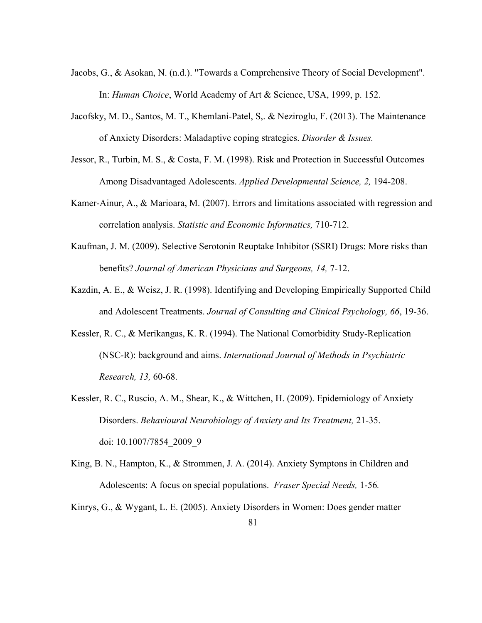- Jacobs, G., & Asokan, N. (n.d.). "Towards a Comprehensive Theory of Social Development". In: *Human Choice*, World Academy of Art & Science, USA, 1999, p. 152.
- Jacofsky, M. D., Santos, M. T., Khemlani-Patel, S,. & Neziroglu, F. (2013). The Maintenance of Anxiety Disorders: Maladaptive coping strategies. *Disorder & Issues.*
- Jessor, R., Turbin, M. S., & Costa, F. M. (1998). Risk and Protection in Successful Outcomes Among Disadvantaged Adolescents. *Applied Developmental Science, 2,* 194-208.
- Kamer-Ainur, A., & Marioara, M. (2007). Errors and limitations associated with regression and correlation analysis. *Statistic and Economic Informatics,* 710-712.
- Kaufman, J. M. (2009). Selective Serotonin Reuptake Inhibitor (SSRI) Drugs: More risks than benefits? *Journal of American Physicians and Surgeons, 14,* 7-12.
- Kazdin, A. E., & Weisz, J. R. (1998). Identifying and Developing Empirically Supported Child and Adolescent Treatments. *Journal of Consulting and Clinical Psychology, 66*, 19-36.
- Kessler, R. C., & Merikangas, K. R. (1994). The National Comorbidity Study-Replication (NSC-R): background and aims. *International Journal of Methods in Psychiatric Research, 13,* 60-68.
- Kessler, R. C., Ruscio, A. M., Shear, K., & Wittchen, H. (2009). Epidemiology of Anxiety Disorders. *Behavioural Neurobiology of Anxiety and Its Treatment,* 21-35. doi: 10.1007/7854\_2009\_9
- King, B. N., Hampton, K., & Strommen, J. A. (2014). Anxiety Symptons in Children and Adolescents: A focus on special populations. *Fraser Special Needs,* 1-56*.*
- Kinrys, G., & Wygant, L. E. (2005). Anxiety Disorders in Women: Does gender matter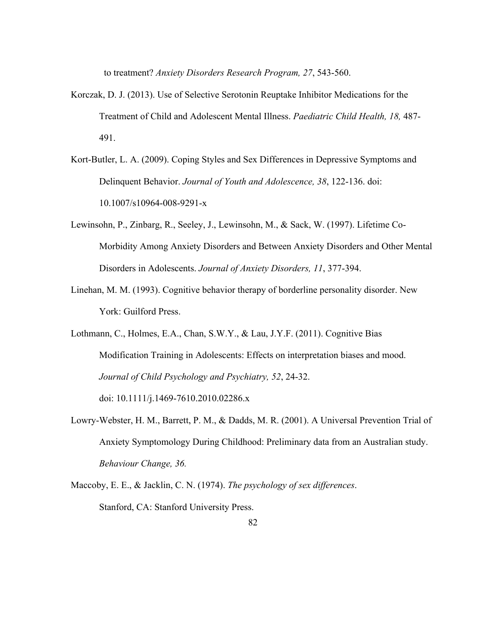to treatment? *Anxiety Disorders Research Program, 27*, 543-560.

- Korczak, D. J. (2013). Use of Selective Serotonin Reuptake Inhibitor Medications for the Treatment of Child and Adolescent Mental Illness. *Paediatric Child Health, 18,* 487- 491.
- Kort-Butler, L. A. (2009). Coping Styles and Sex Differences in Depressive Symptoms and Delinquent Behavior. *Journal of Youth and Adolescence, 38*, 122-136. doi: 10.1007/s10964-008-9291-x
- Lewinsohn, P., Zinbarg, R., Seeley, J., Lewinsohn, M., & Sack, W. (1997). Lifetime Co-Morbidity Among Anxiety Disorders and Between Anxiety Disorders and Other Mental Disorders in Adolescents. *Journal of Anxiety Disorders, 11*, 377-394.
- Linehan, M. M. (1993). Cognitive behavior therapy of borderline personality disorder. New York: Guilford Press.

Lothmann, C., Holmes, E.A., Chan, S.W.Y., & Lau, J.Y.F. (2011). Cognitive Bias Modification Training in Adolescents: Effects on interpretation biases and mood. *Journal of Child Psychology and Psychiatry, 52*, 24-32. doi: 10.1111/j.1469-7610.2010.02286.x

Lowry-Webster, H. M., Barrett, P. M., & Dadds, M. R. (2001). A Universal Prevention Trial of Anxiety Symptomology During Childhood: Preliminary data from an Australian study. *Behaviour Change, 36.* 

Maccoby, E. E., & Jacklin, C. N. (1974). *The psychology of sex differences*. Stanford, CA: Stanford University Press.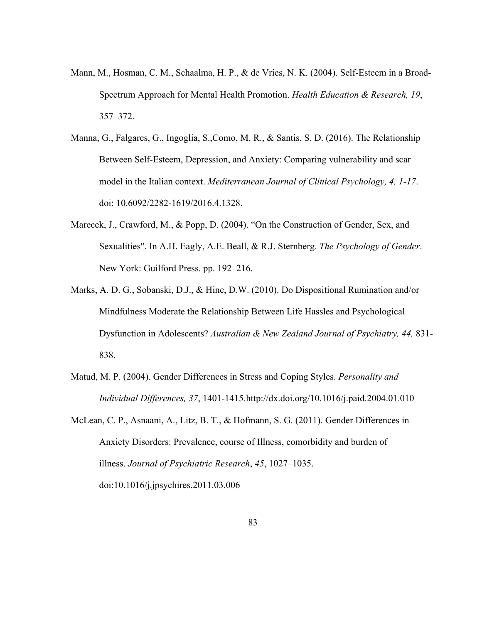- Mann, M., Hosman, C. M., Schaalma, H. P., & de Vries, N. K. (2004). Self-Esteem in a Broad-Spectrum Approach for Mental Health Promotion. *Health Education & Research, 19*, 357–372.
- Manna, G., Falgares, G., Ingoglia, S.,Como, M. R., & Santis, S. D. (2016). The Relationship Between Self-Esteem, Depression, and Anxiety: Comparing vulnerability and scar model in the Italian context. *Mediterranean Journal of Clinical Psychology, 4, 1-17*. doi: 10.6092/2282-1619/2016.4.1328.
- Marecek, J., Crawford, M., & Popp, D. (2004). "On the Construction of Gender, Sex, and Sexualities". In A.H. Eagly, A.E. Beall, & R.J. Sternberg. *The Psychology of Gender*. New York: Guilford Press. pp. 192–216.
- Marks, A. D. G., Sobanski, D.J., & Hine, D.W. (2010). Do Dispositional Rumination and/or Mindfulness Moderate the Relationship Between Life Hassles and Psychological Dysfunction in Adolescents? *Australian & New Zealand Journal of Psychiatry, 44,* 831- 838.
- Matud, M. P. (2004). Gender Differences in Stress and Coping Styles. *Personality and Individual Differences, 37*, 1401-1415.http://dx.doi.org/10.1016/j.paid.2004.01.010
- McLean, C. P., Asnaani, A., Litz, B. T., & Hofmann, S. G. (2011). Gender Differences in Anxiety Disorders: Prevalence, course of Illness, comorbidity and burden of illness. *Journal of Psychiatric Research*, *45*, 1027–1035. doi:10.1016/j.jpsychires.2011.03.006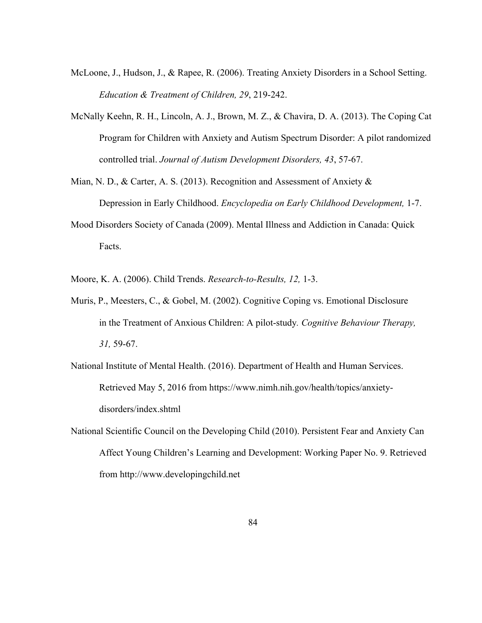- McLoone, J., Hudson, J., & Rapee, R. (2006). Treating Anxiety Disorders in a School Setting. *Education & Treatment of Children, 29*, 219-242.
- McNally Keehn, R. H., Lincoln, A. J., Brown, M. Z., & Chavira, D. A. (2013). The Coping Cat Program for Children with Anxiety and Autism Spectrum Disorder: A pilot randomized controlled trial. *Journal of Autism Development Disorders, 43*, 57-67.
- Mian, N. D., & Carter, A. S. (2013). Recognition and Assessment of Anxiety & Depression in Early Childhood. *Encyclopedia on Early Childhood Development,* 1-7.
- Mood Disorders Society of Canada (2009). Mental Illness and Addiction in Canada: Quick Facts.
- Moore, K. A. (2006). Child Trends. *Research-to-Results, 12,* 1-3.
- Muris, P., Meesters, C., & Gobel, M. (2002). Cognitive Coping vs. Emotional Disclosure in the Treatment of Anxious Children: A pilot-study*. Cognitive Behaviour Therapy, 31,* 59-67.
- National Institute of Mental Health. (2016). Department of Health and Human Services. Retrieved May 5, 2016 from https://www.nimh.nih.gov/health/topics/anxietydisorders/index.shtml
- National Scientific Council on the Developing Child (2010). Persistent Fear and Anxiety Can Affect Young Children's Learning and Development: Working Paper No. 9. Retrieved from http://www.developingchild.net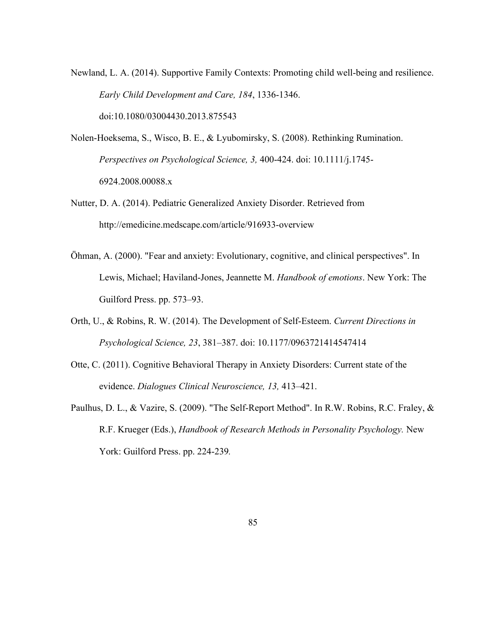Newland, L. A. (2014). Supportive Family Contexts: Promoting child well-being and resilience. *Early Child Development and Care, 184*, 1336-1346. doi:10.1080/03004430.2013.875543

Nolen-Hoeksema, S., Wisco, B. E., & Lyubomirsky, S. (2008). Rethinking Rumination. *Perspectives on Psychological Science, 3,* 400-424. doi: 10.1111/j.1745- 6924.2008.00088.x

Nutter, D. A. (2014). Pediatric Generalized Anxiety Disorder. Retrieved from http://emedicine.medscape.com/article/916933-overview

- Öhman, A. (2000). "Fear and anxiety: Evolutionary, cognitive, and clinical perspectives". In Lewis, Michael; Haviland-Jones, Jeannette M. *Handbook of emotions*. New York: The Guilford Press. pp. 573–93.
- Orth, U., & Robins, R. W. (2014). The Development of Self-Esteem. *Current Directions in Psychological Science, 23*, 381–387. doi: 10.1177/0963721414547414
- Otte, C. (2011). Cognitive Behavioral Therapy in Anxiety Disorders: Current state of the evidence. *Dialogues Clinical Neuroscience, 13,* 413–421.
- Paulhus, D. L., & Vazire, S. (2009). "The Self-Report Method". In R.W. Robins, R.C. Fraley, & R.F. Krueger (Eds.), *Handbook of Research Methods in Personality Psychology.* New York: Guilford Press. pp. 224-239*.*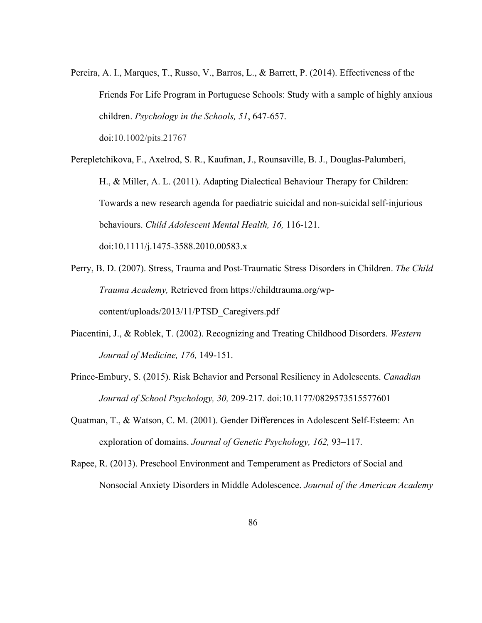Pereira, A. I., Marques, T., Russo, V., Barros, L., & Barrett, P. (2014). Effectiveness of the Friends For Life Program in Portuguese Schools: Study with a sample of highly anxious children. *Psychology in the Schools, 51*, 647-657.

doi:10.1002/pits.21767

Perepletchikova, F., Axelrod, S. R., Kaufman, J., Rounsaville, B. J., Douglas-Palumberi, H., & Miller, A. L. (2011). Adapting Dialectical Behaviour Therapy for Children: Towards a new research agenda for paediatric suicidal and non-suicidal self-injurious behaviours. *Child Adolescent Mental Health, 16,* 116-121. doi:10.1111/j.1475-3588.2010.00583.x

- Perry, B. D. (2007). Stress, Trauma and Post-Traumatic Stress Disorders in Children. *The Child Trauma Academy,* Retrieved from https://childtrauma.org/wpcontent/uploads/2013/11/PTSD\_Caregivers.pdf
- Piacentini, J., & Roblek, T. (2002). Recognizing and Treating Childhood Disorders. *Western Journal of Medicine, 176,* 149-151.
- Prince-Embury, S. (2015). Risk Behavior and Personal Resiliency in Adolescents. *Canadian Journal of School Psychology, 30,* 209-217*.* doi:10.1177/0829573515577601
- Quatman, T., & Watson, C. M. (2001). Gender Differences in Adolescent Self-Esteem: An exploration of domains. *Journal of Genetic Psychology, 162,* 93–117.
- Rapee, R. (2013). Preschool Environment and Temperament as Predictors of Social and Nonsocial Anxiety Disorders in Middle Adolescence. *Journal of the American Academy*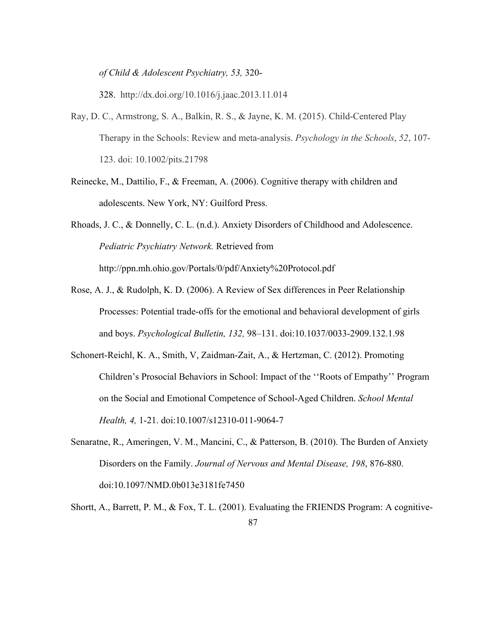*of Child & Adolescent Psychiatry, 53,* 320-

328. http://dx.doi.org/10.1016/j.jaac.2013.11.014

- Ray, D. C., Armstrong, S. A., Balkin, R. S., & Jayne, K. M. (2015). Child-Centered Play Therapy in the Schools: Review and meta-analysis. *Psychology in the Schools*, *52*, 107- 123. doi: 10.1002/pits.21798
- Reinecke, M., Dattilio, F., & Freeman, A. (2006). Cognitive therapy with children and adolescents. New York, NY: Guilford Press.
- Rhoads, J. C., & Donnelly, C. L. (n.d.). Anxiety Disorders of Childhood and Adolescence. *Pediatric Psychiatry Network.* Retrieved from http://ppn.mh.ohio.gov/Portals/0/pdf/Anxiety%20Protocol.pdf
- Rose, A. J., & Rudolph, K. D. (2006). A Review of Sex differences in Peer Relationship Processes: Potential trade-offs for the emotional and behavioral development of girls and boys. *Psychological Bulletin, 132,* 98–131. doi:10.1037/0033-2909.132.1.98
- Schonert-Reichl, K. A., Smith, V, Zaidman-Zait, A., & Hertzman, C. (2012). Promoting Children's Prosocial Behaviors in School: Impact of the ''Roots of Empathy'' Program on the Social and Emotional Competence of School-Aged Children. *School Mental Health, 4,* 1-21. doi:10.1007/s12310-011-9064-7
- Senaratne, R., Ameringen, V. M., Mancini, C., & Patterson, B. (2010). The Burden of Anxiety Disorders on the Family. *Journal of Nervous and Mental Disease, 198*, 876-880. doi:10.1097/NMD.0b013e3181fe7450
- 87 Shortt, A., Barrett, P. M., & Fox, T. L. (2001). Evaluating the FRIENDS Program: A cognitive-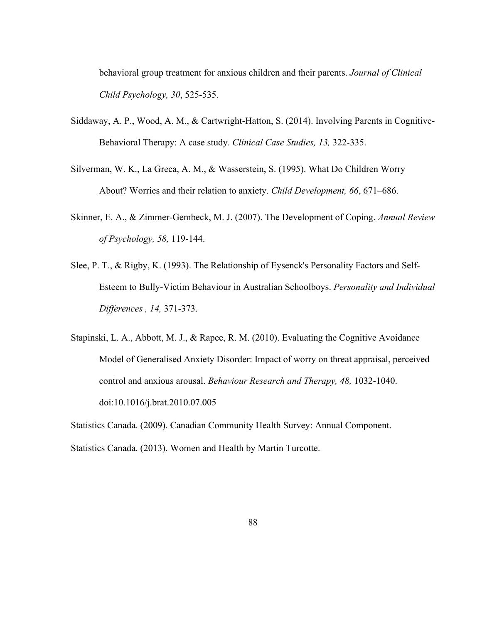behavioral group treatment for anxious children and their parents. *Journal of Clinical Child Psychology, 30*, 525-535.

- Siddaway, A. P., Wood, A. M., & Cartwright-Hatton, S. (2014). Involving Parents in Cognitive-Behavioral Therapy: A case study. *Clinical Case Studies, 13,* 322-335.
- Silverman, W. K., La Greca, A. M., & Wasserstein, S. (1995). What Do Children Worry About? Worries and their relation to anxiety. *Child Development, 66*, 671–686.
- Skinner, E. A., & Zimmer-Gembeck, M. J. (2007). The Development of Coping. *Annual Review of Psychology, 58,* 119-144.
- Slee, P. T., & Rigby, K. (1993). The Relationship of Eysenck's Personality Factors and Self-Esteem to Bully-Victim Behaviour in Australian Schoolboys. *Personality and Individual Differences , 14,* 371-373.
- Stapinski, L. A., Abbott, M. J., & Rapee, R. M. (2010). Evaluating the Cognitive Avoidance Model of Generalised Anxiety Disorder: Impact of worry on threat appraisal, perceived control and anxious arousal. *Behaviour Research and Therapy, 48,* 1032-1040. doi:10.1016/j.brat.2010.07.005

Statistics Canada. (2009). Canadian Community Health Survey: Annual Component. Statistics Canada. (2013). Women and Health by Martin Turcotte.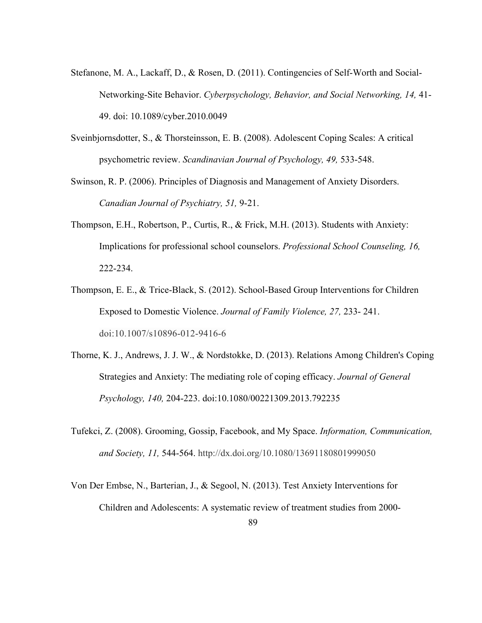- Stefanone, M. A., Lackaff, D., & Rosen, D. (2011). Contingencies of Self-Worth and Social-Networking-Site Behavior. *Cyberpsychology, Behavior, and Social Networking, 14,* 41- 49. doi: 10.1089/cyber.2010.0049
- Sveinbjornsdotter, S., & Thorsteinsson, E. B. (2008). Adolescent Coping Scales: A critical psychometric review. *Scandinavian Journal of Psychology, 49,* 533-548.
- Swinson, R. P. (2006). Principles of Diagnosis and Management of Anxiety Disorders. *Canadian Journal of Psychiatry, 51,* 9-21.
- Thompson, E.H., Robertson, P., Curtis, R., & Frick, M.H. (2013). Students with Anxiety: Implications for professional school counselors. *Professional School Counseling, 16,*  222-234.
- Thompson, E. E., & Trice-Black, S. (2012). School-Based Group Interventions for Children Exposed to Domestic Violence. *Journal of Family Violence, 27,* 233- 241. doi:10.1007/s10896-012-9416-6
- Thorne, K. J., Andrews, J. J. W., & Nordstokke, D. (2013). Relations Among Children's Coping Strategies and Anxiety: The mediating role of coping efficacy. *Journal of General Psychology, 140,* 204-223. doi:10.1080/00221309.2013.792235
- Tufekci, Z. (2008). Grooming, Gossip, Facebook, and My Space. *Information, Communication, and Society, 11,* 544-564. http://dx.doi.org/10.1080/13691180801999050
- Von Der Embse, N., Barterian, J., & Segool, N. (2013). Test Anxiety Interventions for Children and Adolescents: A systematic review of treatment studies from 2000-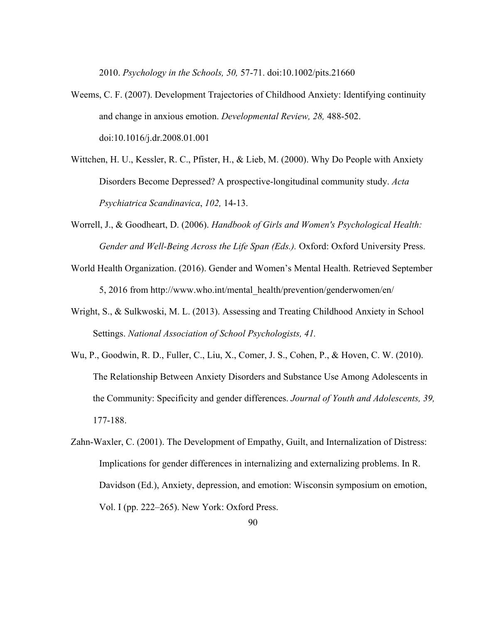2010. *Psychology in the Schools, 50,* 57-71. doi:10.1002/pits.21660

- Weems, C. F. (2007). Development Trajectories of Childhood Anxiety: Identifying continuity and change in anxious emotion. *Developmental Review, 28,* 488-502. doi:10.1016/j.dr.2008.01.001
- Wittchen, H. U., Kessler, R. C., Pfister, H., & Lieb, M. (2000). Why Do People with Anxiety Disorders Become Depressed? A prospective-longitudinal community study. *Acta Psychiatrica Scandinavica*, *102,* 14-13.
- Worrell, J., & Goodheart, D. (2006). *Handbook of Girls and Women's Psychological Health: Gender and Well-Being Across the Life Span (Eds.).* Oxford: Oxford University Press.
- World Health Organization. (2016). Gender and Women's Mental Health. Retrieved September 5, 2016 from http://www.who.int/mental\_health/prevention/genderwomen/en/
- Wright, S., & Sulkwoski, M. L. (2013). Assessing and Treating Childhood Anxiety in School Settings. *National Association of School Psychologists, 41.*
- Wu, P., Goodwin, R. D., Fuller, C., Liu, X., Comer, J. S., Cohen, P., & Hoven, C. W. (2010). The Relationship Between Anxiety Disorders and Substance Use Among Adolescents in the Community: Specificity and gender differences. *Journal of Youth and Adolescents, 39,* 177-188.
- Zahn-Waxler, C. (2001). The Development of Empathy, Guilt, and Internalization of Distress: Implications for gender differences in internalizing and externalizing problems. In R. Davidson (Ed.), Anxiety, depression, and emotion: Wisconsin symposium on emotion, Vol. I (pp. 222–265). New York: Oxford Press.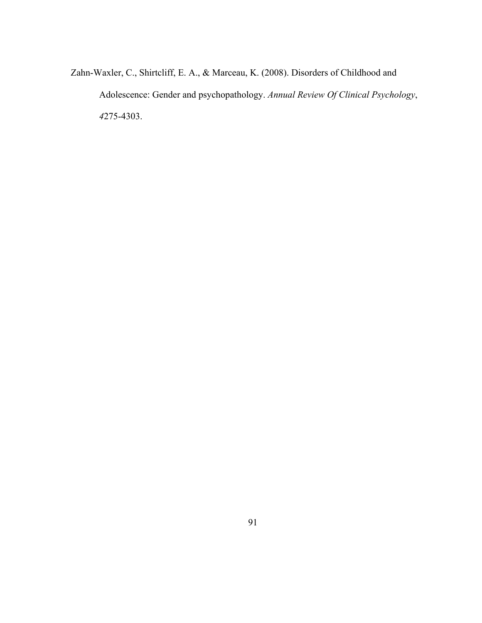Zahn-Waxler, C., Shirtcliff, E. A., & Marceau, K. (2008). Disorders of Childhood and Adolescence: Gender and psychopathology. *Annual Review Of Clinical Psychology*, *4*275-4303.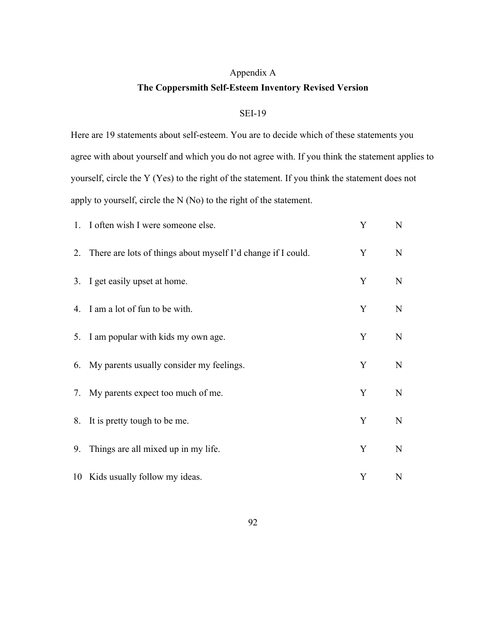# Appendix A **The Coppersmith Self-Esteem Inventory Revised Version**

### SEI-19

Here are 19 statements about self-esteem. You are to decide which of these statements you agree with about yourself and which you do not agree with. If you think the statement applies to yourself, circle the Y (Yes) to the right of the statement. If you think the statement does not apply to yourself, circle the N (No) to the right of the statement.

|    | 1. I often wish I were someone else.                            | Y | N           |
|----|-----------------------------------------------------------------|---|-------------|
|    | 2. There are lots of things about myself I'd change if I could. | Y | N           |
|    | 3. I get easily upset at home.                                  | Y | N           |
|    | 4. I am a lot of fun to be with.                                | Y | N           |
|    | 5. I am popular with kids my own age.                           | Y | N           |
|    | 6. My parents usually consider my feelings.                     | Y | N           |
|    | 7. My parents expect too much of me.                            | Y | N           |
|    | 8. It is pretty tough to be me.                                 | Y | $\mathbf N$ |
| 9. | Things are all mixed up in my life.                             | Y | N           |
|    | 10 Kids usually follow my ideas.                                | Y | N           |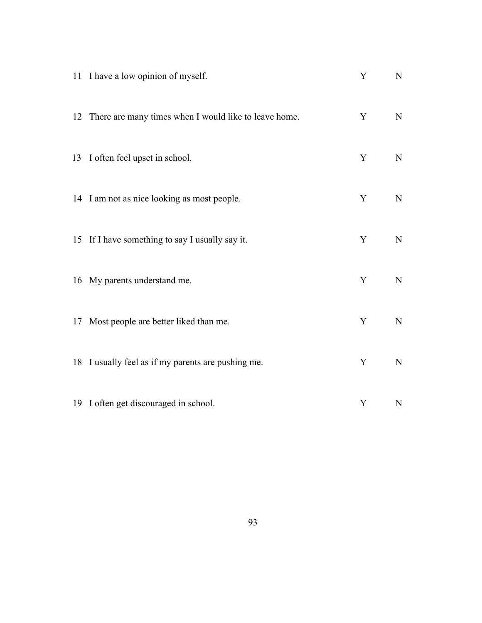| 11 I have a low opinion of myself.                       | Y | $\mathbf N$ |
|----------------------------------------------------------|---|-------------|
| 12 There are many times when I would like to leave home. | Y | ${\bf N}$   |
| 13 I often feel upset in school.                         | Y | $\mathbf N$ |
| 14 I am not as nice looking as most people.              | Y | $\mathbf N$ |
| 15 If I have something to say I usually say it.          | Y | N           |
| 16 My parents understand me.                             | Y | ${\bf N}$   |
| 17 Most people are better liked than me.                 | Y | ${\bf N}$   |
| 18 I usually feel as if my parents are pushing me.       | Y | $\mathbf N$ |
| 19 I often get discouraged in school.                    | Y | N           |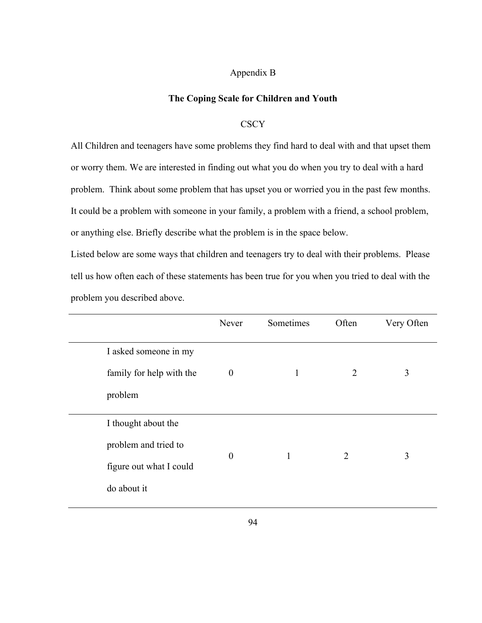#### Appendix B

#### **The Coping Scale for Children and Youth**

#### **CSCY**

All Children and teenagers have some problems they find hard to deal with and that upset them or worry them. We are interested in finding out what you do when you try to deal with a hard problem. Think about some problem that has upset you or worried you in the past few months. It could be a problem with someone in your family, a problem with a friend, a school problem, or anything else. Briefly describe what the problem is in the space below.

Listed below are some ways that children and teenagers try to deal with their problems. Please tell us how often each of these statements has been true for you when you tried to deal with the problem you described above.

|                          | Never            | Sometimes | Often          | Very Often |
|--------------------------|------------------|-----------|----------------|------------|
| I asked someone in my    |                  |           |                |            |
| family for help with the | $\boldsymbol{0}$ | 1         | 2              | 3          |
| problem                  |                  |           |                |            |
| I thought about the      |                  |           |                |            |
| problem and tried to     | $\boldsymbol{0}$ | 1         | $\overline{2}$ | 3          |
| figure out what I could  |                  |           |                |            |
| do about it              |                  |           |                |            |
|                          |                  |           |                |            |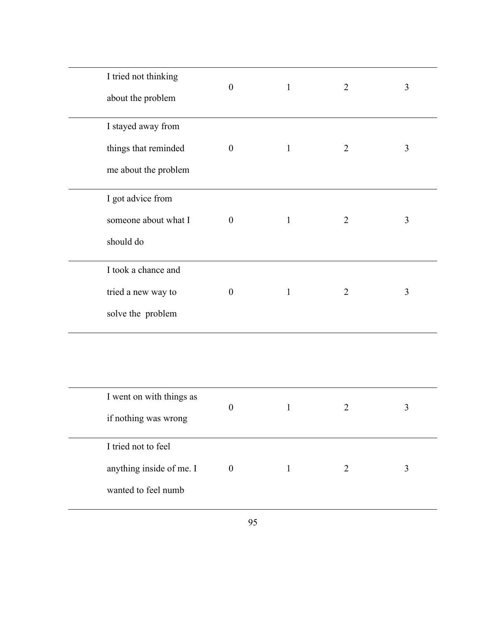| I tried not thinking<br>about the problem |                      | $\boldsymbol{0}$ | $\mathbf{1}$ | $\overline{2}$ | 3              |
|-------------------------------------------|----------------------|------------------|--------------|----------------|----------------|
| I stayed away from                        |                      |                  |              |                |                |
|                                           | things that reminded | $\Omega$         | $\mathbf{1}$ | $\overline{2}$ | 3              |
|                                           | me about the problem |                  |              |                |                |
| I got advice from                         |                      |                  |              |                |                |
|                                           | someone about what I | $\overline{0}$   | $\mathbf{1}$ | $\overline{2}$ | $\overline{3}$ |
| should do                                 |                      |                  |              |                |                |
| I took a chance and                       |                      |                  |              |                |                |
| tried a new way to                        |                      | $\overline{0}$   | $\mathbf{1}$ | $\overline{2}$ | 3              |
| solve the problem                         |                      |                  |              |                |                |

| I went on with things as | $\theta$ | 2 |  |
|--------------------------|----------|---|--|
| if nothing was wrong     |          |   |  |
| I tried not to feel      |          |   |  |
| anything inside of me. I | $\theta$ |   |  |
| wanted to feel numb      |          |   |  |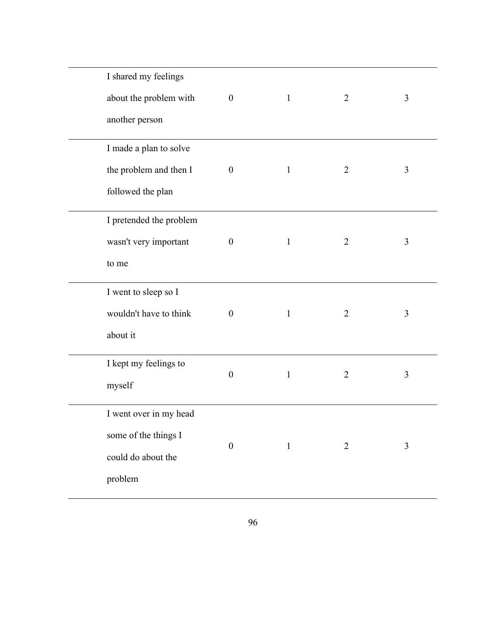| I shared my feelings    |                  |              |                |   |
|-------------------------|------------------|--------------|----------------|---|
| about the problem with  | $\boldsymbol{0}$ | $\mathbf{1}$ | $\overline{2}$ | 3 |
| another person          |                  |              |                |   |
| I made a plan to solve  |                  |              |                |   |
| the problem and then I  | $\boldsymbol{0}$ | $\mathbf{1}$ | $\overline{2}$ | 3 |
| followed the plan       |                  |              |                |   |
| I pretended the problem |                  |              |                |   |
| wasn't very important   | $\boldsymbol{0}$ | $\mathbf{1}$ | $\overline{2}$ | 3 |
| to me                   |                  |              |                |   |
| I went to sleep so I    |                  |              |                |   |
| wouldn't have to think  | $\boldsymbol{0}$ | $\mathbf{1}$ | $\overline{2}$ | 3 |
| about it                |                  |              |                |   |
| I kept my feelings to   | $\boldsymbol{0}$ | $\mathbf{1}$ | $\overline{2}$ | 3 |
| myself                  |                  |              |                |   |
| I went over in my head  |                  |              |                |   |
| some of the things I    | $\boldsymbol{0}$ | $\mathbf{1}$ | $\overline{2}$ | 3 |
| could do about the      |                  |              |                |   |
| problem                 |                  |              |                |   |
|                         |                  |              |                |   |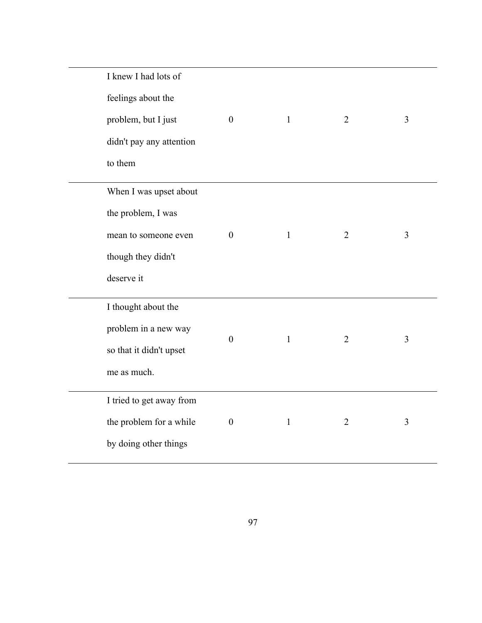| I knew I had lots of     |                  |              |                |                |
|--------------------------|------------------|--------------|----------------|----------------|
| feelings about the       |                  |              |                |                |
| problem, but I just      | $\boldsymbol{0}$ | $\mathbf{1}$ | $\overline{2}$ | 3              |
| didn't pay any attention |                  |              |                |                |
| to them                  |                  |              |                |                |
| When I was upset about   |                  |              |                |                |
| the problem, I was       |                  |              |                |                |
| mean to someone even     | $\boldsymbol{0}$ | $\mathbf{1}$ | $\overline{2}$ | 3              |
| though they didn't       |                  |              |                |                |
| deserve it               |                  |              |                |                |
| I thought about the      |                  |              |                |                |
| problem in a new way     | $\boldsymbol{0}$ | $\mathbf{1}$ | $\overline{2}$ | 3              |
| so that it didn't upset  |                  |              |                |                |
| me as much.              |                  |              |                |                |
| I tried to get away from |                  |              |                |                |
| the problem for a while  | $\boldsymbol{0}$ | $\mathbf{1}$ | $\overline{2}$ | $\overline{3}$ |
| by doing other things    |                  |              |                |                |
|                          |                  |              |                |                |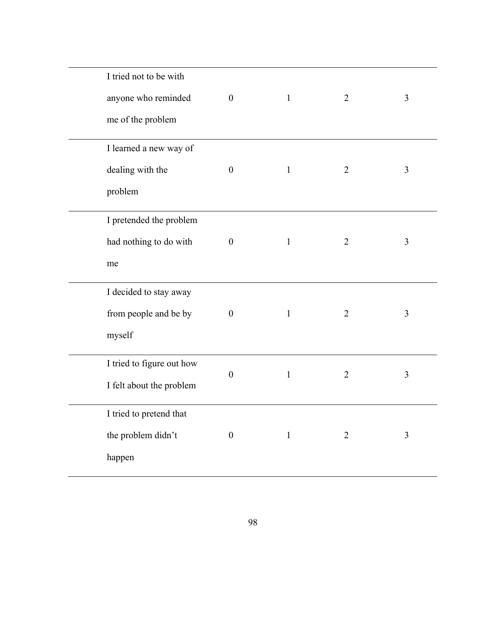| I tried not to be with    |                  |              |                |                |
|---------------------------|------------------|--------------|----------------|----------------|
| anyone who reminded       | $\boldsymbol{0}$ | $\mathbf{1}$ | $\overline{2}$ | 3              |
| me of the problem         |                  |              |                |                |
| I learned a new way of    |                  |              |                |                |
| dealing with the          | $\boldsymbol{0}$ | $\mathbf{1}$ | $\overline{2}$ | 3              |
| problem                   |                  |              |                |                |
| I pretended the problem   |                  |              |                |                |
| had nothing to do with    | $\boldsymbol{0}$ | $\mathbf{1}$ | $\overline{2}$ | 3              |
| me                        |                  |              |                |                |
| I decided to stay away    |                  |              |                |                |
| from people and be by     | $\boldsymbol{0}$ | $\mathbf{1}$ | $\overline{2}$ | $\overline{3}$ |
| myself                    |                  |              |                |                |
| I tried to figure out how | $\boldsymbol{0}$ | $\mathbf{1}$ | $\overline{2}$ | 3              |
| I felt about the problem  |                  |              |                |                |
| I tried to pretend that   |                  |              |                |                |
| the problem didn't        | $\boldsymbol{0}$ | $\mathbf{1}$ | $\overline{2}$ | 3              |
| happen                    |                  |              |                |                |
|                           |                  |              |                |                |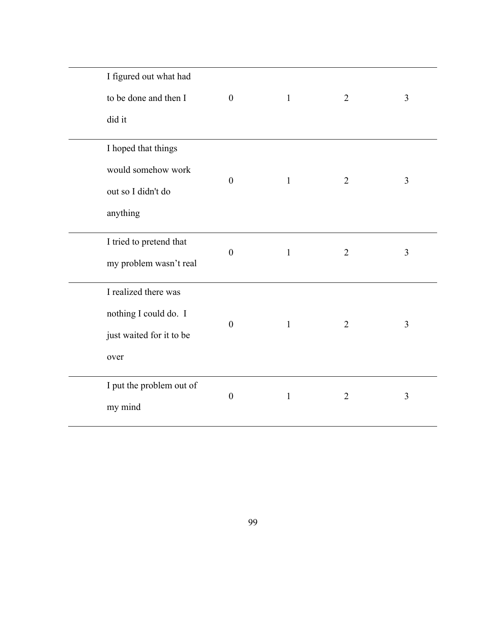| I figured out what had<br>to be done and then I | $\boldsymbol{0}$ | $\mathbf{1}$ | $\overline{2}$ | 3 |
|-------------------------------------------------|------------------|--------------|----------------|---|
| did it                                          |                  |              |                |   |
| I hoped that things                             |                  |              |                |   |
| would somehow work                              |                  |              |                |   |
| out so I didn't do                              | $\boldsymbol{0}$ | $\mathbf{1}$ | $\overline{2}$ | 3 |
| anything                                        |                  |              |                |   |
| I tried to pretend that                         |                  |              |                |   |
| my problem wasn't real                          | $\boldsymbol{0}$ | $\mathbf{1}$ | $\overline{2}$ | 3 |
| I realized there was                            |                  |              |                |   |
| nothing I could do. I                           |                  |              | $\overline{2}$ |   |
| just waited for it to be                        | $\boldsymbol{0}$ | $\mathbf{1}$ |                | 3 |
| over                                            |                  |              |                |   |
| I put the problem out of                        | $\boldsymbol{0}$ | $\mathbf{1}$ | $\overline{2}$ | 3 |
| my mind                                         |                  |              |                |   |
|                                                 |                  |              |                |   |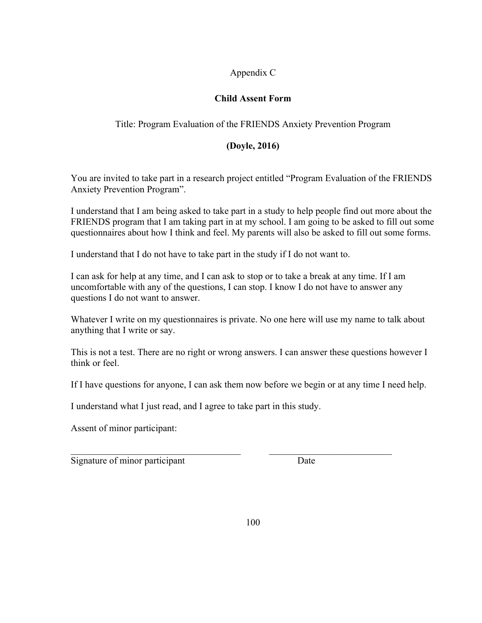## Appendix C

## **Child Assent Form**

## Title: Program Evaluation of the FRIENDS Anxiety Prevention Program

## **(Doyle, 2016)**

You are invited to take part in a research project entitled "Program Evaluation of the FRIENDS Anxiety Prevention Program".

I understand that I am being asked to take part in a study to help people find out more about the FRIENDS program that I am taking part in at my school. I am going to be asked to fill out some questionnaires about how I think and feel. My parents will also be asked to fill out some forms.

I understand that I do not have to take part in the study if I do not want to.

I can ask for help at any time, and I can ask to stop or to take a break at any time. If I am uncomfortable with any of the questions, I can stop. I know I do not have to answer any questions I do not want to answer.

Whatever I write on my questionnaires is private. No one here will use my name to talk about anything that I write or say.

This is not a test. There are no right or wrong answers. I can answer these questions however I think or feel.

If I have questions for anyone, I can ask them now before we begin or at any time I need help.

 $\mathcal{L}_\text{max}$  , and the contribution of the contribution of the contribution of the contribution of the contribution of the contribution of the contribution of the contribution of the contribution of the contribution of t

I understand what I just read, and I agree to take part in this study.

Assent of minor participant:

Signature of minor participant Date